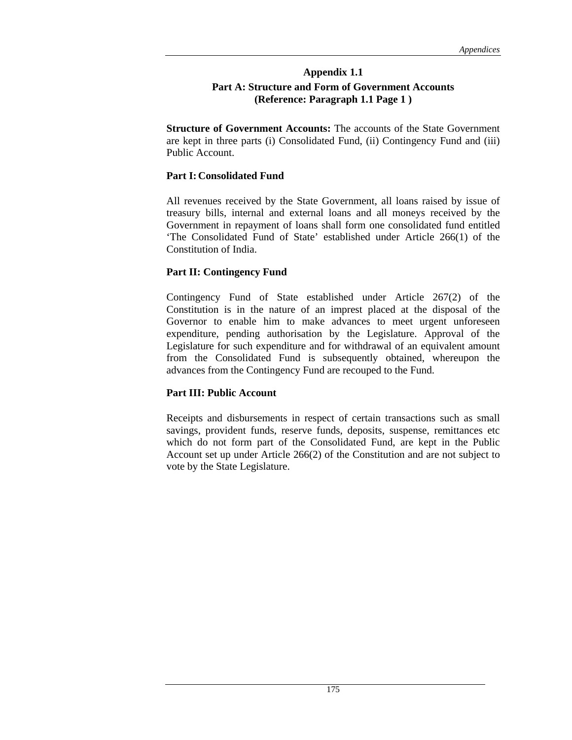### **Appendix 1.1 Part A: Structure and Form of Government Accounts (Reference: Paragraph 1.1 Page 1 )**

**Structure of Government Accounts:** The accounts of the State Government are kept in three parts (i) Consolidated Fund, (ii) Contingency Fund and (iii) Public Account.

#### **Part I: Consolidated Fund**

All revenues received by the State Government, all loans raised by issue of treasury bills, internal and external loans and all moneys received by the Government in repayment of loans shall form one consolidated fund entitled 'The Consolidated Fund of State' established under Article 266(1) of the Constitution of India.

### **Part II: Contingency Fund**

Contingency Fund of State established under Article 267(2) of the Constitution is in the nature of an imprest placed at the disposal of the Governor to enable him to make advances to meet urgent unforeseen expenditure, pending authorisation by the Legislature. Approval of the Legislature for such expenditure and for withdrawal of an equivalent amount from the Consolidated Fund is subsequently obtained, whereupon the advances from the Contingency Fund are recouped to the Fund.

### **Part III: Public Account**

Receipts and disbursements in respect of certain transactions such as small savings, provident funds, reserve funds, deposits, suspense, remittances etc which do not form part of the Consolidated Fund, are kept in the Public Account set up under Article 266(2) of the Constitution and are not subject to vote by the State Legislature.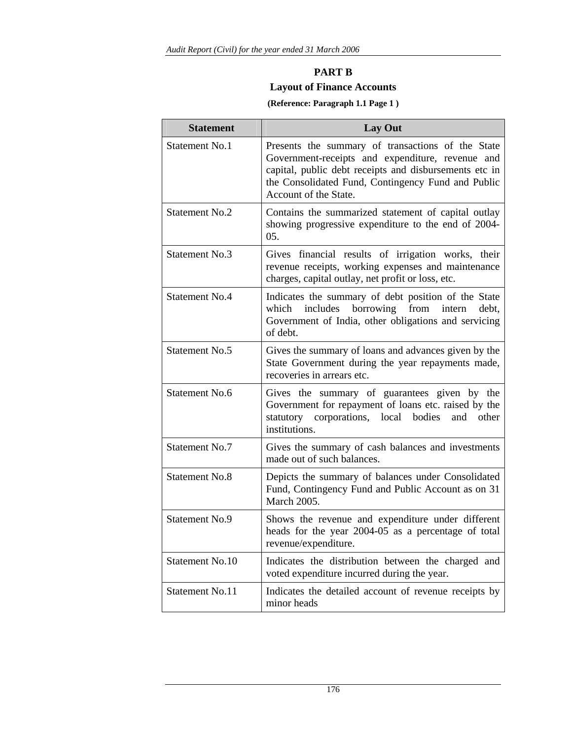# **PART B Layout of Finance Accounts**

### **(Reference: Paragraph 1.1 Page 1 )**

| <b>Statement</b>      | Lay Out                                                                                                                                                                                                                                        |  |  |  |  |  |  |
|-----------------------|------------------------------------------------------------------------------------------------------------------------------------------------------------------------------------------------------------------------------------------------|--|--|--|--|--|--|
| Statement No.1        | Presents the summary of transactions of the State<br>Government-receipts and expenditure, revenue and<br>capital, public debt receipts and disbursements etc in<br>the Consolidated Fund, Contingency Fund and Public<br>Account of the State. |  |  |  |  |  |  |
| Statement No.2        | Contains the summarized statement of capital outlay<br>showing progressive expenditure to the end of 2004-<br>05.                                                                                                                              |  |  |  |  |  |  |
| <b>Statement No.3</b> | Gives financial results of irrigation works, their<br>revenue receipts, working expenses and maintenance<br>charges, capital outlay, net profit or loss, etc.                                                                                  |  |  |  |  |  |  |
| <b>Statement No.4</b> | Indicates the summary of debt position of the State<br>which includes borrowing<br>from<br>debt.<br>intern<br>Government of India, other obligations and servicing<br>of debt.                                                                 |  |  |  |  |  |  |
| Statement No.5        | Gives the summary of loans and advances given by the<br>State Government during the year repayments made,<br>recoveries in arrears etc.                                                                                                        |  |  |  |  |  |  |
| Statement No.6        | Gives the summary of guarantees given by the<br>Government for repayment of loans etc. raised by the<br>statutory corporations, local bodies<br>and<br>other<br>institutions.                                                                  |  |  |  |  |  |  |
| <b>Statement No.7</b> | Gives the summary of cash balances and investments<br>made out of such balances.                                                                                                                                                               |  |  |  |  |  |  |
| <b>Statement No.8</b> | Depicts the summary of balances under Consolidated<br>Fund, Contingency Fund and Public Account as on 31<br><b>March 2005.</b>                                                                                                                 |  |  |  |  |  |  |
| <b>Statement No.9</b> | Shows the revenue and expenditure under different<br>heads for the year 2004-05 as a percentage of total<br>revenue/expenditure.                                                                                                               |  |  |  |  |  |  |
| Statement No.10       | Indicates the distribution between the charged and<br>voted expenditure incurred during the year.                                                                                                                                              |  |  |  |  |  |  |
| Statement No.11       | Indicates the detailed account of revenue receipts by<br>minor heads                                                                                                                                                                           |  |  |  |  |  |  |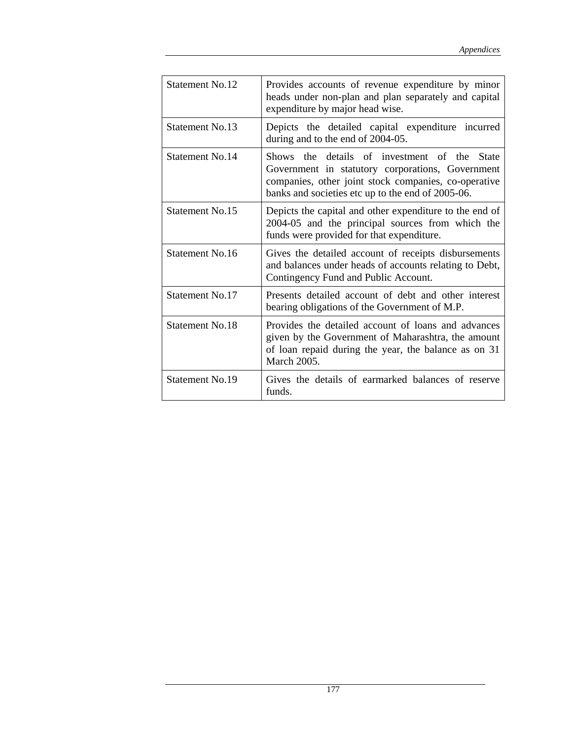| <b>Statement No.12</b> | Provides accounts of revenue expenditure by minor<br>heads under non-plan and plan separately and capital<br>expenditure by major head wise.                                                                            |
|------------------------|-------------------------------------------------------------------------------------------------------------------------------------------------------------------------------------------------------------------------|
| Statement No.13        | Depicts the detailed capital expenditure incurred<br>during and to the end of 2004-05.                                                                                                                                  |
| Statement No.14        | Shows the details of investment of the<br><b>State</b><br>Government in statutory corporations, Government<br>companies, other joint stock companies, co-operative<br>banks and societies etc up to the end of 2005-06. |
| Statement No.15        | Depicts the capital and other expenditure to the end of<br>2004-05 and the principal sources from which the<br>funds were provided for that expenditure.                                                                |
| Statement No.16        | Gives the detailed account of receipts disbursements<br>and balances under heads of accounts relating to Debt,<br>Contingency Fund and Public Account.                                                                  |
| Statement No.17        | Presents detailed account of debt and other interest<br>bearing obligations of the Government of M.P.                                                                                                                   |
| Statement No.18        | Provides the detailed account of loans and advances<br>given by the Government of Maharashtra, the amount<br>of loan repaid during the year, the balance as on 31<br><b>March 2005.</b>                                 |
| Statement No.19        | Gives the details of earmarked balances of reserve<br>funds.                                                                                                                                                            |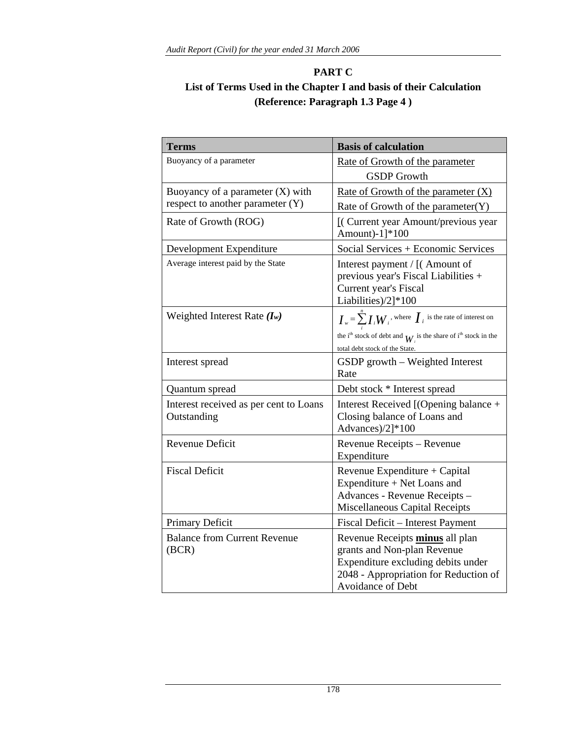# **PART C List of Terms Used in the Chapter I and basis of their Calculation (Reference: Paragraph 1.3 Page 4 )**

| <b>Terms</b>                                          | <b>Basis of calculation</b>                                                                                                                                                                           |
|-------------------------------------------------------|-------------------------------------------------------------------------------------------------------------------------------------------------------------------------------------------------------|
| Buoyancy of a parameter                               | Rate of Growth of the parameter                                                                                                                                                                       |
|                                                       | <b>GSDP</b> Growth                                                                                                                                                                                    |
| Buoyancy of a parameter $(X)$ with                    | Rate of Growth of the parameter $(X)$                                                                                                                                                                 |
| respect to another parameter (Y)                      | Rate of Growth of the parameter $(Y)$                                                                                                                                                                 |
| Rate of Growth (ROG)                                  | [(Current year Amount/previous year<br>Amount)-1]*100                                                                                                                                                 |
| Development Expenditure                               | Social Services + Economic Services                                                                                                                                                                   |
| Average interest paid by the State                    | Interest payment / [(Amount of<br>previous year's Fiscal Liabilities +<br>Current year's Fiscal<br>Liabilities)/2]*100                                                                                |
| Weighted Interest Rate $(I_w)$                        | $I_w = \sum_{i=1}^{n} I_i W_i$ , where $I_i$ is the rate of interest on<br>the i <sup>th</sup> stock of debt and $W_i$ is the share of i <sup>th</sup> stock in the<br>total debt stock of the State. |
| Interest spread                                       | GSDP growth - Weighted Interest<br>Rate                                                                                                                                                               |
| Quantum spread                                        | Debt stock * Interest spread                                                                                                                                                                          |
| Interest received as per cent to Loans<br>Outstanding | Interest Received [(Opening balance +<br>Closing balance of Loans and<br>Advances)/2]*100                                                                                                             |
| <b>Revenue Deficit</b>                                | Revenue Receipts - Revenue<br>Expenditure                                                                                                                                                             |
| <b>Fiscal Deficit</b>                                 | Revenue Expenditure + Capital<br>Expenditure + Net Loans and<br>Advances - Revenue Receipts -<br>Miscellaneous Capital Receipts                                                                       |
| Primary Deficit                                       | Fiscal Deficit - Interest Payment                                                                                                                                                                     |
| <b>Balance from Current Revenue</b><br>(BCR)          | Revenue Receipts minus all plan<br>grants and Non-plan Revenue<br>Expenditure excluding debits under<br>2048 - Appropriation for Reduction of<br>Avoidance of Debt                                    |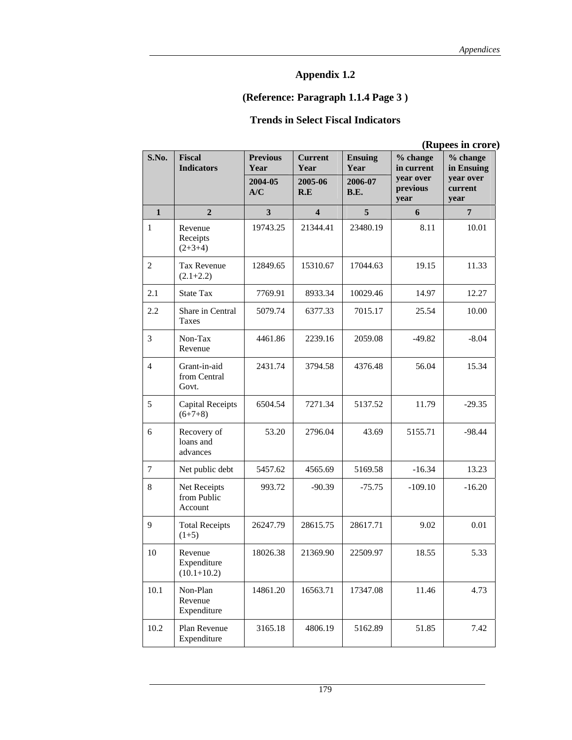## **(Reference: Paragraph 1.1.4 Page 3 )**

# **Trends in Select Fiscal Indicators**

|                | (Rupees in crore                          |                         |                         |                        |                                     |                                     |  |  |
|----------------|-------------------------------------------|-------------------------|-------------------------|------------------------|-------------------------------------|-------------------------------------|--|--|
| S.No.          | <b>Fiscal</b><br><b>Indicators</b>        | <b>Previous</b><br>Year | <b>Current</b><br>Year  | <b>Ensuing</b><br>Year | % change<br>in current<br>year over | % change<br>in Ensuing<br>year over |  |  |
|                |                                           | 2004-05<br>A/C          | 2005-06<br>R.E          | 2006-07<br>B.E.        | previous<br>year                    | current<br>year                     |  |  |
| 1              | $\overline{2}$                            | 3                       | $\overline{\mathbf{4}}$ | 5                      | 6                                   | $\overline{7}$                      |  |  |
| $\mathbf{1}$   | Revenue<br>Receipts<br>$(2+3+4)$          | 19743.25                | 21344.41                | 23480.19               | 8.11                                | 10.01                               |  |  |
| $\overline{c}$ | <b>Tax Revenue</b><br>$(2.1+2.2)$         | 12849.65<br>15310.67    |                         | 17044.63               | 19.15                               | 11.33                               |  |  |
| 2.1            | <b>State Tax</b>                          | 7769.91                 | 8933.34                 | 10029.46               | 14.97                               | 12.27                               |  |  |
| 2.2            | Share in Central<br>Taxes                 | 5079.74                 | 6377.33                 | 7015.17                | 25.54                               | 10.00                               |  |  |
| 3              | Non-Tax<br>Revenue                        | 4461.86                 | 2239.16                 | 2059.08                | $-49.82$                            | $-8.04$                             |  |  |
| $\overline{4}$ | Grant-in-aid<br>from Central<br>Govt.     | 2431.74                 | 3794.58                 | 4376.48                | 56.04                               | 15.34                               |  |  |
| 5              | <b>Capital Receipts</b><br>$(6+7+8)$      | 6504.54                 | 7271.34                 | 5137.52                | 11.79                               | $-29.35$                            |  |  |
| 6              | Recovery of<br>loans and<br>advances      | 53.20                   | 2796.04                 | 43.69                  | 5155.71                             | $-98.44$                            |  |  |
| $\tau$         | Net public debt                           | 5457.62                 | 4565.69                 | 5169.58                | $-16.34$                            | 13.23                               |  |  |
| 8              | Net Receipts<br>from Public<br>Account    | 993.72                  | $-90.39$                | $-75.75$               | $-109.10$                           | $-16.20$                            |  |  |
| 9              | <b>Total Receipts</b><br>$(1+5)$          | 26247.79                | 28615.75                | 28617.71               | 9.02                                | 0.01                                |  |  |
| 10             | Revenue<br>Expenditure<br>$(10.1 + 10.2)$ | 18026.38                | 21369.90                | 22509.97               | 18.55                               | 5.33                                |  |  |
| 10.1           | Non-Plan<br>Revenue<br>Expenditure        | 14861.20                | 16563.71                | 17347.08               | 11.46                               | 4.73                                |  |  |
| 10.2           | Plan Revenue<br>Expenditure               | 3165.18                 | 4806.19                 | 5162.89                | 51.85                               | 7.42                                |  |  |

 **(Rupees in crore)**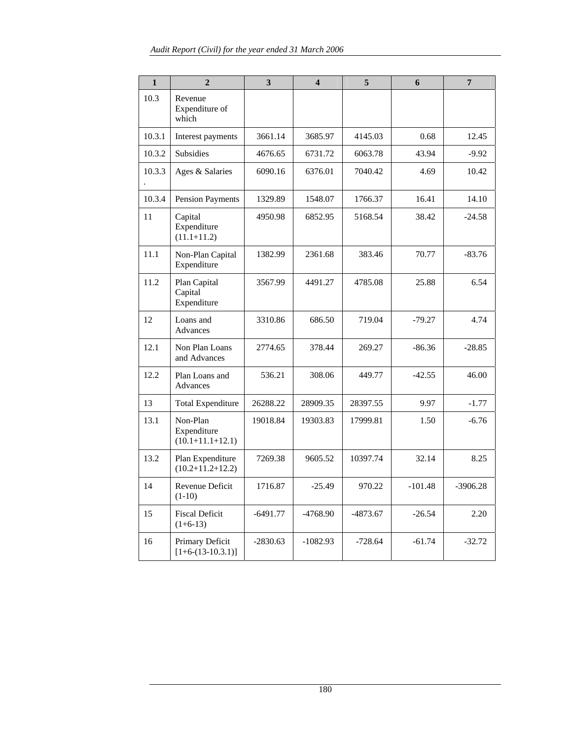| $\mathbf{1}$ | $\overline{2}$                                    | 3          | $\overline{\mathbf{4}}$ | 5          | 6         | $\overline{7}$ |
|--------------|---------------------------------------------------|------------|-------------------------|------------|-----------|----------------|
| 10.3         | Revenue<br>Expenditure of<br>which                |            |                         |            |           |                |
| 10.3.1       | Interest payments                                 | 3661.14    | 3685.97                 | 4145.03    | 0.68      | 12.45          |
| 10.3.2       | <b>Subsidies</b>                                  | 4676.65    | 6731.72                 | 6063.78    | 43.94     | $-9.92$        |
| 10.3.3       | Ages & Salaries                                   | 6090.16    | 6376.01                 | 7040.42    | 4.69      | 10.42          |
| 10.3.4       | <b>Pension Payments</b>                           | 1329.89    | 1548.07                 | 1766.37    | 16.41     | 14.10          |
| 11           | Capital<br>Expenditure<br>$(11.1 + 11.2)$         | 4950.98    | 6852.95                 | 5168.54    | 38.42     | $-24.58$       |
| 11.1         | Non-Plan Capital<br>Expenditure                   | 1382.99    | 2361.68                 | 383.46     | 70.77     | $-83.76$       |
| 11.2         | Plan Capital<br>Capital<br>Expenditure            | 3567.99    | 4491.27                 | 4785.08    | 25.88     | 6.54           |
| 12           | Loans and<br>Advances                             | 3310.86    | 686.50                  | 719.04     | $-79.27$  | 4.74           |
| 12.1         | Non Plan Loans<br>and Advances                    | 2774.65    | 378.44                  | 269.27     | $-86.36$  | $-28.85$       |
| 12.2         | Plan Loans and<br>Advances                        | 536.21     | 308.06                  | 449.77     | $-42.55$  | 46.00          |
| 13           | <b>Total Expenditure</b>                          | 26288.22   | 28909.35                | 28397.55   | 9.97      | $-1.77$        |
| 13.1         | Non-Plan<br>Expenditure<br>$(10.1 + 11.1 + 12.1)$ | 19018.84   | 19303.83                | 17999.81   | 1.50      | $-6.76$        |
| 13.2         | Plan Expenditure<br>$(10.2+11.2+12.2)$            | 7269.38    | 9605.52                 | 10397.74   | 32.14     | 8.25           |
| 14           | Revenue Deficit<br>$(1-10)$                       | 1716.87    | $-25.49$                | 970.22     | $-101.48$ | $-3906.28$     |
| 15           | <b>Fiscal Deficit</b><br>$(1+6-13)$               | $-6491.77$ | $-4768.90$              | $-4873.67$ | $-26.54$  | 2.20           |
| 16           | Primary Deficit<br>$[1+6-(13-10.3.1)]$            | $-2830.63$ | $-1082.93$              | $-728.64$  | $-61.74$  | $-32.72$       |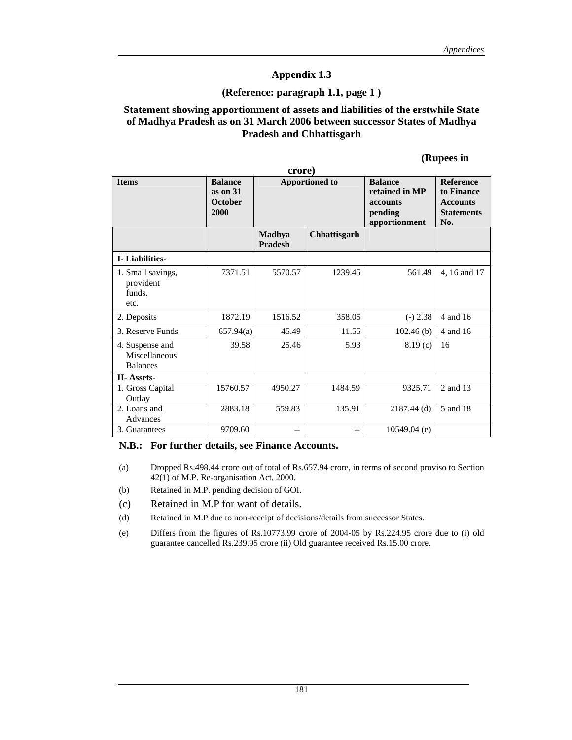#### **(Reference: paragraph 1.1, page 1 )**

#### **Statement showing apportionment of assets and liabilities of the erstwhile State of Madhya Pradesh as on 31 March 2006 between successor States of Madhya Pradesh and Chhattisgarh**

#### **(Rupees in**

| crore)                                              |                                                        |                                 |                       |                                                                          |                                                                               |  |  |
|-----------------------------------------------------|--------------------------------------------------------|---------------------------------|-----------------------|--------------------------------------------------------------------------|-------------------------------------------------------------------------------|--|--|
| <b>Items</b>                                        | <b>Balance</b><br>as on $31$<br><b>October</b><br>2000 |                                 | <b>Apportioned to</b> | <b>Balance</b><br>retained in MP<br>accounts<br>pending<br>apportionment | <b>Reference</b><br>to Finance<br><b>Accounts</b><br><b>Statements</b><br>No. |  |  |
|                                                     |                                                        | <b>Madhya</b><br><b>Pradesh</b> | Chhattisgarh          |                                                                          |                                                                               |  |  |
| <b>I</b> -Liabilities-                              |                                                        |                                 |                       |                                                                          |                                                                               |  |  |
| 1. Small savings,<br>provident<br>funds,<br>etc.    | 7371.51                                                | 5570.57                         | 1239.45               | 561.49                                                                   | 4, 16 and 17                                                                  |  |  |
| 2. Deposits                                         | 1872.19                                                | 1516.52                         | 358.05                | $(-) 2.38$                                                               | 4 and 16                                                                      |  |  |
| 3. Reserve Funds                                    | 657.94(a)                                              | 45.49                           | 11.55                 | 102.46(b)                                                                | 4 and 16                                                                      |  |  |
| 4. Suspense and<br>Miscellaneous<br><b>Balances</b> | 39.58                                                  | 25.46                           | 5.93                  | 8.19(c)                                                                  | 16                                                                            |  |  |
| <b>II-Assets-</b>                                   |                                                        |                                 |                       |                                                                          |                                                                               |  |  |
| 1. Gross Capital<br>Outlay                          | 15760.57                                               | 4950.27                         | 1484.59               | 9325.71                                                                  | 2 and 13                                                                      |  |  |
| 2. Loans and<br>Advances                            | 2883.18                                                | 559.83                          | 135.91                | $2187.44$ (d)                                                            | 5 and 18                                                                      |  |  |
| 3. Guarantees                                       | 9709.60                                                | $- -$                           | $-$                   | $10549.04$ (e)                                                           |                                                                               |  |  |

#### **N.B.: For further details, see Finance Accounts.**

- (a) Dropped Rs.498.44 crore out of total of Rs.657.94 crore, in terms of second proviso to Section 42(1) of M.P. Re-organisation Act, 2000.
- (b) Retained in M.P. pending decision of GOI.
- (c) Retained in M.P for want of details.
- (d) Retained in M.P due to non-receipt of decisions/details from successor States.
- (e) Differs from the figures of Rs.10773.99 crore of 2004-05 by Rs.224.95 crore due to (i) old guarantee cancelled Rs.239.95 crore (ii) Old guarantee received Rs.15.00 crore.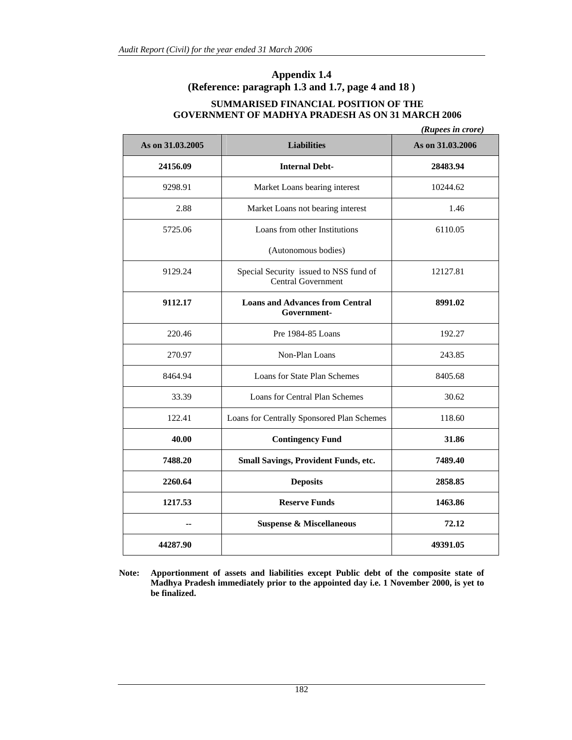### **Appendix 1.4 (Reference: paragraph 1.3 and 1.7, page 4 and 18 )**

### **SUMMARISED FINANCIAL POSITION OF THE GOVERNMENT OF MADHYA PRADESH AS ON 31 MARCH 2006**

|                  |                                                                     | (Rupees in crore) |
|------------------|---------------------------------------------------------------------|-------------------|
| As on 31.03.2005 | <b>Liabilities</b>                                                  | As on 31.03.2006  |
| 24156.09         | <b>Internal Debt-</b>                                               | 28483.94          |
| 9298.91          | Market Loans bearing interest                                       | 10244.62          |
| 2.88             | Market Loans not bearing interest                                   | 1.46              |
| 5725.06          | Loans from other Institutions                                       | 6110.05           |
|                  | (Autonomous bodies)                                                 |                   |
| 9129.24          | Special Security issued to NSS fund of<br><b>Central Government</b> | 12127.81          |
| 9112.17          | <b>Loans and Advances from Central</b><br>Government-               | 8991.02           |
| 220.46           | Pre 1984-85 Loans                                                   | 192.27            |
| 270.97           | Non-Plan Loans                                                      | 243.85            |
| 8464.94          | Loans for State Plan Schemes                                        | 8405.68           |
| 33.39            | <b>Loans for Central Plan Schemes</b>                               | 30.62             |
| 122.41           | Loans for Centrally Sponsored Plan Schemes                          | 118.60            |
| 40.00            | <b>Contingency Fund</b>                                             | 31.86             |
| 7488.20          | Small Savings, Provident Funds, etc.                                | 7489.40           |
| 2260.64          | <b>Deposits</b>                                                     | 2858.85           |
| 1217.53          | <b>Reserve Funds</b>                                                | 1463.86           |
| --               | <b>Suspense &amp; Miscellaneous</b>                                 | 72.12             |
| 44287.90         |                                                                     | 49391.05          |

**Note: Apportionment of assets and liabilities except Public debt of the composite state of Madhya Pradesh immediately prior to the appointed day i.e. 1 November 2000, is yet to be finalized.**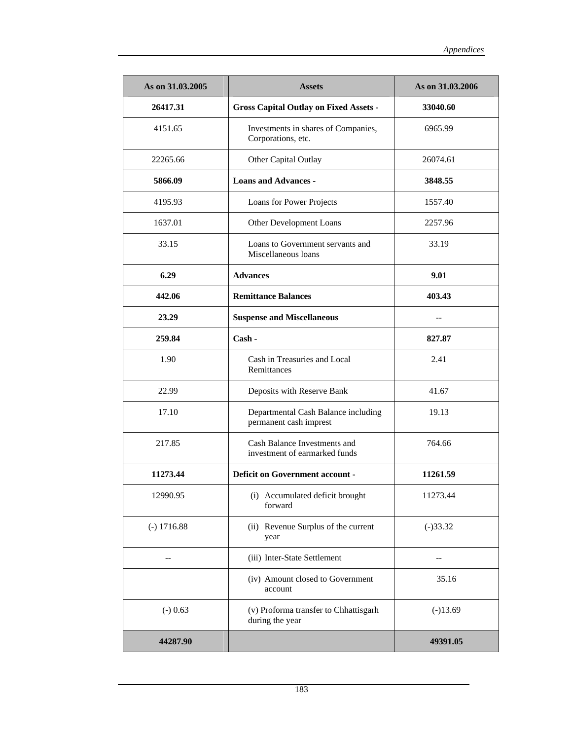| As on 31.03.2005 | <b>Assets</b>                                                 | As on 31.03.2006 |
|------------------|---------------------------------------------------------------|------------------|
| 26417.31         | <b>Gross Capital Outlay on Fixed Assets -</b>                 | 33040.60         |
| 4151.65          | Investments in shares of Companies,<br>Corporations, etc.     | 6965.99          |
| 22265.66         | Other Capital Outlay                                          | 26074.61         |
| 5866.09          | <b>Loans and Advances -</b>                                   | 3848.55          |
| 4195.93          | Loans for Power Projects                                      | 1557.40          |
| 1637.01          | Other Development Loans                                       | 2257.96          |
| 33.15            | Loans to Government servants and<br>Miscellaneous loans       | 33.19            |
| 6.29             | <b>Advances</b>                                               | 9.01             |
| 442.06           | <b>Remittance Balances</b>                                    | 403.43           |
| 23.29            | <b>Suspense and Miscellaneous</b>                             |                  |
| 259.84           | Cash -                                                        | 827.87           |
| 1.90             | Cash in Treasuries and Local<br>Remittances                   | 2.41             |
| 22.99            | Deposits with Reserve Bank                                    | 41.67            |
| 17.10            | Departmental Cash Balance including<br>permanent cash imprest | 19.13            |
| 217.85           | Cash Balance Investments and<br>investment of earmarked funds | 764.66           |
| 11273.44         | <b>Deficit on Government account -</b>                        | 11261.59         |
| 12990.95         | (i) Accumulated deficit brought<br>forward                    | 11273.44         |
| $(-) 1716.88$    | (ii) Revenue Surplus of the current<br>year                   | $(-)33.32$       |
|                  | (iii) Inter-State Settlement                                  |                  |
|                  | (iv) Amount closed to Government<br>account                   | 35.16            |
| $(-)$ 0.63       | (v) Proforma transfer to Chhattisgarh<br>during the year      | $(-)13.69$       |
| 44287.90         |                                                               | 49391.05         |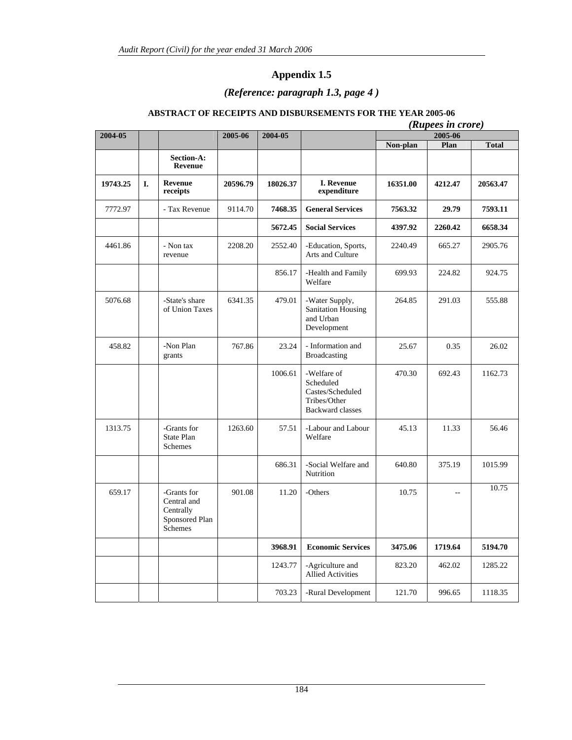### *(Reference: paragraph 1.3, page 4 )*

### **ABSTRACT OF RECEIPTS AND DISBURSEMENTS FOR THE YEAR 2005-06**

|          |    |                                                                      |          |          | (Rupees in crore)                                                                       |          |         |              |  |
|----------|----|----------------------------------------------------------------------|----------|----------|-----------------------------------------------------------------------------------------|----------|---------|--------------|--|
| 2004-05  |    |                                                                      | 2005-06  | 2004-05  |                                                                                         |          | 2005-06 |              |  |
|          |    | <b>Section-A:</b><br>Revenue                                         |          |          |                                                                                         | Non-plan | Plan    | <b>Total</b> |  |
| 19743.25 | L. | Revenue<br>receipts                                                  | 20596.79 | 18026.37 | <b>I.</b> Revenue<br>expenditure                                                        | 16351.00 | 4212.47 | 20563.47     |  |
| 7772.97  |    | - Tax Revenue                                                        | 9114.70  | 7468.35  | <b>General Services</b>                                                                 | 7563.32  | 29.79   | 7593.11      |  |
|          |    |                                                                      |          | 5672.45  | <b>Social Services</b>                                                                  | 4397.92  | 2260.42 | 6658.34      |  |
| 4461.86  |    | - Non tax<br>revenue                                                 | 2208.20  | 2552.40  | -Education, Sports,<br>Arts and Culture                                                 | 2240.49  | 665.27  | 2905.76      |  |
|          |    |                                                                      |          | 856.17   | -Health and Family<br>Welfare                                                           | 699.93   | 224.82  | 924.75       |  |
| 5076.68  |    | -State's share<br>of Union Taxes                                     | 6341.35  | 479.01   | -Water Supply,<br><b>Sanitation Housing</b><br>and Urban<br>Development                 | 264.85   | 291.03  | 555.88       |  |
| 458.82   |    | -Non Plan<br>grants                                                  | 767.86   | 23.24    | - Information and<br><b>Broadcasting</b>                                                | 25.67    | 0.35    | 26.02        |  |
|          |    |                                                                      |          | 1006.61  | -Welfare of<br>Scheduled<br>Castes/Scheduled<br>Tribes/Other<br><b>Backward classes</b> | 470.30   | 692.43  | 1162.73      |  |
| 1313.75  |    | -Grants for<br>State Plan<br>Schemes                                 | 1263.60  | 57.51    | -Labour and Labour<br>Welfare                                                           | 45.13    | 11.33   | 56.46        |  |
|          |    |                                                                      |          | 686.31   | -Social Welfare and<br><b>Nutrition</b>                                                 | 640.80   | 375.19  | 1015.99      |  |
| 659.17   |    | -Grants for<br>Central and<br>Centrally<br>Sponsored Plan<br>Schemes | 901.08   | 11.20    | -Others                                                                                 | 10.75    | $\sim$  | 10.75        |  |
|          |    |                                                                      |          | 3968.91  | <b>Economic Services</b>                                                                | 3475.06  | 1719.64 | 5194.70      |  |
|          |    |                                                                      |          | 1243.77  | -Agriculture and<br><b>Allied Activities</b>                                            | 823.20   | 462.02  | 1285.22      |  |
|          |    |                                                                      |          | 703.23   | -Rural Development                                                                      | 121.70   | 996.65  | 1118.35      |  |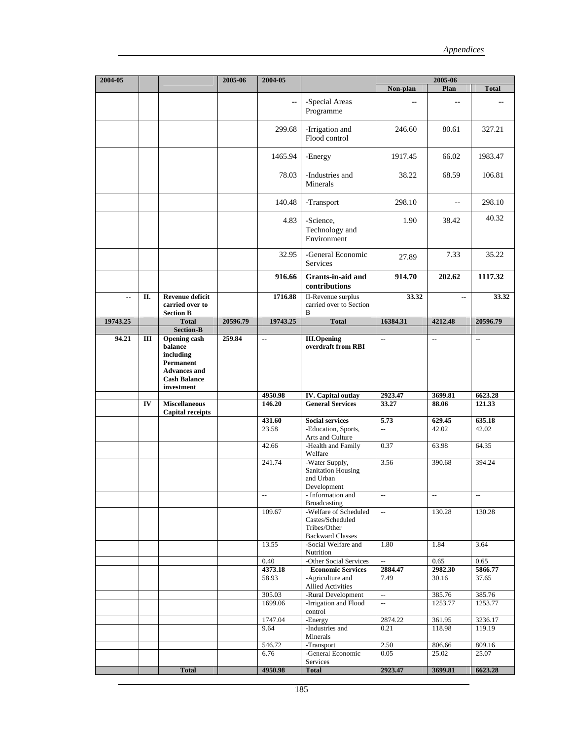| 2004-05  |     |                                                                                                     | 2005-06  | 2004-05                                       |                                                                                      | 2005-06                  |                          |                                               |
|----------|-----|-----------------------------------------------------------------------------------------------------|----------|-----------------------------------------------|--------------------------------------------------------------------------------------|--------------------------|--------------------------|-----------------------------------------------|
|          |     |                                                                                                     |          |                                               |                                                                                      | Non-plan                 | Plan                     | <b>Total</b>                                  |
|          |     |                                                                                                     |          | $\overline{\phantom{a}}$                      | -Special Areas<br>Programme                                                          |                          | $-$                      |                                               |
|          |     |                                                                                                     |          | 299.68                                        | -Irrigation and<br>Flood control                                                     | 246.60                   | 80.61                    | 327.21                                        |
|          |     |                                                                                                     |          | 1465.94                                       | -Energy                                                                              | 1917.45                  | 66.02                    | 1983.47                                       |
|          |     |                                                                                                     |          | 78.03                                         | -Industries and<br>Minerals                                                          | 38.22                    | 68.59                    | 106.81                                        |
|          |     |                                                                                                     |          | 140.48                                        | -Transport                                                                           | 298.10                   | $-$                      | 298.10                                        |
|          |     |                                                                                                     |          | 4.83                                          | -Science,<br>Technology and<br>Environment                                           | 1.90                     | 38.42                    | 40.32                                         |
|          |     |                                                                                                     |          | 32.95                                         | -General Economic<br>Services                                                        | 27.89                    | 7.33                     | 35.22                                         |
|          |     |                                                                                                     |          | 916.66                                        | Grants-in-aid and<br>contributions                                                   | 914.70                   | 202.62                   | 1117.32                                       |
| ۰.       | II. | <b>Revenue deficit</b><br>carried over to<br><b>Section B</b>                                       |          | 1716.88                                       | II-Revenue surplus<br>carried over to Section<br>B                                   | 33.32                    | ٠.                       | 33.32                                         |
| 19743.25 |     | <b>Total</b>                                                                                        | 20596.79 | 19743.25                                      | <b>Total</b>                                                                         | 16384.31                 | 4212.48                  | 20596.79                                      |
| 94.21    | Ш   | <b>Section-B</b><br><b>Opening cash</b><br>balance<br>including<br>Permanent<br><b>Advances and</b> | 259.84   | ۰.                                            | <b>III.Opening</b><br>overdraft from RBI                                             | ۰.                       | ۰.                       | --                                            |
|          |     | <b>Cash Balance</b><br>investment                                                                   |          |                                               |                                                                                      |                          |                          |                                               |
|          | IV  | <b>Miscellaneous</b>                                                                                |          | 4950.98<br>146.20                             | <b>IV.</b> Capital outlay<br><b>General Services</b>                                 | 2923.47<br>33.27         | 3699.81<br>88.06         | 6623.28<br>121.33                             |
|          |     | <b>Capital receipts</b>                                                                             |          | 431.60                                        | <b>Social services</b>                                                               | 5.73                     | 629.45                   | 635.18                                        |
|          |     |                                                                                                     |          | 23.58                                         | -Education, Sports,<br>Arts and Culture                                              | $\overline{\phantom{a}}$ | 42.02                    | 42.02                                         |
|          |     |                                                                                                     |          | 42.66                                         | -Health and Family<br>Welfare                                                        | 0.37                     | 63.98                    | 64.35                                         |
|          |     |                                                                                                     |          | 241.74                                        | -Water Supply,<br>Sanitation Housing<br>and Urban<br>Development                     | 3.56                     | 390.68                   | 394.24                                        |
|          |     |                                                                                                     |          | $\mathord{\hspace{1pt}\text{--}\hspace{1pt}}$ | - Information and<br><b>Broadcasting</b>                                             | $\overline{\phantom{a}}$ | $\overline{\phantom{a}}$ | $\mathord{\hspace{1pt}\text{--}\hspace{1pt}}$ |
|          |     |                                                                                                     |          | 109.67                                        | -Welfare of Scheduled<br>Castes/Scheduled<br>Tribes/Other<br><b>Backward Classes</b> | $\overline{\phantom{a}}$ | 130.28                   | 130.28                                        |
|          |     |                                                                                                     |          | 13.55                                         | -Social Welfare and<br>Nutrition                                                     | 1.80                     | 1.84                     | 3.64                                          |
|          |     |                                                                                                     |          | 0.40                                          | -Other Social Services                                                               | Ξ.                       | 0.65                     | 0.65                                          |
|          |     |                                                                                                     |          | 4373.18                                       | <b>Economic Services</b>                                                             | 2884.47                  | 2982.30                  | 5866.77                                       |
|          |     |                                                                                                     |          | 58.93                                         | -Agriculture and<br><b>Allied Activities</b>                                         | 7.49                     | 30.16                    | 37.65                                         |
|          |     |                                                                                                     |          | 305.03                                        | -Rural Development                                                                   | $\overline{\phantom{a}}$ | 385.76                   | 385.76                                        |
|          |     |                                                                                                     |          | 1699.06                                       | -Irrigation and Flood<br>control                                                     | $\mathbb{L}^2$           | 1253.77                  | 1253.77                                       |
|          |     |                                                                                                     |          | 1747.04<br>9.64                               | -Energy<br>-Industries and                                                           | 2874.22<br>0.21          | 361.95<br>118.98         | 3236.17<br>119.19                             |
|          |     |                                                                                                     |          | 546.72                                        | Minerals<br>-Transport                                                               | 2.50                     | 806.66                   | 809.16                                        |
|          |     |                                                                                                     |          | 6.76                                          | -General Economic<br>Services                                                        | 0.05                     | 25.02                    | 25.07                                         |
|          |     | <b>Total</b>                                                                                        |          | 4950.98                                       | <b>Total</b>                                                                         | 2923.47                  | 3699.81                  | 6623.28                                       |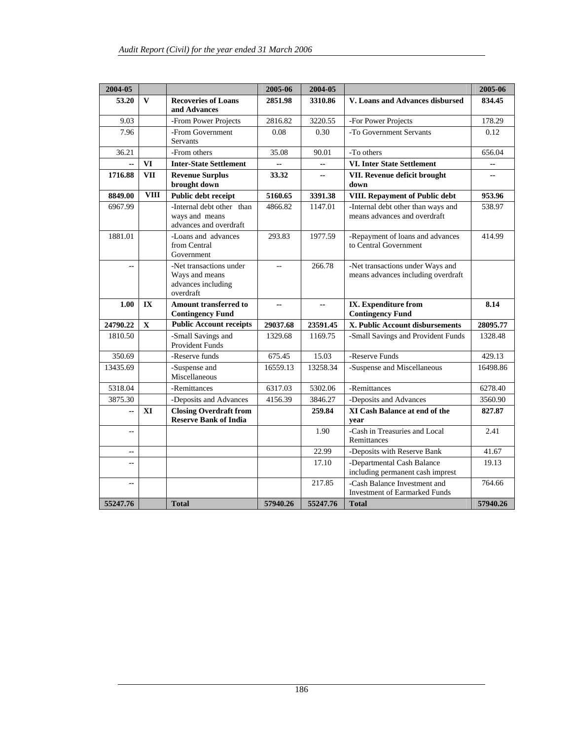| 2004-05                  |              |                                                                              | 2005-06  | 2004-05        |                                                                        | 2005-06  |
|--------------------------|--------------|------------------------------------------------------------------------------|----------|----------------|------------------------------------------------------------------------|----------|
| 53.20                    | $\mathbf{V}$ | <b>Recoveries of Loans</b><br>and Advances                                   | 2851.98  | 3310.86        | V. Loans and Advances disbursed                                        | 834.45   |
| 9.03                     |              | -From Power Projects                                                         | 2816.82  | 3220.55        | -For Power Projects                                                    | 178.29   |
| 7.96                     |              | -From Government<br>Servants                                                 | 0.08     | 0.30           | -To Government Servants                                                | 0.12     |
| 36.21                    |              | -From others                                                                 | 35.08    | 90.01          | -To others                                                             | 656.04   |
| Ξ.                       | <b>VI</b>    | <b>Inter-State Settlement</b>                                                |          | --             | <b>VI. Inter State Settlement</b>                                      | --       |
| 1716.88                  | <b>VII</b>   | <b>Revenue Surplus</b><br>brought down                                       | 33.32    | $\overline{a}$ | VII. Revenue deficit brought<br>down                                   | $-$      |
| 8849.00                  | <b>VIII</b>  | Public debt receipt                                                          | 5160.65  | 3391.38        | VIII. Repayment of Public debt                                         | 953.96   |
| 6967.99                  |              | -Internal debt other than<br>ways and means<br>advances and overdraft        | 4866.82  | 1147.01        | -Internal debt other than ways and<br>means advances and overdraft     | 538.97   |
| 1881.01                  |              | -Loans and advances<br>from Central<br>Government                            | 293.83   | 1977.59        | -Repayment of loans and advances<br>to Central Government              | 414.99   |
| $\overline{a}$           |              | -Net transactions under<br>Ways and means<br>advances including<br>overdraft | $-$      | 266.78         | -Net transactions under Ways and<br>means advances including overdraft |          |
| 1.00                     | IX           | Amount transferred to<br><b>Contingency Fund</b>                             | Ξ.       | --             | IX. Expenditure from<br><b>Contingency Fund</b>                        | 8.14     |
| 24790.22                 | $\mathbf X$  | <b>Public Account receipts</b>                                               | 29037.68 | 23591.45       | X. Public Account disbursements                                        | 28095.77 |
| 1810.50                  |              | -Small Savings and<br><b>Provident Funds</b>                                 | 1329.68  | 1169.75        | -Small Savings and Provident Funds                                     | 1328.48  |
| 350.69                   |              | -Reserve funds                                                               | 675.45   | 15.03          | -Reserve Funds                                                         | 429.13   |
| 13435.69                 |              | -Suspense and<br>Miscellaneous                                               | 16559.13 | 13258.34       | -Suspense and Miscellaneous                                            | 16498.86 |
| 5318.04                  |              | -Remittances                                                                 | 6317.03  | 5302.06        | -Remittances                                                           | 6278.40  |
| 3875.30                  |              | -Deposits and Advances                                                       | 4156.39  | 3846.27        | -Deposits and Advances                                                 | 3560.90  |
| $\overline{\phantom{a}}$ | XI           | <b>Closing Overdraft from</b><br><b>Reserve Bank of India</b>                |          | 259.84         | XI Cash Balance at end of the<br>vear                                  | 827.87   |
| $\overline{a}$           |              |                                                                              |          | 1.90           | -Cash in Treasuries and Local<br>Remittances                           | 2.41     |
| $\overline{\phantom{m}}$ |              |                                                                              |          | 22.99          | -Deposits with Reserve Bank                                            | 41.67    |
| u.                       |              |                                                                              |          | 17.10          | -Departmental Cash Balance<br>including permanent cash imprest         | 19.13    |
| $\mathbf{u}$             |              |                                                                              |          | 217.85         | -Cash Balance Investment and<br><b>Investment of Earmarked Funds</b>   | 764.66   |
| 55247.76                 |              | <b>Total</b>                                                                 | 57940.26 | 55247.76       | <b>Total</b>                                                           | 57940.26 |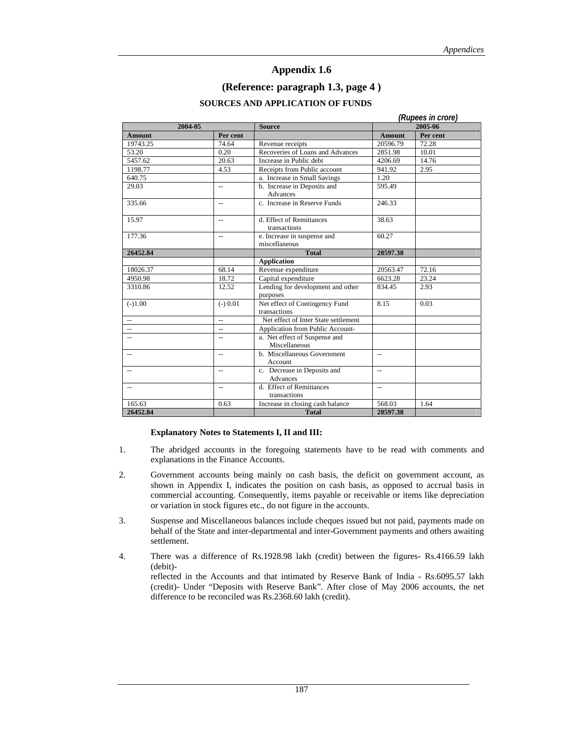#### **(Reference: paragraph 1.3, page 4 )**

#### **SOURCES AND APPLICATION OF FUNDS**

|               |                | (Rupees in crore)                              |                |          |  |  |
|---------------|----------------|------------------------------------------------|----------------|----------|--|--|
| 2004-05       |                | <b>Source</b>                                  |                | 2005-06  |  |  |
| <b>Amount</b> | Per cent       |                                                | <b>Amount</b>  | Per cent |  |  |
| 19743.25      | 74.64          | Revenue receipts                               | 20596.79       | 72.28    |  |  |
| 53.20         | 0.20           | Recoveries of Loans and Advances               | 2851.98        | 10.01    |  |  |
| 5457.62       | 20.63          | Increase in Public debt                        | 4206.69        | 14.76    |  |  |
| 1198.77       | 4.53           | Receipts from Public account                   | 941.92         | 2.95     |  |  |
| 640.75        |                | a. Increase in Small Savings                   | 1.20           |          |  |  |
| 29.03         | $\overline{a}$ | b. Increase in Deposits and<br>Advances        | 595.49         |          |  |  |
| 335.66        | $\overline{a}$ | c. Increase in Reserve Funds                   | 246.33         |          |  |  |
| 15.97         | $\overline{a}$ | d. Effect of Remittances<br>transactions       | 38.63          |          |  |  |
| 177.36        | $-$            | e. Increase in suspense and<br>miscellaneous   | 60.27          |          |  |  |
| 26452.84      |                | <b>Total</b>                                   | 28597.38       |          |  |  |
|               |                | <b>Application</b>                             |                |          |  |  |
| 18026.37      | 68.14          | Revenue expenditure                            | 20563.47       | 72.16    |  |  |
| 4950.98       | 18.72          | Capital expenditure                            | 6623.28        | 23.24    |  |  |
| 3310.86       | 12.52          | Lending for development and other<br>purposes  | 834.45         | 2.93     |  |  |
| $(-)1.00$     | $(-) 0.01$     | Net effect of Contingency Fund<br>transactions | 8.15           | 0.03     |  |  |
|               | $\overline{a}$ | Net effect of Inter State settlement           |                |          |  |  |
|               | $\overline{a}$ | Application from Public Account-               |                |          |  |  |
|               | $\overline{a}$ | a. Net effect of Suspense and<br>Miscellaneous |                |          |  |  |
| $-$           | $\overline{a}$ | b. Miscellaneous Government<br>Account         | $\sim$         |          |  |  |
|               | --             | c. Decrease in Deposits and<br><b>Advances</b> | $\overline{a}$ |          |  |  |
| $-$           | $\overline{a}$ | d. Effect of Remittances<br>transactions       | $\sim$         |          |  |  |
| 165.63        | 0.63           | Increase in closing cash balance               | 568.03         | 1.64     |  |  |
| 26452.84      |                | <b>Total</b>                                   | 28597.38       |          |  |  |

#### **Explanatory Notes to Statements I, II and III:**

- 1. The abridged accounts in the foregoing statements have to be read with comments and explanations in the Finance Accounts.
- 2. Government accounts being mainly on cash basis, the deficit on government account, as shown in Appendix I, indicates the position on cash basis, as opposed to accrual basis in commercial accounting. Consequently, items payable or receivable or items like depreciation or variation in stock figures etc., do not figure in the accounts.
- 3. Suspense and Miscellaneous balances include cheques issued but not paid, payments made on behalf of the State and inter-departmental and inter-Government payments and others awaiting settlement.
- 4. There was a difference of Rs.1928.98 lakh (credit) between the figures- Rs.4166.59 lakh (debit) reflected in the Accounts and that intimated by Reserve Bank of India - Rs.6095.57 lakh (credit)- Under "Deposits with Reserve Bank". After close of May 2006 accounts, the net difference to be reconciled was Rs.2368.60 lakh (credit).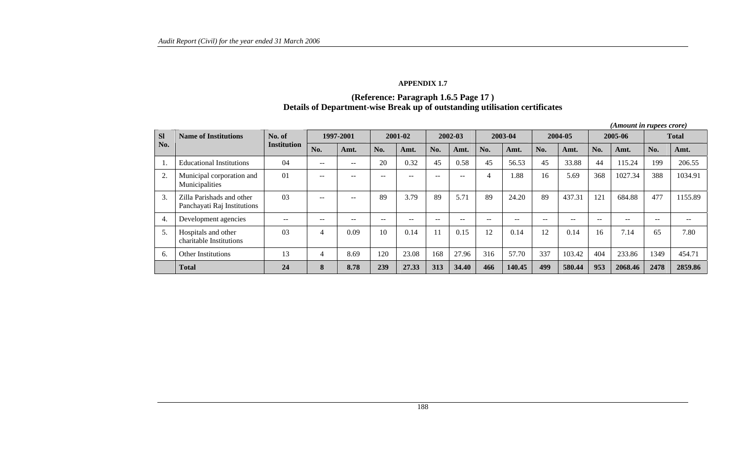#### **APPENDIX 1.7**

# **(Reference: Paragraph 1.6.5 Page 17 ) Details of Department-wise Break up of outstanding utilisation certificates**

|           | <i>(Amount in rupees crore)</i>                          |                |                          |                   |       |                   |       |               |       |         |       |         |         |         |                          |                          |
|-----------|----------------------------------------------------------|----------------|--------------------------|-------------------|-------|-------------------|-------|---------------|-------|---------|-------|---------|---------|---------|--------------------------|--------------------------|
| <b>Sl</b> | <b>Name of Institutions</b>                              | No. of         | 1997-2001                |                   |       | 2001-02           |       | 2002-03       |       | 2003-04 |       | 2004-05 | 2005-06 |         | <b>Total</b>             |                          |
| No.       |                                                          | Institution    | No.                      | Amt.              | No.   | Amt.              | No.   | Amt.          | No.   | Amt.    | No.   | Amt.    | No.     | Amt.    | No.                      | Amt.                     |
| 1.        | <b>Educational Institutions</b>                          | 04             | $\overline{\phantom{m}}$ | $\qquad \qquad -$ | 20    | 0.32              | 45    | 0.58          | 45    | 56.53   | 45    | 33.88   | 44      | 115.24  | 199                      | 206.55                   |
| 2.        | Municipal corporation and<br>Municipalities              | $\Omega$       | $\sim$ $\sim$            | $- -$             | $- -$ | $- -$             | $- -$ | $\sim$ $\sim$ | 4     | .88     | 16    | 5.69    | 368     | 1027.34 | 388                      | 1034.91                  |
| 3.        | Zilla Parishads and other<br>Panchayati Raj Institutions | 03             | $- -$                    | $- -$             | 89    | 3.79              | 89    | 5.71          | 89    | 24.20   | 89    | 437.31  | 121     | 684.88  | 477                      | 1155.89                  |
| 4.        | Development agencies                                     | $- -$          | $- -$                    | $\qquad \qquad -$ | $- -$ | $\qquad \qquad -$ | $- -$ | --            | $- -$ | $- -$   | $- -$ | $- -$   | $- -$   | $ -$    | $\overline{\phantom{m}}$ | $\overline{\phantom{m}}$ |
| 5.        | Hospitals and other<br>charitable Institutions           | 0 <sub>3</sub> | 4                        | 0.09              | 10    | 0.14              | 11    | 0.15          | 12    | 0.14    | 12    | 0.14    | 16      | 7.14    | 65                       | 7.80                     |
| 6.        | <b>Other Institutions</b>                                | 13             | 4                        | 8.69              | 20    | 23.08             | 168   | 27.96         | 316   | 57.70   | 337   | 103.42  | 404     | 233.86  | 1349                     | 454.71                   |
|           | <b>Total</b>                                             | 24             | 8                        | 8.78              | 239   | 27.33             | 313   | 34.40         | 466   | 140.45  | 499   | 580.44  | 953     | 2068.46 | 2478                     | 2859.86                  |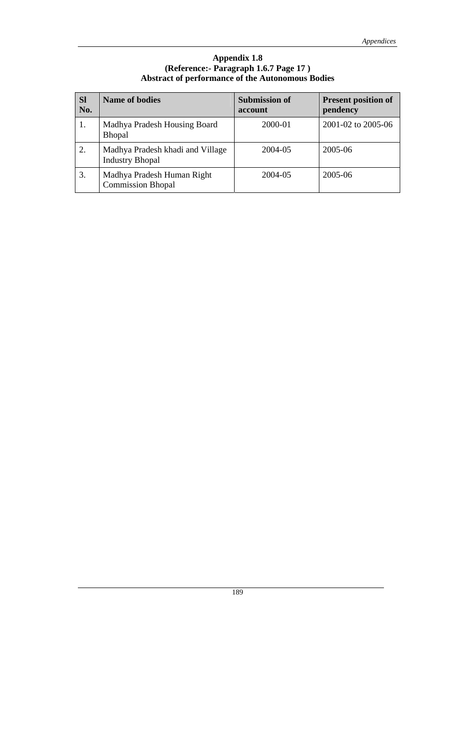### **Appendix 1.8 (Reference:- Paragraph 1.6.7 Page 17 ) Abstract of performance of the Autonomous Bodies**

| <b>Sl</b><br>No. | <b>Name of bodies</b>                                      | <b>Submission of</b><br>account | <b>Present position of</b><br>pendency |
|------------------|------------------------------------------------------------|---------------------------------|----------------------------------------|
|                  | Madhya Pradesh Housing Board<br><b>Bhopal</b>              | 2000-01                         | 2001-02 to 2005-06                     |
| 2.               | Madhya Pradesh khadi and Village<br><b>Industry Bhopal</b> | 2004-05                         | 2005-06                                |
| 3.               | Madhya Pradesh Human Right<br><b>Commission Bhopal</b>     | 2004-05                         | 2005-06                                |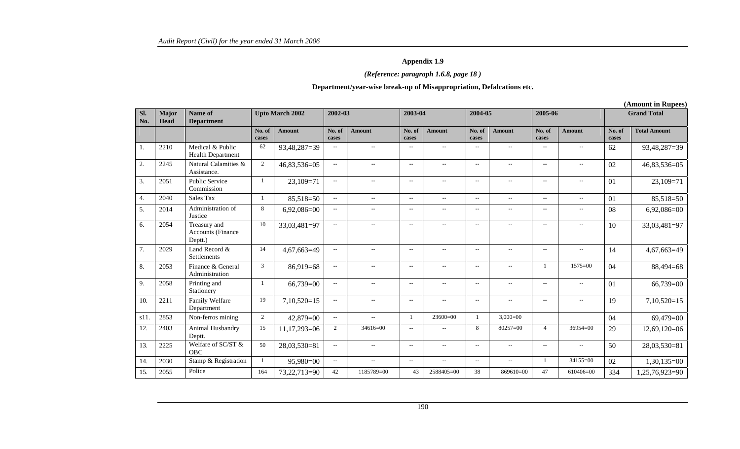### *(Reference: paragraph 1.6.8, page 18 )*

#### **Department/year-wise break-up of Misappropriation, Defalcations etc.**

**(Amount in Rupees)** 

| Sl.<br>No.       | Major<br>Head | Name of<br><b>Department</b>                 | <b>Upto March 2002</b> |               |                          | 2002-03                     |                          | 2003-04                  |                             | 2004-05                  |                          | 2005-06                  |                 | <b>Grand Total</b>  |  |
|------------------|---------------|----------------------------------------------|------------------------|---------------|--------------------------|-----------------------------|--------------------------|--------------------------|-----------------------------|--------------------------|--------------------------|--------------------------|-----------------|---------------------|--|
|                  |               |                                              | No. of<br>cases        | <b>Amount</b> | No. of<br>cases          | <b>Amount</b>               | No. of<br>cases          | <b>Amount</b>            | No. of<br>cases             | <b>Amount</b>            | No. of<br>cases          | <b>Amount</b>            | No. of<br>cases | <b>Total Amount</b> |  |
| 1.               | 2210          | Medical & Public<br><b>Health Department</b> | 62                     | 93,48,287=39  | $\sim$ $\sim$            | $\overline{a}$              | $-$                      | $\sim$                   | $\overline{a}$              | $\overline{\phantom{a}}$ | $\overline{a}$           | $-$                      | 62              | 93,48,287=39        |  |
| 2.               | 2245          | Natural Calamities &<br>Assistance.          | 2                      | 46,83,536=05  | $\overline{a}$           | $- -$                       | $\sim$ $\sim$            | $\overline{\phantom{a}}$ | $\overline{\phantom{a}}$    | $\sim$ $\sim$            | $\overline{\phantom{a}}$ | $\overline{\phantom{a}}$ | 02              | 46,83,536=05        |  |
| 3.               | 2051          | <b>Public Service</b><br>Commission          |                        | $23,109=71$   | $\sim$ $\sim$            | $\overline{\phantom{a}}$    | $\sim$                   | $\overline{\phantom{a}}$ | $\sim$ $\sim$               | $\overline{\phantom{a}}$ | $\sim$ $\sim$            | $\overline{\phantom{a}}$ | 01              | $23,109=71$         |  |
| $\overline{4}$ . | 2040          | Sales Tax                                    | 1                      | 85,518=50     | $\sim$ $\sim$            | $\overline{a}$              | $\sim$ $\sim$            | $\sim$ $\sim$            | $\mathcal{L}_{\mathcal{L}}$ | $-$                      | $\sim$ $\sim$            | $\overline{\phantom{a}}$ | 01              | 85,518=50           |  |
| 5.               | 2014          | Administration of<br>Justice                 | 8                      | $6,92,086=00$ | $- -$                    | $\overline{\phantom{a}}$    | $\overline{\phantom{a}}$ | $\overline{a}$           | --                          | $\qquad \qquad -$        | $\overline{\phantom{a}}$ | $\overline{a}$           | 08              | $6,92,086=00$       |  |
| 6.               | 2054          | Treasury and<br>Accounts (Finance<br>Deptt.) | 10                     | 33,03,481=97  | $\sim$                   | $\overline{\phantom{a}}$    | $\overline{\phantom{a}}$ | $\overline{\phantom{a}}$ | $\overline{\phantom{m}}$    | $\overline{\phantom{a}}$ | $\overline{\phantom{a}}$ | $\overline{\phantom{m}}$ | 10              | 33,03,481=97        |  |
| 7.               | 2029          | Land Record &<br>Settlements                 | 14                     | 4,67,663=49   | $\overline{\phantom{a}}$ | $\overline{a}$              | $\overline{\phantom{a}}$ | $\overline{a}$           | $\overline{a}$              |                          | $\overline{\phantom{a}}$ | $\overline{a}$           | 14              | 4,67,663=49         |  |
| 8.               | 2053          | Finance & General<br>Administration          | 3                      | $86,919=68$   | $\sim$                   | $\overline{a}$              | $\sim$ $\sim$            | $-$                      | $\sim$ $\sim$               | $\overline{\phantom{a}}$ |                          | $1575 = 00$              | 04              | 88,494=68           |  |
| 9.               | 2058          | Printing and<br>Stationery                   |                        | 66,739=00     | $\overline{\phantom{a}}$ | $\overline{a}$              | $\sim$ $\sim$            | $\overline{\phantom{a}}$ | $\mathcal{L}_{\mathcal{L}}$ | $-$                      | $\sim$ $\sim$            | $\overline{\phantom{a}}$ | 01              | $66,739=00$         |  |
| 10.              | 2211          | Family Welfare<br>Department                 | 19                     | $7,10,520=15$ | $\overline{a}$           | $- -$                       | $\overline{\phantom{a}}$ | $\overline{\phantom{a}}$ | $\overline{\phantom{a}}$    | $\sim$                   | $\overline{\phantom{a}}$ | $\overline{\phantom{a}}$ | 19              | $7,10,520=15$       |  |
| s11              | 2853          | Non-ferros mining                            | 2                      | $42,879=00$   | $\sim$ $\sim$            | $-$                         |                          | 23600=00                 | $\mathbf{1}$                | $3,000=00$               |                          |                          | 04              | 69,479=00           |  |
| 12.              | 2403          | Animal Husbandry<br>Deptt.                   | 15                     | 11,17,293=06  | 2                        | $34616 = 00$                | $-$                      | $-$                      | 8                           | $80257=00$               | $\overline{4}$           | $36954=00$               | 29              | $12,69,120=06$      |  |
| 13.              | 2225          | Welfare of SC/ST &<br>OBC                    | 50                     | 28,03,530=81  | $\sim$ $\sim$            | $\mathcal{L}_{\mathcal{L}}$ | $\sim$                   | $\overline{\phantom{a}}$ | $\sim$ $\sim$               | $\sim$ $\sim$            | $\sim$ $\sim$            | $\overline{\phantom{a}}$ | 50              | 28,03,530=81        |  |
| 14.              | 2030          | Stamp & Registration                         | $\mathbf{1}$           | 95,980=00     | $\sim$ $\sim$            | $\overline{a}$              | $\sim$ $\sim$            | $\sim$ $\sim$            | $\overline{\phantom{a}}$    | $- -$                    |                          | $34155=00$               | 02              | $1,30,135=00$       |  |
| 15.              | 2055          | Police                                       | 164                    | 73,22,713=90  | 42                       | 1185789=00                  | 43                       | 2588405=00               | 38                          | 869610=00                | 47                       | 610406=00                | 334             | 1,25,76,923=90      |  |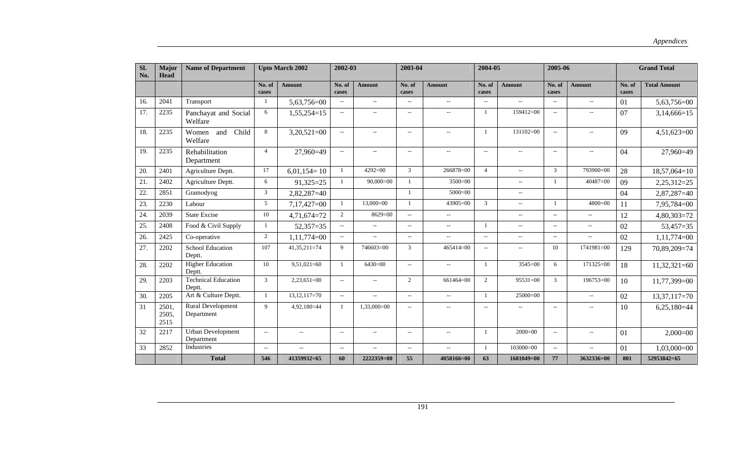| SI.<br>No. | Major<br><b>Head</b>   | <b>Name of Department</b>            |                          | <b>Upto March 2002</b> | 2002-03                  |                          | 2003-04                  |                             | 2004-05                  |                             |                             | 2005-06                  |                 | <b>Grand Total</b>  |
|------------|------------------------|--------------------------------------|--------------------------|------------------------|--------------------------|--------------------------|--------------------------|-----------------------------|--------------------------|-----------------------------|-----------------------------|--------------------------|-----------------|---------------------|
|            |                        |                                      | No. of<br>cases          | <b>Amount</b>          | No. of<br>cases          | <b>Amount</b>            | No. of<br>cases          | <b>Amount</b>               | No. of<br>cases          | <b>Amount</b>               | No. of<br>cases             | <b>Amount</b>            | No. of<br>cases | <b>Total Amount</b> |
| 16.        | 2041                   | Transport                            | 1                        | 5,63,756=00            | $\sim$ $\sim$            | $\overline{\phantom{a}}$ | $\overline{a}$           | $\overline{\phantom{a}}$    | $\sim$ $\sim$            | $\mathcal{L}_{\mathcal{A}}$ | $\sim$ $\sim$               | $\overline{\phantom{a}}$ | 01              | 5,63,756=00         |
| 17.        | 2235                   | Panchayat and Social<br>Welfare      | 6                        | 1,55,254=15            | $\sim$                   | $\overline{a}$           | $\overline{a}$           | $\sim$ $\sim$               |                          | $159412=00$                 | $\mathcal{L}_{\mathcal{A}}$ | $\overline{a}$           | 07              | $3,14,666=15$       |
| 18.        | 2235                   | Child<br>Women<br>and<br>Welfare     | 8                        | $3,20,521=00$          | $\sim$ $\sim$            | $\overline{a}$           | $\overline{a}$           | $\mathcal{L}_{\mathcal{A}}$ |                          | $131102 = 00$               | $\overline{\phantom{a}}$    | $\overline{\phantom{a}}$ | 09              | $4,51,623=00$       |
| 19.        | 2235                   | Rehabilitation<br>Department         | $\overline{4}$           | 27,960=49              | $\sim$                   | $\overline{a}$           | $\overline{a}$           | $\overline{\phantom{a}}$    | $\overline{\phantom{a}}$ | $\sim$ $\sim$               | $\overline{\phantom{a}}$    | $\overline{a}$           | 04              | 27,960=49           |
| 20.        | 2401                   | Agriculture Deptt.                   | 17                       | $6,01,154=10$          | $\overline{1}$           | $4292 = 00$              | 3                        | 266878=00                   | $\overline{4}$           | $\mathcal{L}_{\mathcal{A}}$ | 3                           | 793900=00                | 28              | $18,57,064=10$      |
| 21.        | 2402                   | Agriculture Deptt.                   | 6                        | $91,325=25$            | $\overline{1}$           | $90,000=00$              | $\overline{1}$           | $3500 = 00$                 |                          | $\sim$                      | $\overline{1}$              | $40487=00$               | 09              | 2,25,312=25         |
| 22         | 2851                   | Gramodyog                            | 3                        | $2,82,287=40$          |                          |                          | $\overline{1}$           | $5000=00$                   |                          | $\sim$                      |                             |                          | 04              | 2,87,287=40         |
| 23.        | 2230                   | Labour                               | 5                        | $7,17,427=00$          | $\overline{1}$           | $13,000=00$              | $\mathbf{1}$             | 43905=00                    | 3                        | $\sim$                      | - 1                         | $4800 = 00$              | 11              | 7,95,784=00         |
| 24.        | 2039                   | <b>State Excise</b>                  | 10                       | $4,71,674=72$          | 2                        | $8629=00$                | $\overline{\phantom{a}}$ | $\overline{\phantom{a}}$    |                          | $\sim$ $\sim$               | $\sim$                      | $\sim$ $\sim$            | 12              | $4,80,303=72$       |
| 25.        | 2408                   | Food & Civil Supply                  |                          | $52,357=35$            | $\sim$                   | $\overline{a}$           | $\overline{a}$           | $\overline{\phantom{a}}$    |                          | $\sim$ $\sim$               | $\sim$ $\sim$               | $\sim$ $\sim$            | 02              | 53,457=35           |
| 26.        | 2425                   | Co-operative                         | 2                        | $1,11,774=00$          | $\sim$                   | $\overline{\phantom{a}}$ | $\overline{\phantom{m}}$ | $\overline{\phantom{a}}$    | $\overline{a}$           | $\sim$                      | $\overline{\phantom{a}}$    | $\sim$                   | 02              | $1,11,774=00$       |
| 27.        | 2202                   | <b>School Education</b><br>Deptt.    | 107                      | 41,35,211=74           | 9                        | 746603=00                | 3                        | $465414=00$                 | $\sim$                   | $\mathbf{u}$                | 10                          | 1741981=00               | 129             | 70,89,209=74        |
| 28.        | 2202                   | <b>Higher Education</b><br>Deptt.    | 10                       | $9,51,021=60$          | $\overline{1}$           | $6430=00$                | $\overline{\phantom{a}}$ | $\overline{\phantom{a}}$    | $\overline{1}$           | $3545=00$                   | 6                           | 171325=00                | 18              | $11,32,321=60$      |
| 29.        | 2203                   | <b>Technical Education</b><br>Deptt. | 3                        | $2,23,651=00$          | $\overline{\phantom{a}}$ | $- -$                    | 2                        | 661464=00                   | 2                        | $95531=00$                  | 3                           | 196753=00                | 10              | 11,77,399=00        |
| 30.        | 2205                   | Art & Culture Deptt.                 | $\overline{1}$           | $13, 12, 117 = 70$     | $\sim$                   | $\overline{\phantom{a}}$ | $\overline{a}$           | $\sim$                      |                          | $25000=00$                  |                             | $\overline{\phantom{m}}$ | 02              | $13,37,117=70$      |
| 31         | 2501,<br>2505,<br>2515 | Rural Development<br>Department      | $\mathbf Q$              | $4,92,180=44$          | -1                       | $1,33,000=00$            | $\overline{a}$           | $\sim$                      | $\overline{\phantom{m}}$ | $\sim$ $\sim$               | $\overline{\phantom{m}}$    | $\overline{a}$           | 10              | $6,25,180=44$       |
| 32         | 2217                   | Urban Development<br>Department      | $\sim$                   | $\overline{a}$         | $\sim$                   | $\overline{a}$           | $\overline{a}$           | $\sim$                      | $\overline{1}$           | $2000=00$                   | $\sim$                      | $\sim$                   | 01              | $2,000=00$          |
| 33         | 2852                   | Industries                           | $\overline{\phantom{a}}$ | $\overline{a}$         | $\sim$                   | $-$                      | $\mathbf{u}$             | $\sim$                      | $\overline{1}$           | $103000 = 00$               | $\overline{\phantom{a}}$    | $\overline{\phantom{a}}$ | 01              | $1,03,000=00$       |
|            |                        | <b>Total</b>                         | 546                      | 41359932=65            | 60                       | 2222359=00               | 55                       | 4058166=00                  | 63                       | 1681049=00                  | 77                          | 3632336=00               | 801             | 52953842=65         |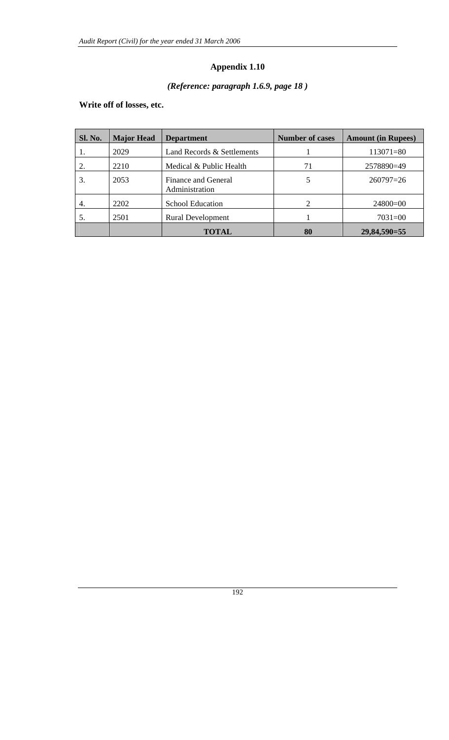# *(Reference: paragraph 1.6.9, page 18 )*

# **Write off of losses, etc.**

| Sl. No. | <b>Major Head</b> | <b>Department</b>                     | <b>Number of cases</b> | <b>Amount (in Rupees)</b> |
|---------|-------------------|---------------------------------------|------------------------|---------------------------|
|         | 2029              | Land Records & Settlements            |                        | $113071 = 80$             |
|         | 2210              | Medical & Public Health               | 71                     | 2578890=49                |
| 3.      | 2053              | Finance and General<br>Administration | 5                      | $260797=26$               |
| 4.      | 2202              | <b>School Education</b>               | 2                      | $24800=00$                |
|         | 2501              | <b>Rural Development</b>              |                        | $7031 = 00$               |
|         |                   | <b>TOTAL</b>                          | 80                     | 29,84,590=55              |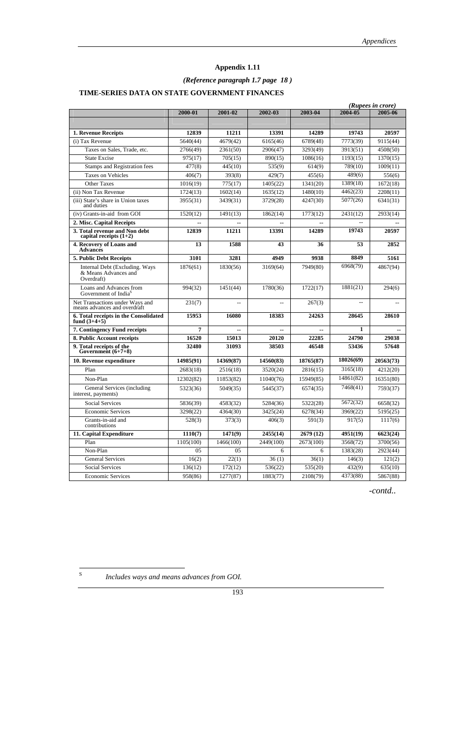# *(Reference paragraph 1.7 page 18 )*

### **TIME-SERIES DATA ON STATE GOVERNMENT FINANCES**

|                                                                      |           |                |           |           |           | (Rupees in crore) |
|----------------------------------------------------------------------|-----------|----------------|-----------|-----------|-----------|-------------------|
|                                                                      | 2000-01   | 2001-02        | 2002-03   | 2003-04   | 2004-05   | 2005-06           |
|                                                                      |           |                |           |           |           |                   |
| 1. Revenue Receipts                                                  | 12839     | 11211          | 13391     | 14289     | 19743     | 20597             |
| (i) Tax Revenue                                                      | 5640(44)  | 4679(42)       | 6165(46)  | 6789(48)  | 7773(39)  | 9115(44)          |
| Taxes on Sales, Trade, etc.                                          | 2766(49)  | 2361(50)       | 2906(47)  | 3293(49)  | 3913(51)  | 4508(50)          |
| <b>State Excise</b>                                                  | 975(17)   | 705(15)        | 890(15)   | 1086(16)  | 1193(15)  | 1370(15)          |
| Stamps and Registration fees                                         | 477(8)    | 445(10)        | 535(9)    | 614(9)    | 789(10)   | 1009(11)          |
| <b>Taxes on Vehicles</b>                                             | 406(7)    | 393(8)         | 429(7)    | 455(6)    | 489(6)    | 556(6)            |
| <b>Other Taxes</b>                                                   | 1016(19)  | 775(17)        | 1405(22)  | 1341(20)  | 1389(18)  | 1672(18)          |
| (ii) Non Tax Revenue                                                 | 1724(13)  | 1602(14)       | 1635(12)  | 1480(10)  | 4462(23)  | 2208(11)          |
| (iii) State's share in Union taxes<br>and duties                     | 3955(31)  | 3439(31)       | 3729(28)  | 4247(30)  | 5077(26)  | 6341(31)          |
| (iv) Grants-in-aid from GOI                                          | 1520(12)  | 1491(13)       | 1862(14)  | 1773(12)  | 2431(12)  | 2933(14)          |
| 2. Misc. Capital Receipts                                            |           |                |           |           |           |                   |
| 3. Total revenue and Non debt<br>capital receipts $(1+2)$            | 12839     | 11211          | 13391     | 14289     | 19743     | 20597             |
| 4. Recovery of Loans and<br><b>Advances</b>                          | 13        | 1588           | 43        | 36        | 53        | 2852              |
| 5. Public Debt Receipts                                              | 3101      | 3281           | 4949      | 9938      | 8849      | 5161              |
| Internal Debt (Excluding, Ways<br>& Means Advances and<br>Overdraft) | 1876(61)  | 1830(56)       | 3169(64)  | 7949(80)  | 6968(79)  | 4867(94)          |
| Loans and Advances from<br>Government of India <sup>5</sup>          | 994(32)   | 1451(44)       | 1780(36)  | 1722(17)  | 1881(21)  | 294(6)            |
| Net Transactions under Ways and<br>means advances and overdraft      | 231(7)    |                |           | 267(3)    |           |                   |
| 6. Total receipts in the Consolidated<br>fund $(3+4+5)$              | 15953     | 16080          | 18383     | 24263     | 28645     | 28610             |
| 7. Contingency Fund receipts                                         | 7         | $\overline{a}$ | $-$       | $-$       | 1         |                   |
| 8. Public Account receipts                                           | 16520     | 15013          | 20120     | 22285     | 24790     | 29038             |
| 9. Total receipts of the<br>Government $(6+7+8)$                     | 32480     | 31093          | 38503     | 46548     | 53436     | 57648             |
| 10. Revenue expenditure                                              | 14985(91) | 14369(87)      | 14560(83) | 18765(87) | 18026(69) | 20563(73)         |
| Plan                                                                 | 2683(18)  | 2516(18)       | 3520(24)  | 2816(15)  | 3165(18)  | 4212(20)          |
| Non-Plan                                                             | 12302(82) | 11853(82)      | 11040(76) | 15949(85) | 14861(82) | 16351(80)         |
| General Services (including<br>interest, payments)                   | 5323(36)  | 5049(35)       | 5445(37)  | 6574(35)  | 7468(41)  | 7593(37)          |
| <b>Social Services</b>                                               | 5836(39)  | 4583(32)       | 5284(36)  | 5322(28)  | 5672(32)  | 6658(32)          |
| <b>Economic Services</b>                                             | 3298(22)  | 4364(30)       | 3425(24)  | 6278(34)  | 3969(22)  | 5195(25)          |
| Grants-in-aid and<br>contributions                                   | 528(3)    | 373(3)         | 406(3)    | 591(3)    | 917(5)    | 1117(6)           |
| 11. Capital Expenditure                                              | 1110(7)   | 1471(9)        | 2455(14)  | 2679(12)  | 4951(19)  | 6623(24)          |
| Plan                                                                 | 1105(100) | 1466(100)      | 2449(100) | 2673(100) | 3568(72)  | 3700(56)          |
| Non-Plan                                                             | 05        | 05             | 6         | 6         | 1383(28)  | 2923(44)          |
| <b>General Services</b>                                              | 16(2)     | 22(1)          | 36(1)     | 36(1)     | 146(3)    | 121(2)            |
| <b>Social Services</b>                                               | 136(12)   | 172(12)        | 536(22)   | 535(20)   | 432(9)    | 635(10)           |
| <b>Economic Services</b>                                             | 958(86)   | 1277(87)       | 1883(77)  | 2108(79)  | 4373(88)  | 5867(88)          |

*-contd..* 

 $\mathbf S$ 

Includes ways and means advances from GOI.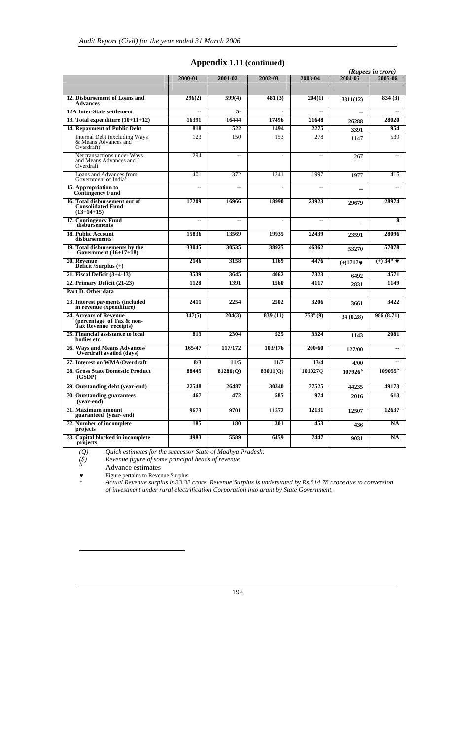|                                                                              |                |                          |                |                |                | (Rupees in crore)   |
|------------------------------------------------------------------------------|----------------|--------------------------|----------------|----------------|----------------|---------------------|
|                                                                              | 2000-01        | 2001-02                  | 2002-03        | 2003-04        | 2004-05        | 2005-06             |
|                                                                              |                |                          |                |                |                |                     |
| 12. Disbursement of Loans and<br><b>Advances</b>                             | 296(2)         | 599(4)                   | 481(3)         | 204(1)         | 3311(12)       | 834 (3)             |
| <b>12A Inter-State settlement</b>                                            | $\overline{a}$ | 5.                       | $\blacksquare$ | $\overline{a}$ | $\overline{a}$ |                     |
| 13. Total expenditure $(10+11+12)$                                           | 16391          | 16444                    | 17496          | 21648          | 26288          | 28020               |
| 14. Repayment of Public Debt                                                 | 818            | 522                      | 1494           | 2275           | 3391           | 954                 |
| <b>Internal Debt (excluding Ways</b><br>& Means Advances and<br>Overdraft)   | 123            | 150                      | 153            | 278            | 1147           | 539                 |
| Net transactions under Ways<br>and Means Advances and<br>Overdraft           | 294            | $\sim$                   |                | $\sim$         | 267            |                     |
| Loans and Advances from<br>Government of India <sup>s</sup>                  | 401            | 372                      | 1341           | 1997           | 1977           | 415                 |
| 15. Appropriation to<br><b>Contingency Fund</b>                              | $\overline{a}$ | Ξ.                       | $\overline{a}$ | $\overline{a}$ |                |                     |
| 16. Total disbursement out of<br><b>Consolidated Fund</b><br>$(13+14+15)$    | 17209          | 16966                    | 18990          | 23923          | 29679          | 28974               |
| 17. Contingency Fund<br>disbursements                                        | $-$            | $\overline{\phantom{a}}$ | $\overline{a}$ | $\overline{a}$ | --             | 8                   |
| <b>18. Public Account</b><br>disbursements                                   | 15836          | 13569                    | 19935          | 22439          | 23591          | 28096               |
| 19. Total disbursements by the<br>Government $(16+17+18)$                    | 33045          | 30535                    | 38925          | 46362          | 53270          | 57078               |
| 20. Revenue<br>Deficit /Surplus $(+)$                                        | 2146           | 3158                     | 1169           | 4476           | $(+)1717$      | $(+)$ 34*           |
| 21. Fiscal Deficit (3+4-13)                                                  | 3539           | 3645                     | 4062           | 7323           | 6492           | 4571                |
| 22. Primary Deficit (21-23)                                                  | 1128           | 1391                     | 1560           | 4117           | 2831           | 1149                |
| Part D. Other data                                                           |                |                          |                |                |                |                     |
| 23. Interest payments (included<br>in revenue expenditure)                   | 2411           | 2254                     | 2502           | 3206           | 3661           | 3422                |
| 24. Arrears of Revenue<br>(percentage of Tax & non-<br>Tax Revenue receipts) | 347(5)         | 204(3)                   | 839 (11)       | $758s$ (9)     | 34 (0.28)      | 986 (8.71)          |
| 25. Financial assistance to local<br>bodies etc.                             | 813            | 2304                     | 525            | 3324           | 1143           | 2081                |
| 26. Ways and Means Advances/<br>Overdraft availed (days)                     | 165/47         | 117/172                  | 103/176        | 200/60         | 127/00         |                     |
| 27. Interest on WMA/Overdraft                                                | 8/3            | 11/5                     | 11/7           | 13/4           | 4/00           |                     |
| <b>28. Gross State Domestic Product</b><br>(GSDP)                            | 88445          | 81286(O)                 | 83011(0)       | 1010270        | $107926^A$     | 109055 <sup>A</sup> |
| 29. Outstanding debt (year-end)                                              | 22548          | 26487                    | 30340          | 37525          | 44235          | 49173               |
| 30. Outstanding guarantees<br>(vear-end)                                     | 467            | 472                      | 585            | 974            | 2016           | 613                 |
| 31. Maximum amount<br>guaranteed (year-end)                                  | 9673           | 9701                     | 11572          | 12131          | 12507          | 12637               |
| 32. Number of incomplete<br>projects                                         | 185            | 180                      | 301            | 453            | 436            | <b>NA</b>           |
| 33. Capital blocked in incomplete<br>projects                                | 4983           | 5589                     | 6459           | 7447           | 9031           | $\overline{NA}$     |

### **Appendix 1.11 (continued)**

*(Q) Quick estimates for the successor State of Madhya Pradesh.* 

 $\widetilde{R}$  *Revenue figure of some principal heads of revenue* 

A<br>
Advance estimates<br>
Figure pertains to Rever<br>
Actual Revenue surpl

 $\overline{a}$ 

♥ Figure pertains to Revenue Surplus

*\* Actual Revenue surplus is 33.32 crore. Revenue Surplus is understated by Rs.814.78 crore due to conversion of investment under rural electrification Corporation into grant by State Government.*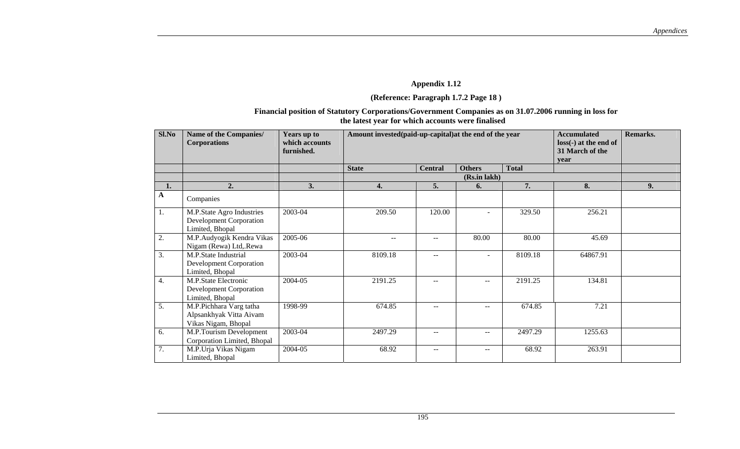### **(Reference: Paragraph 1.7.2 Page 18 )**

### **Financial position of Statutory Corporations/Government Companies as on 31.07.2006 running in loss for the latest year for which accounts were finalised**

| Sl.No       | Name of the Companies/<br><b>Corporations</b>                                  | Years up to<br>which accounts<br>furnished. | Amount invested(paid-up-capital) at the end of the year |                          | <b>Accumulated</b><br>$loss(-)$ at the end of<br>31 March of the<br>year | Remarks.     |          |    |
|-------------|--------------------------------------------------------------------------------|---------------------------------------------|---------------------------------------------------------|--------------------------|--------------------------------------------------------------------------|--------------|----------|----|
|             |                                                                                |                                             | <b>State</b>                                            | <b>Central</b>           | <b>Others</b>                                                            | <b>Total</b> |          |    |
|             |                                                                                |                                             |                                                         |                          | (Rs.in lakh)                                                             |              |          |    |
| 1.          | $\overline{2}$ .                                                               | 3.                                          | 4.                                                      | 5.                       | 6.                                                                       | 7.           | 8.       | 9. |
| $\mathbf A$ | Companies                                                                      |                                             |                                                         |                          |                                                                          |              |          |    |
| 1.          | M.P.State Agro Industries<br><b>Development Corporation</b><br>Limited, Bhopal | 2003-04                                     | 209.50                                                  | 120.00                   |                                                                          | 329.50       | 256.21   |    |
| 2.          | M.P.Audyogik Kendra Vikas<br>Nigam (Rewa) Ltd, Rewa                            | 2005-06                                     | $\sim$ $\sim$                                           | $\sim$ $\sim$            | 80.00                                                                    | 80.00        | 45.69    |    |
| 3.          | M.P.State Industrial<br>Development Corporation<br>Limited, Bhopal             | 2003-04                                     | 8109.18                                                 | $\sim$ $\sim$            | $\blacksquare$                                                           | 8109.18      | 64867.91 |    |
| 4.          | M.P.State Electronic<br><b>Development Corporation</b><br>Limited, Bhopal      | 2004-05                                     | 2191.25                                                 | $- -$                    | $\overline{\phantom{a}}$                                                 | 2191.25      | 134.81   |    |
| 5.          | M.P.Pichhara Varg tatha<br>Alpsankhyak Vitta Aivam<br>Vikas Nigam, Bhopal      | 1998-99                                     | 674.85                                                  | $- -$                    | $\qquad \qquad -$                                                        | 674.85       | 7.21     |    |
| 6.          | M.P.Tourism Development<br>Corporation Limited, Bhopal                         | 2003-04                                     | 2497.29                                                 | $\sim$ $\sim$            | $\overline{\phantom{a}}$                                                 | 2497.29      | 1255.63  |    |
| 7.          | M.P.Urja Vikas Nigam<br>Limited, Bhopal                                        | 2004-05                                     | 68.92                                                   | $\overline{\phantom{m}}$ | $\overline{\phantom{a}}$                                                 | 68.92        | 263.91   |    |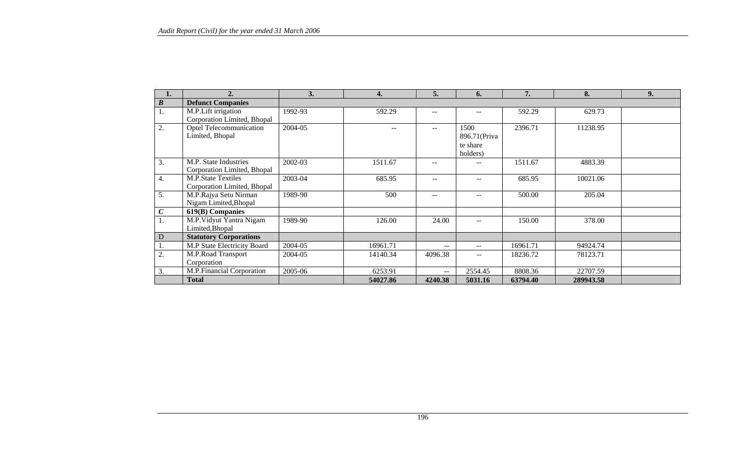|                  | 2.                                                       | 3.      | 4.       | 5.      | 6.                                            | 7.       | 8.        | 9. |
|------------------|----------------------------------------------------------|---------|----------|---------|-----------------------------------------------|----------|-----------|----|
| $\boldsymbol{B}$ | <b>Defunct Companies</b>                                 |         |          |         |                                               |          |           |    |
| 1.               | M.P.Lift irrigation<br>Corporation Limited, Bhopal       | 1992-93 | 592.29   | $ -$    | $-$                                           | 592.29   | 629.73    |    |
| 2.               | Optel Telecommunication<br>Limited, Bhopal               | 2004-05 |          |         | 1500<br>896.71 (Priva<br>te share<br>holders) | 2396.71  | 11238.95  |    |
| 3.               | M.P. State Industries<br>Corporation Limited, Bhopal     | 2002-03 | 1511.67  |         | $- -$                                         | 1511.67  | 4883.39   |    |
| 4.               | <b>M.P.State Textiles</b><br>Corporation Limited, Bhopal | 2003-04 | 685.95   | $- -$   | $-$                                           | 685.95   | 10021.06  |    |
| 5.               | M.P.Rajya Setu Nirman<br>Nigam Limited, Bhopal           | 1989-90 | 500      | $- -$   | $- -$                                         | 500.00   | 205.04    |    |
| $\boldsymbol{C}$ | 619(B) Companies                                         |         |          |         |                                               |          |           |    |
| 1.               | M.P. Vidyut Yantra Nigam<br>Limited, Bhopal              | 1989-90 | 126.00   | 24.00   | $- -$                                         | 150.00   | 378.00    |    |
| $\mathbf D$      | <b>Statutory Corporations</b>                            |         |          |         |                                               |          |           |    |
|                  | M.P State Electricity Board                              | 2004-05 | 16961.71 | $- -$   | $\overline{\phantom{m}}$                      | 16961.71 | 94924.74  |    |
| 2.               | M.P.Road Transport<br>Corporation                        | 2004-05 | 14140.34 | 4096.38 | $\hspace{0.05cm}$ – $\hspace{0.05cm}$         | 18236.72 | 78123.71  |    |
| 3.               | M.P.Financial Corporation                                | 2005-06 | 6253.91  | $-$     | 2554.45                                       | 8808.36  | 22707.59  |    |
|                  | <b>Total</b>                                             |         | 54027.86 | 4240.38 | 5031.16                                       | 63794.40 | 289943.58 |    |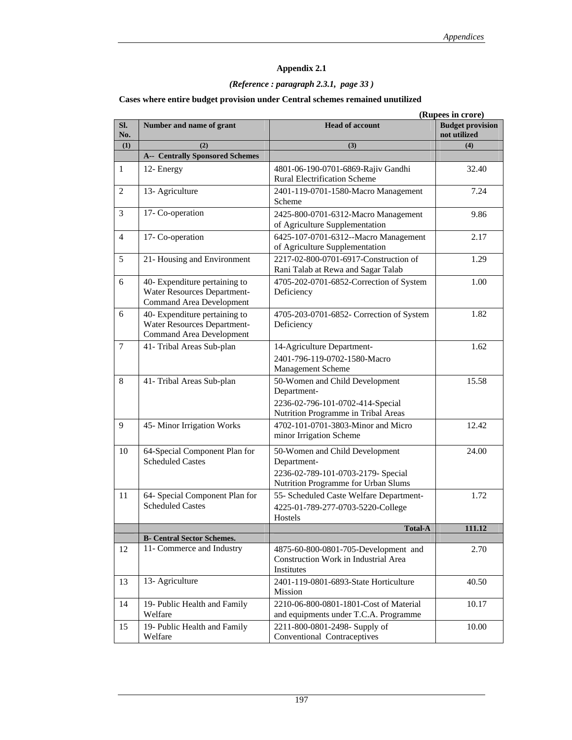### *(Reference : paragraph 2.3.1, page 33 )*

#### **Cases where entire budget provision under Central schemes remained unutilized**

|            |                                                                                                 | (Rupees in crore)                                                                                                          |                                         |
|------------|-------------------------------------------------------------------------------------------------|----------------------------------------------------------------------------------------------------------------------------|-----------------------------------------|
| SI.<br>No. | Number and name of grant                                                                        | <b>Head of account</b>                                                                                                     | <b>Budget provision</b><br>not utilized |
| (1)        | (2)                                                                                             | (3)                                                                                                                        | (4)                                     |
|            | <b>A-- Centrally Sponsored Schemes</b>                                                          |                                                                                                                            |                                         |
| 1          | 12- Energy                                                                                      | 4801-06-190-0701-6869-Rajiv Gandhi<br><b>Rural Electrification Scheme</b>                                                  | 32.40                                   |
| 2          | 13- Agriculture                                                                                 | 2401-119-0701-1580-Macro Management<br>Scheme                                                                              | 7.24                                    |
| 3          | 17- Co-operation                                                                                | 2425-800-0701-6312-Macro Management<br>of Agriculture Supplementation                                                      | 9.86                                    |
| 4          | 17- Co-operation                                                                                | 6425-107-0701-6312--Macro Management<br>of Agriculture Supplementation                                                     | 2.17                                    |
| 5          | 21- Housing and Environment                                                                     | 2217-02-800-0701-6917-Construction of<br>Rani Talab at Rewa and Sagar Talab                                                | 1.29                                    |
| 6          | 40- Expenditure pertaining to<br>Water Resources Department-<br><b>Command Area Development</b> | 4705-202-0701-6852-Correction of System<br>Deficiency                                                                      | 1.00                                    |
| 6          | 40- Expenditure pertaining to<br>Water Resources Department-<br>Command Area Development        | 4705-203-0701-6852- Correction of System<br>Deficiency                                                                     | 1.82                                    |
| $\tau$     | 41- Tribal Areas Sub-plan                                                                       | 14-Agriculture Department-<br>2401-796-119-0702-1580-Macro<br>Management Scheme                                            | 1.62                                    |
| 8          | 41- Tribal Areas Sub-plan                                                                       | 50-Women and Child Development<br>Department-<br>2236-02-796-101-0702-414-Special<br>Nutrition Programme in Tribal Areas   | 15.58                                   |
| 9          | 45-Minor Irrigation Works                                                                       | 4702-101-0701-3803-Minor and Micro<br>minor Irrigation Scheme                                                              | 12.42                                   |
| 10         | 64-Special Component Plan for<br><b>Scheduled Castes</b>                                        | 50-Women and Child Development<br>Department-<br>2236-02-789-101-0703-2179- Special<br>Nutrition Programme for Urban Slums | 24.00                                   |
| 11         | 64- Special Component Plan for<br><b>Scheduled Castes</b>                                       | 55- Scheduled Caste Welfare Department-<br>4225-01-789-277-0703-5220-College<br>Hostels                                    | 1.72                                    |
|            |                                                                                                 | <b>Total-A</b>                                                                                                             | 111.12                                  |
|            | <b>B-</b> Central Sector Schemes.                                                               |                                                                                                                            |                                         |
| 12         | 11- Commerce and Industry                                                                       | 4875-60-800-0801-705-Development and<br>Construction Work in Industrial Area<br>Institutes                                 | 2.70                                    |
| 13         | 13- Agriculture                                                                                 | 2401-119-0801-6893-State Horticulture<br>Mission                                                                           | 40.50                                   |
| 14         | 19- Public Health and Family<br>Welfare                                                         | 2210-06-800-0801-1801-Cost of Material<br>and equipments under T.C.A. Programme                                            | 10.17                                   |
| 15         | 19- Public Health and Family<br>Welfare                                                         | 2211-800-0801-2498- Supply of<br>Conventional Contraceptives                                                               | 10.00                                   |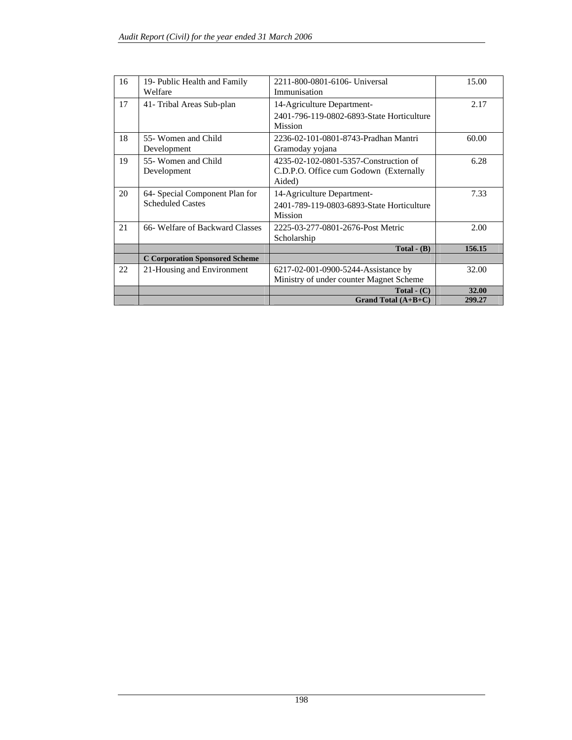| 16 | 19- Public Health and Family          | 2211-800-0801-6106- Universal             | 15.00  |
|----|---------------------------------------|-------------------------------------------|--------|
|    | Welfare                               | Immunisation                              |        |
| 17 | 41- Tribal Areas Sub-plan             | 14-Agriculture Department-                | 2.17   |
|    |                                       | 2401-796-119-0802-6893-State Horticulture |        |
|    |                                       | <b>Mission</b>                            |        |
| 18 | 55- Women and Child                   | 2236-02-101-0801-8743-Pradhan Mantri      | 60.00  |
|    | Development                           | Gramoday yojana                           |        |
| 19 | 55- Women and Child                   | 4235-02-102-0801-5357-Construction of     | 6.28   |
|    | Development                           | C.D.P.O. Office cum Godown (Externally    |        |
|    |                                       | Aided)                                    |        |
| 20 | 64- Special Component Plan for        | 14-Agriculture Department-                | 7.33   |
|    | <b>Scheduled Castes</b>               | 2401-789-119-0803-6893-State Horticulture |        |
|    |                                       | <b>Mission</b>                            |        |
| 21 | 66- Welfare of Backward Classes       | 2225-03-277-0801-2676-Post Metric         | 2.00   |
|    |                                       | Scholarship                               |        |
|    |                                       | Total $-$ (B)                             | 156.15 |
|    | <b>C Corporation Sponsored Scheme</b> |                                           |        |
| 22 | 21-Housing and Environment            | 6217-02-001-0900-5244-Assistance by       | 32.00  |
|    |                                       | Ministry of under counter Magnet Scheme   |        |
|    |                                       | Total $\text{-}$ (C)                      | 32.00  |
|    |                                       | Grand Total $(A+B+C)$                     | 299.27 |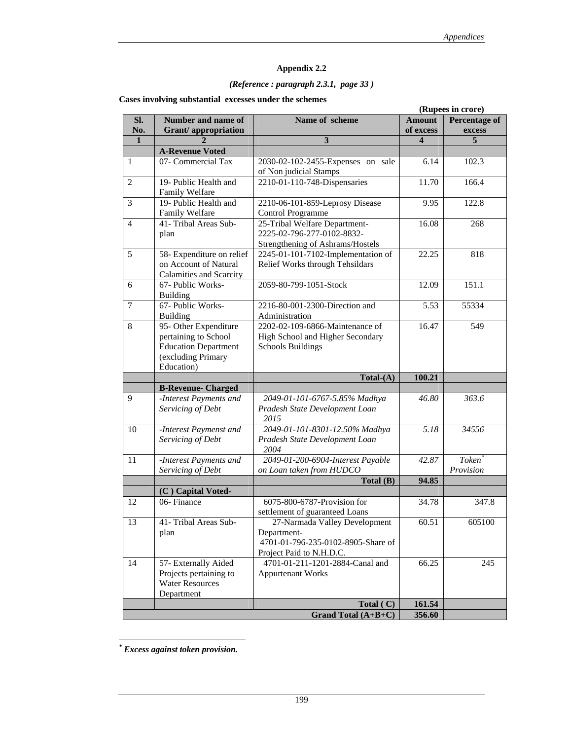### *(Reference : paragraph 2.3.1, page 33 )*

|                |                                |                                    | (Rupees in crore)       |                      |  |  |
|----------------|--------------------------------|------------------------------------|-------------------------|----------------------|--|--|
| Sl.            | Number and name of             | Name of scheme                     | <b>Amount</b>           | <b>Percentage of</b> |  |  |
| No.            | <b>Grant/appropriation</b>     |                                    | of excess               | excess               |  |  |
| $\mathbf{1}$   |                                | $\mathbf{3}$                       | $\overline{\mathbf{4}}$ | 5                    |  |  |
|                | <b>A-Revenue Voted</b>         |                                    |                         |                      |  |  |
| 1              | 07- Commercial Tax             | 2030-02-102-2455-Expenses on sale  | 6.14                    | 102.3                |  |  |
|                |                                | of Non judicial Stamps             |                         |                      |  |  |
| $\overline{2}$ | 19- Public Health and          | 2210-01-110-748-Dispensaries       | 11.70                   | 166.4                |  |  |
|                | Family Welfare                 |                                    |                         |                      |  |  |
| 3              | 19- Public Health and          | 2210-06-101-859-Leprosy Disease    | 9.95                    | 122.8                |  |  |
|                | Family Welfare                 | Control Programme                  |                         |                      |  |  |
| 4              | 41- Tribal Areas Sub-          | 25-Tribal Welfare Department-      | 16.08                   | 268                  |  |  |
|                | plan                           | 2225-02-796-277-0102-8832-         |                         |                      |  |  |
|                |                                | Strengthening of Ashrams/Hostels   |                         |                      |  |  |
| 5              | 58- Expenditure on relief      | 2245-01-101-7102-Implementation of | 22.25                   | 818                  |  |  |
|                | on Account of Natural          | Relief Works through Tehsildars    |                         |                      |  |  |
|                | <b>Calamities and Scarcity</b> |                                    |                         |                      |  |  |
| 6              | 67- Public Works-              | 2059-80-799-1051-Stock             | 12.09                   | 151.1                |  |  |
|                | <b>Building</b>                |                                    |                         |                      |  |  |
| $\overline{7}$ | 67- Public Works-              | 2216-80-001-2300-Direction and     | 5.53                    | 55334                |  |  |
|                | <b>Building</b>                | Administration                     |                         |                      |  |  |
| 8              | 95- Other Expenditure          | 2202-02-109-6866-Maintenance of    | 16.47                   | 549                  |  |  |
|                | pertaining to School           | High School and Higher Secondary   |                         |                      |  |  |
|                | <b>Education Department</b>    | <b>Schools Buildings</b>           |                         |                      |  |  |
|                | (excluding Primary             |                                    |                         |                      |  |  |
|                | Education)                     |                                    |                         |                      |  |  |
|                |                                | $Total-(A)$                        | 100.21                  |                      |  |  |
|                | <b>B-Revenue- Charged</b>      |                                    |                         |                      |  |  |
| 9              | -Interest Payments and         | 2049-01-101-6767-5.85% Madhya      | 46.80                   | 363.6                |  |  |
|                | Servicing of Debt              | Pradesh State Development Loan     |                         |                      |  |  |
|                |                                | 2015                               |                         |                      |  |  |
| 10             | -Interest Paymenst and         | 2049-01-101-8301-12.50% Madhya     | $\overline{5.18}$       | 34556                |  |  |
|                | Servicing of Debt              | Pradesh State Development Loan     |                         |                      |  |  |
|                |                                | 2004                               |                         |                      |  |  |
| 11             | -Interest Payments and         | 2049-01-200-6904-Interest Payable  | 42.87                   | Token <sup>*</sup>   |  |  |
|                | Servicing of Debt              | on Loan taken from HUDCO           |                         | Provision            |  |  |
|                |                                | Total $(B)$                        | 94.85                   |                      |  |  |
|                | (C) Capital Voted-             |                                    |                         |                      |  |  |
| 12             | 06-Finance                     | 6075-800-6787-Provision for        | 34.78                   | 347.8                |  |  |
|                |                                | settlement of guaranteed Loans     |                         |                      |  |  |
|                | 41- Tribal Areas Sub-          | 27-Narmada Valley Development      | 60.51                   |                      |  |  |
| 13             |                                |                                    |                         | 605100               |  |  |
|                | plan                           | Department-                        |                         |                      |  |  |
|                |                                | 4701-01-796-235-0102-8905-Share of |                         |                      |  |  |
|                |                                | Project Paid to N.H.D.C.           |                         |                      |  |  |
| 14             | 57- Externally Aided           | 4701-01-211-1201-2884-Canal and    | 66.25                   | 245                  |  |  |
|                | Projects pertaining to         | <b>Appurtenant Works</b>           |                         |                      |  |  |
|                | <b>Water Resources</b>         |                                    |                         |                      |  |  |
|                | Department                     |                                    |                         |                      |  |  |
|                |                                | Total (C)                          | 161.54                  |                      |  |  |
|                |                                | Grand Total (A+B+C)                | 356.60                  |                      |  |  |

 *\* Excess against token provision.*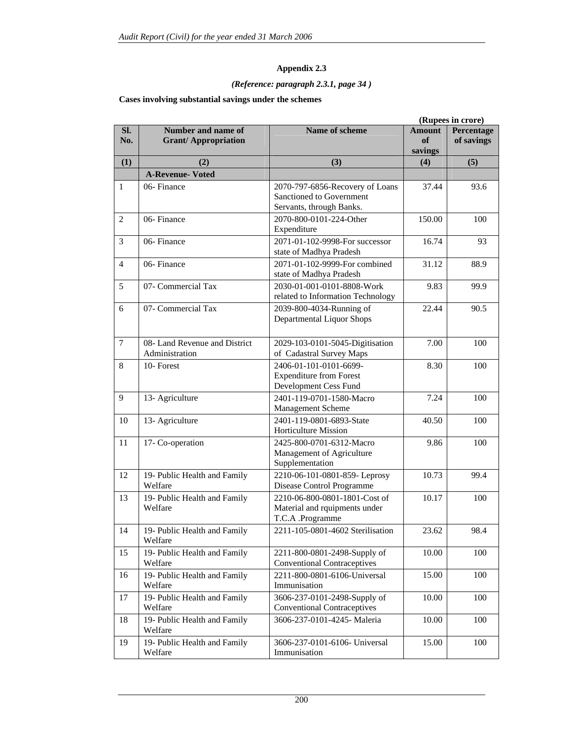### *(Reference: paragraph 2.3.1, page 34 )*

#### **Cases involving substantial savings under the schemes**

|                |                                                  | (Rupees in crore)                                                                       |                                |                          |
|----------------|--------------------------------------------------|-----------------------------------------------------------------------------------------|--------------------------------|--------------------------|
| Sl.<br>No.     | Number and name of<br><b>Grant/Appropriation</b> | Name of scheme                                                                          | <b>Amount</b><br>of<br>savings | Percentage<br>of savings |
| (1)            | (2)                                              | (3)                                                                                     | (4)                            | (5)                      |
|                | <b>A-Revenue- Voted</b>                          |                                                                                         |                                |                          |
| 1              | 06-Finance                                       | 2070-797-6856-Recovery of Loans<br>Sanctioned to Government<br>Servants, through Banks. | 37.44                          | 93.6                     |
| 2              | 06-Finance                                       | 2070-800-0101-224-Other<br>Expenditure                                                  | 150.00                         | 100                      |
| 3              | 06-Finance                                       | 2071-01-102-9998-For successor<br>state of Madhya Pradesh                               | 16.74                          | 93                       |
| $\overline{4}$ | 06-Finance                                       | 2071-01-102-9999-For combined<br>state of Madhya Pradesh                                | 31.12                          | 88.9                     |
| 5              | 07- Commercial Tax                               | 2030-01-001-0101-8808-Work<br>related to Information Technology                         | 9.83                           | 99.9                     |
| 6              | 07- Commercial Tax                               | 2039-800-4034-Running of<br><b>Departmental Liquor Shops</b>                            | 22.44                          | 90.5                     |
| $\tau$         | 08- Land Revenue and District<br>Administration  | 2029-103-0101-5045-Digitisation<br>of Cadastral Survey Maps                             | 7.00                           | 100                      |
| 8              | 10-Forest                                        | 2406-01-101-0101-6699-<br><b>Expenditure from Forest</b><br>Development Cess Fund       | 8.30                           | 100                      |
| 9              | 13- Agriculture                                  | 2401-119-0701-1580-Macro<br>Management Scheme                                           | 7.24                           |                          |
| 10             | 13- Agriculture                                  | 2401-119-0801-6893-State<br><b>Horticulture Mission</b>                                 | 40.50                          | 100                      |
| 11             | 17- Co-operation                                 | 2425-800-0701-6312-Macro<br>Management of Agriculture<br>Supplementation                | 9.86                           | 100                      |
| 12             | 19- Public Health and Family<br>Welfare          | 2210-06-101-0801-859- Leprosy<br>Disease Control Programme                              | 10.73                          | 99.4                     |
| 13             | 19- Public Health and Family<br>Welfare          | 2210-06-800-0801-1801-Cost of<br>Material and rquipments under<br>T.C.A .Programme      | 10.17                          | 100                      |
| 14             | 19- Public Health and Family<br>Welfare          | 2211-105-0801-4602 Sterilisation                                                        | 23.62                          | 98.4                     |
| 15             | 19- Public Health and Family<br>Welfare          | 2211-800-0801-2498-Supply of<br><b>Conventional Contraceptives</b>                      | 10.00                          | 100                      |
| 16             | 19- Public Health and Family<br>Welfare          | 2211-800-0801-6106-Universal<br>Immunisation                                            | 15.00                          | 100                      |
| 17             | 19- Public Health and Family<br>Welfare          | 3606-237-0101-2498-Supply of<br><b>Conventional Contraceptives</b>                      | 10.00                          | 100                      |
| 18             | 19- Public Health and Family<br>Welfare          | 3606-237-0101-4245- Maleria                                                             | 10.00                          | 100                      |
| 19             | 19- Public Health and Family<br>Welfare          | 3606-237-0101-6106- Universal<br>Immunisation                                           | 15.00                          | 100                      |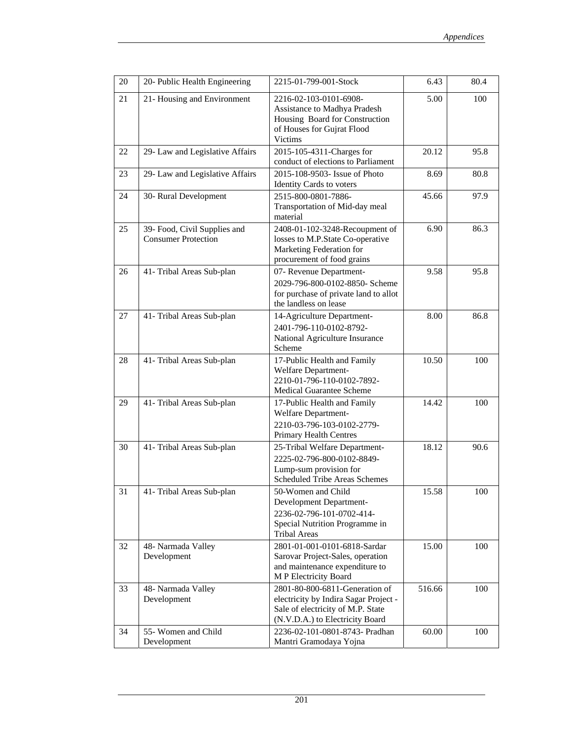| 20 | 20- Public Health Engineering                              | 2215-01-799-001-Stock                                                                                                                           | 6.43   | 80.4 |
|----|------------------------------------------------------------|-------------------------------------------------------------------------------------------------------------------------------------------------|--------|------|
| 21 | 21- Housing and Environment                                | 2216-02-103-0101-6908-<br>Assistance to Madhya Pradesh<br>Housing Board for Construction<br>of Houses for Gujrat Flood<br>Victims               | 5.00   | 100  |
| 22 | 29- Law and Legislative Affairs                            | 2015-105-4311-Charges for<br>conduct of elections to Parliament                                                                                 | 20.12  | 95.8 |
| 23 | 29- Law and Legislative Affairs                            | 2015-108-9503- Issue of Photo<br><b>Identity Cards to voters</b>                                                                                | 8.69   | 80.8 |
| 24 | 30- Rural Development                                      | 2515-800-0801-7886-<br>Transportation of Mid-day meal<br>material                                                                               | 45.66  | 97.9 |
| 25 | 39- Food, Civil Supplies and<br><b>Consumer Protection</b> | 2408-01-102-3248-Recoupment of<br>losses to M.P.State Co-operative<br>Marketing Federation for<br>procurement of food grains                    | 6.90   | 86.3 |
| 26 | 41- Tribal Areas Sub-plan                                  | 07- Revenue Department-<br>2029-796-800-0102-8850- Scheme<br>for purchase of private land to allot<br>the landless on lease                     | 9.58   | 95.8 |
| 27 | 41- Tribal Areas Sub-plan                                  | 14-Agriculture Department-<br>2401-796-110-0102-8792-<br>National Agriculture Insurance<br>Scheme                                               | 8.00   | 86.8 |
| 28 | 41- Tribal Areas Sub-plan                                  | 17-Public Health and Family<br>Welfare Department-<br>2210-01-796-110-0102-7892-<br>Medical Guarantee Scheme                                    | 10.50  | 100  |
| 29 | 41- Tribal Areas Sub-plan                                  | 17-Public Health and Family<br>Welfare Department-<br>2210-03-796-103-0102-2779-<br>Primary Health Centres                                      | 14.42  | 100  |
| 30 | 41- Tribal Areas Sub-plan                                  | 25-Tribal Welfare Department-<br>2225-02-796-800-0102-8849-<br>Lump-sum provision for<br>Scheduled Tribe Areas Schemes                          | 18.12  | 90.6 |
| 31 | 41- Tribal Areas Sub-plan                                  | 50-Women and Child<br><b>Development Department-</b><br>2236-02-796-101-0702-414-<br>Special Nutrition Programme in<br><b>Tribal Areas</b>      | 15.58  | 100  |
| 32 | 48- Narmada Valley<br>Development                          | 2801-01-001-0101-6818-Sardar<br>Sarovar Project-Sales, operation<br>and maintenance expenditure to<br>M P Electricity Board                     | 15.00  | 100  |
| 33 | 48- Narmada Valley<br>Development                          | 2801-80-800-6811-Generation of<br>electricity by Indira Sagar Project -<br>Sale of electricity of M.P. State<br>(N.V.D.A.) to Electricity Board | 516.66 | 100  |
| 34 | 55- Women and Child<br>Development                         | 2236-02-101-0801-8743- Pradhan<br>Mantri Gramodaya Yojna                                                                                        | 60.00  | 100  |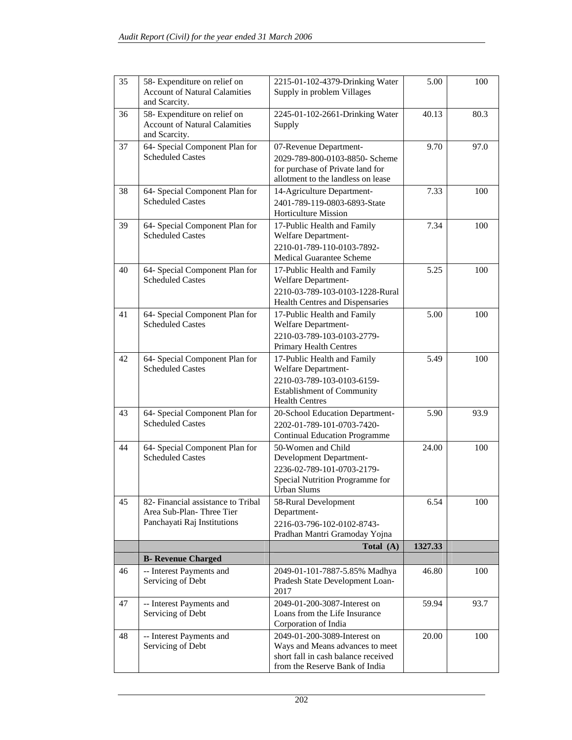| 35 | 58- Expenditure on relief on<br><b>Account of Natural Calamities</b><br>and Scarcity.         | 2215-01-102-4379-Drinking Water<br>Supply in problem Villages                                                                                  | 5.00    | 100  |
|----|-----------------------------------------------------------------------------------------------|------------------------------------------------------------------------------------------------------------------------------------------------|---------|------|
| 36 | 58- Expenditure on relief on<br><b>Account of Natural Calamities</b><br>and Scarcity.         | 2245-01-102-2661-Drinking Water<br>Supply                                                                                                      | 40.13   | 80.3 |
| 37 | 64- Special Component Plan for<br><b>Scheduled Castes</b>                                     | 07-Revenue Department-<br>2029-789-800-0103-8850- Scheme<br>for purchase of Private land for<br>allotment to the landless on lease             | 9.70    | 97.0 |
| 38 | 64- Special Component Plan for<br><b>Scheduled Castes</b>                                     | 14-Agriculture Department-<br>2401-789-119-0803-6893-State<br><b>Horticulture Mission</b>                                                      | 7.33    | 100  |
| 39 | 64- Special Component Plan for<br><b>Scheduled Castes</b>                                     | 17-Public Health and Family<br>Welfare Department-<br>2210-01-789-110-0103-7892-<br>Medical Guarantee Scheme                                   | 7.34    | 100  |
| 40 | 64- Special Component Plan for<br><b>Scheduled Castes</b>                                     | 17-Public Health and Family<br>Welfare Department-<br>2210-03-789-103-0103-1228-Rural<br>Health Centres and Dispensaries                       | 5.25    | 100  |
| 41 | 64- Special Component Plan for<br><b>Scheduled Castes</b>                                     | 17-Public Health and Family<br>Welfare Department-<br>2210-03-789-103-0103-2779-<br>Primary Health Centres                                     | 5.00    | 100  |
| 42 | 64- Special Component Plan for<br><b>Scheduled Castes</b>                                     | 17-Public Health and Family<br>Welfare Department-<br>2210-03-789-103-0103-6159-<br><b>Establishment of Community</b><br><b>Health Centres</b> | 5.49    | 100  |
| 43 | 64- Special Component Plan for<br><b>Scheduled Castes</b>                                     | 20-School Education Department-<br>2202-01-789-101-0703-7420-<br><b>Continual Education Programme</b>                                          | 5.90    | 93.9 |
| 44 | 64- Special Component Plan for<br><b>Scheduled Castes</b>                                     | 50-Women and Child<br>Development Department-<br>2236-02-789-101-0703-2179-<br>Special Nutrition Programme for<br>Urban Slums                  | 24.00   | 100  |
| 45 | 82- Financial assistance to Tribal<br>Area Sub-Plan-Three Tier<br>Panchayati Raj Institutions | 58-Rural Development<br>Department-<br>2216-03-796-102-0102-8743-<br>Pradhan Mantri Gramoday Yojna                                             | 6.54    | 100  |
|    |                                                                                               | Total (A)                                                                                                                                      | 1327.33 |      |
|    | <b>B- Revenue Charged</b>                                                                     |                                                                                                                                                |         |      |
| 46 | -- Interest Payments and<br>Servicing of Debt                                                 | 2049-01-101-7887-5.85% Madhya<br>Pradesh State Development Loan-<br>2017                                                                       | 46.80   | 100  |
| 47 | -- Interest Payments and<br>Servicing of Debt                                                 | 2049-01-200-3087-Interest on<br>Loans from the Life Insurance<br>Corporation of India                                                          | 59.94   | 93.7 |
| 48 | -- Interest Payments and<br>Servicing of Debt                                                 | 2049-01-200-3089-Interest on<br>Ways and Means advances to meet<br>short fall in cash balance received<br>from the Reserve Bank of India       | 20.00   | 100  |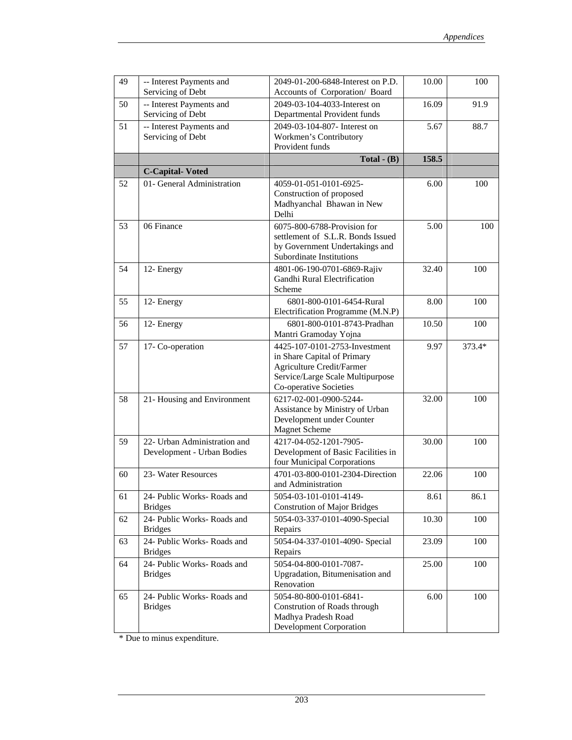| 49 | -- Interest Payments and<br>Servicing of Debt              | 2049-01-200-6848-Interest on P.D.<br>Accounts of Corporation/ Board                                                                                            | 10.00 | 100    |
|----|------------------------------------------------------------|----------------------------------------------------------------------------------------------------------------------------------------------------------------|-------|--------|
| 50 | -- Interest Payments and<br>Servicing of Debt              | 2049-03-104-4033-Interest on<br>Departmental Provident funds                                                                                                   | 16.09 | 91.9   |
| 51 | -- Interest Payments and<br>Servicing of Debt              | 2049-03-104-807- Interest on<br>Workmen's Contributory<br>Provident funds                                                                                      | 5.67  | 88.7   |
|    |                                                            | Total $-$ (B)                                                                                                                                                  | 158.5 |        |
|    | <b>C-Capital-Voted</b>                                     |                                                                                                                                                                |       |        |
| 52 | 01- General Administration                                 | 4059-01-051-0101-6925-<br>Construction of proposed<br>Madhyanchal Bhawan in New<br>Delhi                                                                       | 6.00  | 100    |
| 53 | 06 Finance                                                 | 6075-800-6788-Provision for<br>settlement of S.L.R. Bonds Issued<br>by Government Undertakings and<br>Subordinate Institutions                                 | 5.00  | 100    |
| 54 | 12- Energy                                                 | 4801-06-190-0701-6869-Rajiv<br>Gandhi Rural Electrification<br>Scheme                                                                                          | 32.40 | 100    |
| 55 | 12- Energy                                                 | 6801-800-0101-6454-Rural<br>Electrification Programme (M.N.P)                                                                                                  | 8.00  | 100    |
| 56 | 12- Energy                                                 | 6801-800-0101-8743-Pradhan<br>Mantri Gramoday Yojna                                                                                                            | 10.50 | 100    |
| 57 | 17- Co-operation                                           | 4425-107-0101-2753-Investment<br>in Share Capital of Primary<br><b>Agriculture Credit/Farmer</b><br>Service/Large Scale Multipurpose<br>Co-operative Societies | 9.97  | 373.4* |
| 58 | 21- Housing and Environment                                | 6217-02-001-0900-5244-<br>Assistance by Ministry of Urban<br>Development under Counter<br><b>Magnet Scheme</b>                                                 | 32.00 | 100    |
| 59 | 22- Urban Administration and<br>Development - Urban Bodies | 4217-04-052-1201-7905-<br>Development of Basic Facilities in<br>four Municipal Corporations                                                                    | 30.00 | 100    |
| 60 | 23- Water Resources                                        | 4701-03-800-0101-2304-Direction<br>and Administration                                                                                                          | 22.06 | 100    |
| 61 | 24- Public Works- Roads and<br><b>Bridges</b>              | 5054-03-101-0101-4149-<br><b>Constrution of Major Bridges</b>                                                                                                  | 8.61  | 86.1   |
| 62 | 24- Public Works- Roads and<br><b>Bridges</b>              | 5054-03-337-0101-4090-Special<br>Repairs                                                                                                                       | 10.30 | 100    |
| 63 | 24- Public Works- Roads and<br><b>Bridges</b>              | 5054-04-337-0101-4090- Special<br>Repairs                                                                                                                      | 23.09 | 100    |
| 64 | 24- Public Works- Roads and<br><b>Bridges</b>              | 5054-04-800-0101-7087-<br>Upgradation, Bitumenisation and<br>Renovation                                                                                        | 25.00 | 100    |
| 65 | 24- Public Works- Roads and<br><b>Bridges</b>              | 5054-80-800-0101-6841-<br>Constrution of Roads through<br>Madhya Pradesh Road<br><b>Development Corporation</b>                                                | 6.00  | 100    |

\* Due to minus expenditure.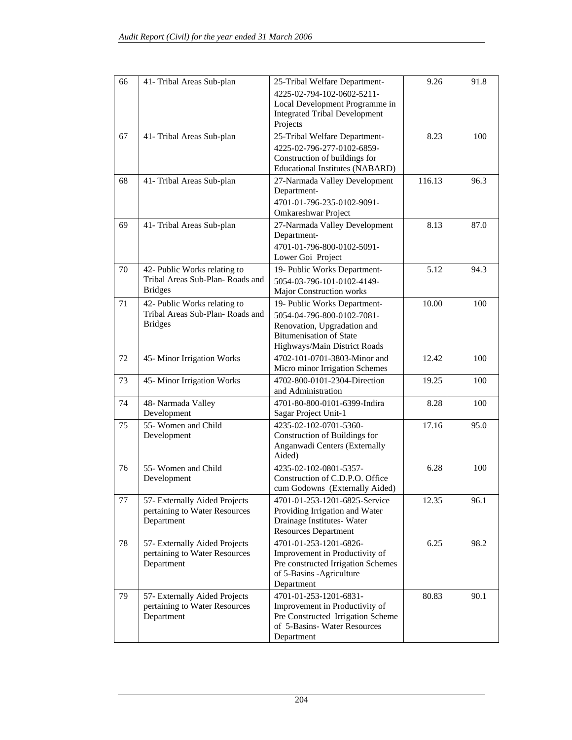| 66 | 41- Tribal Areas Sub-plan                                                         | 25-Tribal Welfare Department-<br>4225-02-794-102-0602-5211-<br>Local Development Programme in<br><b>Integrated Tribal Development</b><br>Projects           | 9.26   | 91.8 |
|----|-----------------------------------------------------------------------------------|-------------------------------------------------------------------------------------------------------------------------------------------------------------|--------|------|
| 67 | 41- Tribal Areas Sub-plan                                                         | 25-Tribal Welfare Department-<br>4225-02-796-277-0102-6859-<br>Construction of buildings for<br><b>Educational Institutes (NABARD)</b>                      | 8.23   | 100  |
| 68 | 41- Tribal Areas Sub-plan                                                         | 27-Narmada Valley Development<br>Department-<br>4701-01-796-235-0102-9091-<br>Omkareshwar Project                                                           | 116.13 | 96.3 |
| 69 | 41- Tribal Areas Sub-plan                                                         | 27-Narmada Valley Development<br>Department-<br>4701-01-796-800-0102-5091-<br>Lower Goi Project                                                             | 8.13   | 87.0 |
| 70 | 42- Public Works relating to<br>Tribal Areas Sub-Plan-Roads and<br><b>Bridges</b> | 19- Public Works Department-<br>5054-03-796-101-0102-4149-<br>Major Construction works                                                                      | 5.12   | 94.3 |
| 71 | 42- Public Works relating to<br>Tribal Areas Sub-Plan-Roads and<br><b>Bridges</b> | 19- Public Works Department-<br>5054-04-796-800-0102-7081-<br>Renovation, Upgradation and<br><b>Bitumenisation of State</b><br>Highways/Main District Roads | 10.00  | 100  |
| 72 | 45-Minor Irrigation Works                                                         | 4702-101-0701-3803-Minor and<br>Micro minor Irrigation Schemes                                                                                              | 12.42  | 100  |
| 73 | 45-Minor Irrigation Works                                                         | 4702-800-0101-2304-Direction<br>and Administration                                                                                                          | 19.25  | 100  |
| 74 | 48- Narmada Valley<br>Development                                                 | 4701-80-800-0101-6399-Indira<br>Sagar Project Unit-1                                                                                                        | 8.28   | 100  |
| 75 | 55- Women and Child<br>Development                                                | 4235-02-102-0701-5360-<br>Construction of Buildings for<br>Anganwadi Centers (Externally<br>Aided)                                                          | 17.16  | 95.0 |
| 76 | 55- Women and Child<br>Development                                                | 4235-02-102-0801-5357-<br>Construction of C.D.P.O. Office<br>cum Godowns (Externally Aided)                                                                 | 6.28   | 100  |
| 77 | 57- Externally Aided Projects<br>pertaining to Water Resources<br>Department      | 4701-01-253-1201-6825-Service<br>Providing Irrigation and Water<br>Drainage Institutes-Water<br><b>Resources Department</b>                                 | 12.35  | 96.1 |
| 78 | 57- Externally Aided Projects<br>pertaining to Water Resources<br>Department      | 4701-01-253-1201-6826-<br>Improvement in Productivity of<br>Pre constructed Irrigation Schemes<br>of 5-Basins -Agriculture<br>Department                    | 6.25   | 98.2 |
| 79 | 57- Externally Aided Projects<br>pertaining to Water Resources<br>Department      | 4701-01-253-1201-6831-<br>Improvement in Productivity of<br>Pre Constructed Irrigation Scheme<br>of 5-Basins-Water Resources<br>Department                  | 80.83  | 90.1 |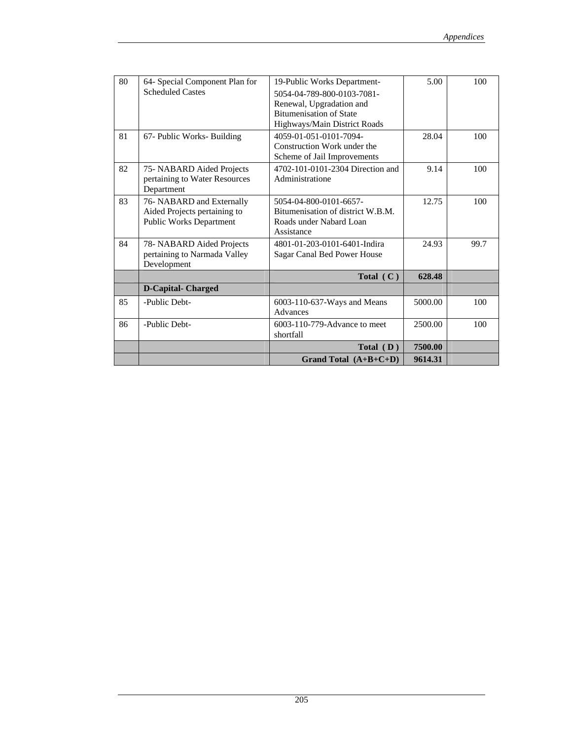| 80 | 64- Special Component Plan for | 19-Public Works Department-       | 5.00    | 100  |
|----|--------------------------------|-----------------------------------|---------|------|
|    | <b>Scheduled Castes</b>        | 5054-04-789-800-0103-7081-        |         |      |
|    |                                | Renewal, Upgradation and          |         |      |
|    |                                | <b>Bitumenisation of State</b>    |         |      |
|    |                                | Highways/Main District Roads      |         |      |
| 81 | 67- Public Works- Building     | 4059-01-051-0101-7094-            | 28.04   | 100  |
|    |                                | Construction Work under the       |         |      |
|    |                                | Scheme of Jail Improvements       |         |      |
| 82 | 75- NABARD Aided Projects      | 4702-101-0101-2304 Direction and  | 9.14    | 100  |
|    | pertaining to Water Resources  | Administratione                   |         |      |
|    | Department                     |                                   |         |      |
| 83 | 76- NABARD and Externally      | 5054-04-800-0101-6657-            | 12.75   | 100  |
|    | Aided Projects pertaining to   | Bitumenisation of district W.B.M. |         |      |
|    | <b>Public Works Department</b> | Roads under Nabard Loan           |         |      |
|    |                                | Assistance                        |         |      |
| 84 | 78- NABARD Aided Projects      | 4801-01-203-0101-6401-Indira      | 24.93   | 99.7 |
|    | pertaining to Narmada Valley   | Sagar Canal Bed Power House       |         |      |
|    | Development                    |                                   |         |      |
|    |                                | Total $(C)$                       | 628.48  |      |
|    | <b>D-Capital-Charged</b>       |                                   |         |      |
| 85 | -Public Debt-                  | 6003-110-637-Ways and Means       | 5000.00 | 100  |
|    |                                | Advances                          |         |      |
| 86 | -Public Debt-                  | 6003-110-779-Advance to meet      | 2500.00 | 100  |
|    |                                | shortfall                         |         |      |
|    |                                | Total $(D)$                       | 7500.00 |      |
|    |                                | Grand Total $(A+B+C+D)$           | 9614.31 |      |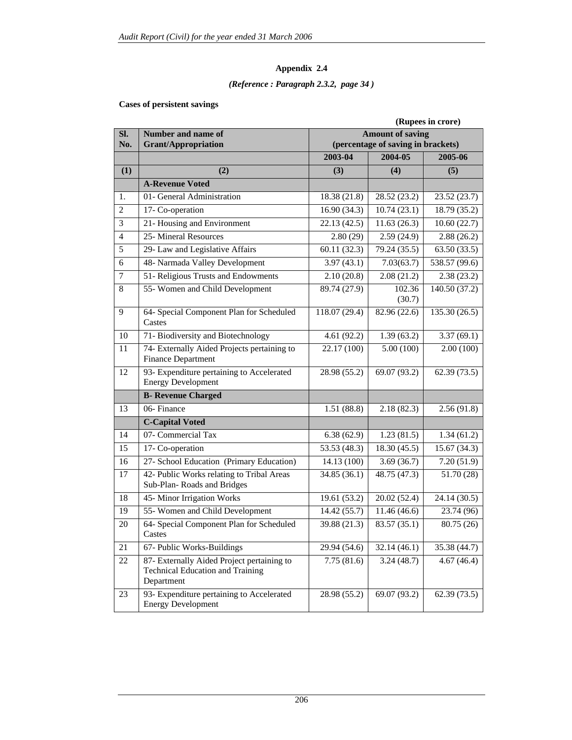### *(Reference : Paragraph 2.3.2, page 34 )*

#### **Cases of persistent savings**

|                |                                                                                                     | (Rupees in crore)                                             |                  |               |  |
|----------------|-----------------------------------------------------------------------------------------------------|---------------------------------------------------------------|------------------|---------------|--|
| SI.            | Number and name of                                                                                  | <b>Amount of saving</b><br>(percentage of saving in brackets) |                  |               |  |
| No.            | <b>Grant/Appropriation</b>                                                                          |                                                               |                  |               |  |
|                |                                                                                                     | 2003-04                                                       | 2004-05          | 2005-06       |  |
| (1)            | (2)                                                                                                 | (3)                                                           | (4)              | (5)           |  |
|                | <b>A-Revenue Voted</b>                                                                              |                                                               |                  |               |  |
| 1.             | 01- General Administration                                                                          | 18.38 (21.8)                                                  | 28.52 (23.2)     | 23.52 (23.7)  |  |
| 2              | 17- Co-operation                                                                                    | 16.90(34.3)                                                   | 10.74(23.1)      | 18.79 (35.2)  |  |
| 3              | 21- Housing and Environment                                                                         | 22.13(42.5)                                                   | 11.63(26.3)      | 10.60(22.7)   |  |
| $\overline{4}$ | 25- Mineral Resources                                                                               | 2.80(29)                                                      | 2.59(24.9)       | 2.88(26.2)    |  |
| 5              | 29- Law and Legislative Affairs                                                                     | 60.11(32.3)                                                   | 79.24 (35.5)     | 63.50(33.5)   |  |
| 6              | 48- Narmada Valley Development                                                                      | 3.97(43.1)                                                    | 7.03(63.7)       | 538.57 (99.6) |  |
| 7              | 51- Religious Trusts and Endowments                                                                 | 2.10(20.8)                                                    | 2.08(21.2)       | 2.38(23.2)    |  |
| 8              | 55- Women and Child Development                                                                     | 89.74 (27.9)                                                  | 102.36<br>(30.7) | 140.50 (37.2) |  |
| 9              | 64- Special Component Plan for Scheduled<br>Castes                                                  | 118.07 (29.4)                                                 | 82.96 (22.6)     | 135.30 (26.5) |  |
| 10             | 71- Biodiversity and Biotechnology                                                                  | 4.61(92.2)                                                    | 1.39(63.2)       | 3.37(69.1)    |  |
| 11             | 74- Externally Aided Projects pertaining to<br><b>Finance Department</b>                            | 22.17 (100)                                                   | 5.00(100)        | 2.00(100)     |  |
| 12             | 93- Expenditure pertaining to Accelerated<br><b>Energy Development</b>                              | 28.98 (55.2)                                                  | 69.07 (93.2)     | 62.39(73.5)   |  |
|                | <b>B- Revenue Charged</b>                                                                           |                                                               |                  |               |  |
| 13             | 06-Finance                                                                                          | 1.51(88.8)                                                    | 2.18(82.3)       | 2.56(91.8)    |  |
|                | <b>C-Capital Voted</b>                                                                              |                                                               |                  |               |  |
| 14             | 07- Commercial Tax                                                                                  | 6.38(62.9)                                                    | 1.23(81.5)       | 1.34(61.2)    |  |
| 15             | 17- Co-operation                                                                                    | $\overline{53.53}$ (48.3)                                     | 18.30 (45.5)     | 15.67(34.3)   |  |
| 16             | 27- School Education (Primary Education)                                                            | 14.13 (100)                                                   | 3.69(36.7)       | 7.20(51.9)    |  |
| 17             | 42- Public Works relating to Tribal Areas<br>Sub-Plan-Roads and Bridges                             | 34.85 (36.1)                                                  | 48.75 (47.3)     | 51.70 (28)    |  |
| 18             | 45- Minor Irrigation Works                                                                          | 19.61(53.2)                                                   | 20.02 (52.4)     | 24.14 (30.5)  |  |
| 19             | 55- Women and Child Development                                                                     | 14.42(55.7)                                                   | 11.46(46.6)      | 23.74 (96)    |  |
| 20             | 64- Special Component Plan for Scheduled<br>Castes                                                  | 39.88 (21.3)                                                  | 83.57 (35.1)     | 80.75 (26)    |  |
| 21             | 67- Public Works-Buildings                                                                          | 29.94 (54.6)                                                  | 32.14(46.1)      | 35.38 (44.7)  |  |
| 22             | 87- Externally Aided Project pertaining to<br><b>Technical Education and Training</b><br>Department | 7.75(81.6)                                                    | 3.24(48.7)       | 4.67(46.4)    |  |
| 23             | 93- Expenditure pertaining to Accelerated<br><b>Energy Development</b>                              | 28.98 (55.2)                                                  | 69.07 (93.2)     | 62.39(73.5)   |  |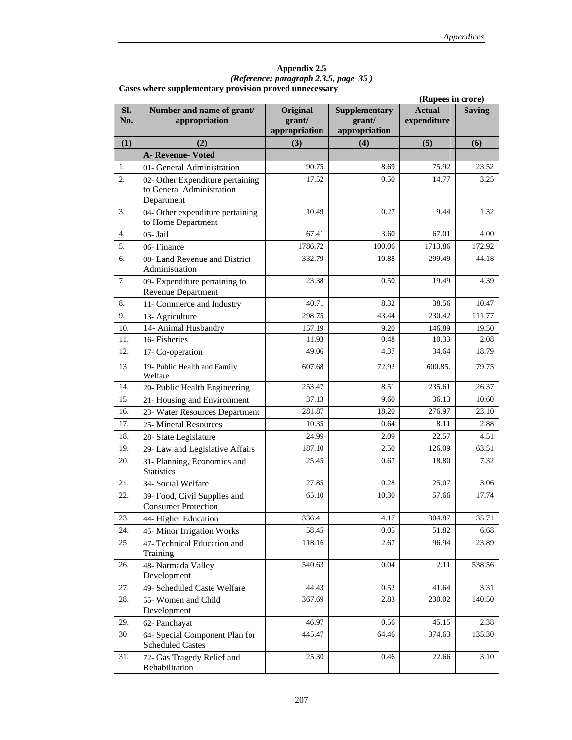| Appendix 2.5                                           |  |
|--------------------------------------------------------|--|
| (Reference: paragraph 2.3.5, page 35)                  |  |
| Cases where supplementary provision proved unnecessary |  |

|                  |                                                                             |                                     |                                                 | (Rupees in crore)            |               |  |  |
|------------------|-----------------------------------------------------------------------------|-------------------------------------|-------------------------------------------------|------------------------------|---------------|--|--|
| SI.<br>No.       | Number and name of grant/<br>appropriation                                  | Original<br>grant/<br>appropriation | <b>Supplementary</b><br>grant/<br>appropriation | <b>Actual</b><br>expenditure | <b>Saving</b> |  |  |
| (1)              | (2)                                                                         | (3)                                 | (4)                                             | (5)                          | (6)           |  |  |
|                  | <b>A- Revenue- Voted</b>                                                    |                                     |                                                 |                              |               |  |  |
| 1.               | 01- General Administration                                                  | 90.75                               | 8.69                                            | 75.92                        | 23.52         |  |  |
| $\overline{2}$ . | 02- Other Expenditure pertaining<br>to General Administration<br>Department | 17.52                               | 0.50                                            | 14.77                        | 3.25          |  |  |
| 3.               | 04- Other expenditure pertaining<br>to Home Department                      | 10.49                               | 0.27                                            | 9.44                         | 1.32          |  |  |
| 4.               | 05- Jail                                                                    | 67.41                               | 3.60                                            | 67.01                        | 4.00          |  |  |
| 5.               | 06-Finance                                                                  | 1786.72                             | 100.06                                          | 1713.86                      | 172.92        |  |  |
| 6.               | 08- Land Revenue and District<br>Administration                             | 332.79                              | 10.88                                           | 299.49                       | 44.18         |  |  |
| $\tau$           | 09- Expenditure pertaining to<br><b>Revenue Department</b>                  | 23.38                               | 0.50                                            | 19.49                        | 4.39          |  |  |
| 8.               | 11- Commerce and Industry                                                   | 40.71                               | 8.32                                            | 38.56                        | 10.47         |  |  |
| 9.               | 13- Agriculture                                                             | 298.75                              | 43.44                                           | 230.42                       | 111.77        |  |  |
| 10.              | 14- Animal Husbandry                                                        | 157.19                              | 9.20                                            | 146.89                       | 19.50         |  |  |
| 11.              | 16- Fisheries                                                               | 11.93                               | 0.48                                            | 10.33                        | 2.08          |  |  |
| 12.              | 17- Co-operation                                                            | 49.06                               | 4.37                                            | 34.64                        | 18.79         |  |  |
| 13               | 19- Public Health and Family<br>Welfare                                     | 607.68                              | 72.92                                           | 600.85.                      | 79.75         |  |  |
| 14.              | 20- Public Health Engineering                                               | 253.47                              | 8.51                                            | 235.61                       | 26.37         |  |  |
| 15               | 21- Housing and Environment                                                 | 37.13                               | 9.60                                            | 36.13                        | 10.60         |  |  |
| 16.              | 23- Water Resources Department                                              | 281.87                              | 18.20                                           | 276.97                       | 23.10         |  |  |
| 17.              | 25- Mineral Resources                                                       | 10.35                               | 0.64                                            | 8.11                         | 2.88          |  |  |
| 18.              | 28- State Legislature                                                       | 24.99                               | 2.09                                            | 22.57                        | 4.51          |  |  |
| 19.              | 29- Law and Legislative Affairs                                             | 187.10                              | 2.50                                            | 126.09                       | 63.51         |  |  |
| 20.              | 31- Planning, Economics and<br><b>Statistics</b>                            | 25.45                               | 0.67                                            | 18.80                        | 7.32          |  |  |
| 21.              | 34- Social Welfare                                                          | 27.85                               | 0.28                                            | 25.07                        | 3.06          |  |  |
| 22.              | 39- Food, Civil Supplies and<br><b>Consumer Protection</b>                  | 65.10                               | 10.30                                           | 57.66                        | 17.74         |  |  |
| 23.              | 44- Higher Education                                                        | 336.41                              | 4.17                                            | 304.87                       | 35.71         |  |  |
| 24.              | 45- Minor Irrigation Works                                                  | 58.45                               | 0.05                                            | 51.82                        | 6.68          |  |  |
| 25               | 47- Technical Education and<br>Training                                     | 118.16                              | 2.67                                            | 96.94                        | 23.89         |  |  |
| 26.              | 48- Narmada Valley<br>Development                                           | 540.63                              | 0.04                                            | 2.11                         | 538.56        |  |  |
| 27.              | 49- Scheduled Caste Welfare                                                 | 44.43                               | 0.52                                            | 41.64                        | 3.31          |  |  |
| 28.              | 55- Women and Child<br>Development                                          | 367.69                              | 2.83                                            | 230.02                       | 140.50        |  |  |
| 29.              | 62- Panchayat                                                               | 46.97                               | 0.56                                            | 45.15                        | 2.38          |  |  |
| 30               | 64- Special Component Plan for<br><b>Scheduled Castes</b>                   | 445.47                              | 64.46                                           | 374.63                       | 135.30        |  |  |
| 31.              | 72- Gas Tragedy Relief and<br>Rehabilitation                                | 25.30                               | 0.46                                            | 22.66                        | 3.10          |  |  |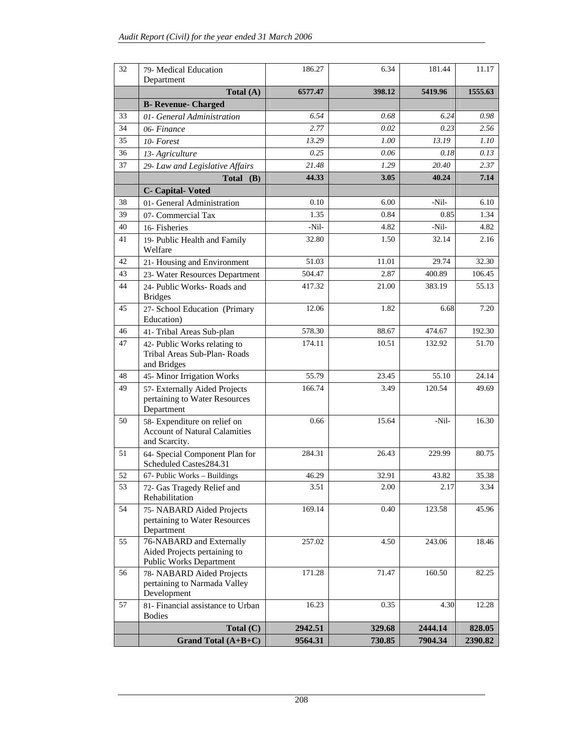| 32 | 79- Medical Education<br>Department                                                        | 186.27  | 6.34   | 181.44  | 11.17   |
|----|--------------------------------------------------------------------------------------------|---------|--------|---------|---------|
|    | Total (A)                                                                                  | 6577.47 | 398.12 | 5419.96 | 1555.63 |
|    | <b>B- Revenue- Charged</b>                                                                 |         |        |         |         |
| 33 | 01- General Administration                                                                 | 6.54    | 0.68   | 6.24    | 0.98    |
| 34 | 06-Finance                                                                                 | 2.77    | 0.02   | 0.23    | 2.56    |
| 35 | 10-Forest                                                                                  | 13.29   | 1.00   | 13.19   | 1.10    |
| 36 | 13- Agriculture                                                                            | 0.25    | 0.06   | 0.18    | 0.13    |
| 37 | 29- Law and Legislative Affairs                                                            | 21.48   | 1.29   | 20.40   | 2.37    |
|    | Total $(B)$                                                                                | 44.33   | 3.05   | 40.24   | 7.14    |
|    | <b>C</b> - Capital-Voted                                                                   |         |        |         |         |
| 38 | 01- General Administration                                                                 | 0.10    | 6.00   | -Nil-   | 6.10    |
| 39 | 07- Commercial Tax                                                                         | 1.35    | 0.84   | 0.85    | 1.34    |
| 40 | 16- Fisheries                                                                              | -Nil-   | 4.82   | $-Nil-$ | 4.82    |
| 41 | 19- Public Health and Family<br>Welfare                                                    | 32.80   | 1.50   | 32.14   | 2.16    |
| 42 | 21- Housing and Environment                                                                | 51.03   | 11.01  | 29.74   | 32.30   |
| 43 | 23- Water Resources Department                                                             | 504.47  | 2.87   | 400.89  | 106.45  |
| 44 | 24- Public Works- Roads and<br><b>Bridges</b>                                              | 417.32  | 21.00  | 383.19  | 55.13   |
| 45 | 27- School Education (Primary<br>Education)                                                | 12.06   | 1.82   | 6.68    | 7.20    |
| 46 | 41- Tribal Areas Sub-plan                                                                  | 578.30  | 88.67  | 474.67  | 192.30  |
| 47 | 42- Public Works relating to<br>Tribal Areas Sub-Plan-Roads<br>and Bridges                 | 174.11  | 10.51  | 132.92  | 51.70   |
| 48 | 45- Minor Irrigation Works                                                                 | 55.79   | 23.45  | 55.10   | 24.14   |
| 49 | 57- Externally Aided Projects<br>pertaining to Water Resources<br>Department               | 166.74  | 3.49   | 120.54  | 49.69   |
| 50 | 58- Expenditure on relief on<br><b>Account of Natural Calamities</b><br>and Scarcity.      | 0.66    | 15.64  | -Nil-   | 16.30   |
| 51 | 64- Special Component Plan for<br>Scheduled Castes284.31                                   | 284.31  | 26.43  | 229.99  | 80.75   |
| 52 | 67- Public Works - Buildings                                                               | 46.29   | 32.91  | 43.82   | 35.38   |
| 53 | 72- Gas Tragedy Relief and<br>Rehabilitation                                               | 3.51    | 2.00   | 2.17    | 3.34    |
| 54 | 75- NABARD Aided Projects<br>pertaining to Water Resources<br>Department                   | 169.14  | 0.40   | 123.58  | 45.96   |
| 55 | 76-NABARD and Externally<br>Aided Projects pertaining to<br><b>Public Works Department</b> | 257.02  | 4.50   | 243.06  | 18.46   |
| 56 | 78- NABARD Aided Projects<br>pertaining to Narmada Valley<br>Development                   | 171.28  | 71.47  | 160.50  | 82.25   |
| 57 | 81- Financial assistance to Urban<br><b>Bodies</b>                                         | 16.23   | 0.35   | 4.30    | 12.28   |
|    | Total $(C)$                                                                                | 2942.51 | 329.68 | 2444.14 | 828.05  |
|    | Grand Total $(A+B+C)$                                                                      | 9564.31 | 730.85 | 7904.34 | 2390.82 |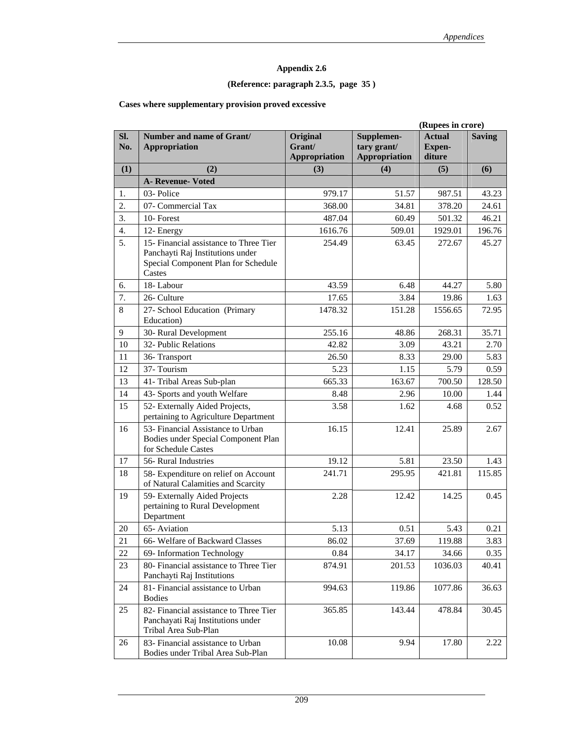### **(Reference: paragraph 2.3.5, page 35 )**

#### **Cases where supplementary provision proved excessive**

|            | (Rupees in crore)                                                                                                           |                                            |                                                   |                                          |               |
|------------|-----------------------------------------------------------------------------------------------------------------------------|--------------------------------------------|---------------------------------------------------|------------------------------------------|---------------|
| SI.<br>No. | Number and name of Grant/<br><b>Appropriation</b>                                                                           | Original<br>Grant/<br><b>Appropriation</b> | Supplemen-<br>tary grant/<br><b>Appropriation</b> | <b>Actual</b><br><b>Expen-</b><br>diture | <b>Saving</b> |
| (1)        | (2)                                                                                                                         | (3)                                        | (4)                                               | (5)                                      | (6)           |
|            | <b>A- Revenue- Voted</b>                                                                                                    |                                            |                                                   |                                          |               |
| 1.         | 03-Police                                                                                                                   | 979.17                                     | 51.57                                             | 987.51                                   | 43.23         |
| 2.         | 07- Commercial Tax                                                                                                          | 368.00                                     | 34.81                                             | 378.20                                   | 24.61         |
| 3.         | 10-Forest                                                                                                                   | 487.04                                     | 60.49                                             | 501.32                                   | 46.21         |
| 4.         | 12- Energy                                                                                                                  | 1616.76                                    | 509.01                                            | 1929.01                                  | 196.76        |
| 5.         | 15- Financial assistance to Three Tier<br>Panchayti Raj Institutions under<br>Special Component Plan for Schedule<br>Castes | 254.49                                     | 63.45                                             | 272.67                                   | 45.27         |
| 6.         | 18-Labour                                                                                                                   | 43.59                                      | 6.48                                              | 44.27                                    | 5.80          |
| 7.         | 26- Culture                                                                                                                 | 17.65                                      | 3.84                                              | 19.86                                    | 1.63          |
| 8          | 27- School Education (Primary<br>Education)                                                                                 | 1478.32                                    | 151.28                                            | 1556.65                                  | 72.95         |
| 9          | 30- Rural Development                                                                                                       | 255.16                                     | 48.86                                             | 268.31                                   | 35.71         |
| 10         | 32- Public Relations                                                                                                        | 42.82                                      | 3.09                                              | 43.21                                    | 2.70          |
| 11         | 36-Transport                                                                                                                | 26.50                                      | 8.33                                              | 29.00                                    | 5.83          |
| 12         | 37- Tourism                                                                                                                 | 5.23                                       | 1.15                                              | 5.79                                     | 0.59          |
| 13         | 41- Tribal Areas Sub-plan                                                                                                   | 665.33                                     | 163.67                                            | 700.50                                   | 128.50        |
| 14         | 43- Sports and youth Welfare                                                                                                | 8.48                                       | 2.96                                              | 10.00                                    | 1.44          |
| 15         | 52- Externally Aided Projects,<br>pertaining to Agriculture Department                                                      | 3.58                                       | 1.62                                              | 4.68                                     | 0.52          |
| 16         | 53- Financial Assistance to Urban<br>Bodies under Special Component Plan<br>for Schedule Castes                             | 16.15                                      | 12.41                                             | 25.89                                    | 2.67          |
| 17         | 56- Rural Industries                                                                                                        | 19.12                                      | 5.81                                              | 23.50                                    | 1.43          |
| 18         | 58- Expenditure on relief on Account<br>of Natural Calamities and Scarcity                                                  | 241.71                                     | 295.95                                            | 421.81                                   | 115.85        |
| 19         | 59- Externally Aided Projects<br>pertaining to Rural Development<br>Department                                              | 2.28                                       | 12.42                                             | 14.25                                    | 0.45          |
| 20         | 65-Aviation                                                                                                                 | 5.13                                       | 0.51                                              | 5.43                                     | 0.21          |
| 21         | 66- Welfare of Backward Classes                                                                                             | 86.02                                      | 37.69                                             | 119.88                                   | 3.83          |
| 22         | 69- Information Technology                                                                                                  | 0.84                                       | 34.17                                             | 34.66                                    | 0.35          |
| 23         | 80- Financial assistance to Three Tier<br>Panchayti Raj Institutions                                                        | 874.91                                     | 201.53                                            | 1036.03                                  | 40.41         |
| 24         | 81- Financial assistance to Urban<br><b>Bodies</b>                                                                          | 994.63                                     | 119.86                                            | 1077.86                                  | 36.63         |
| 25         | 82- Financial assistance to Three Tier<br>Panchayati Raj Institutions under<br>Tribal Area Sub-Plan                         | 365.85                                     | 143.44                                            | 478.84                                   | 30.45         |
| 26         | 83- Financial assistance to Urban<br>Bodies under Tribal Area Sub-Plan                                                      | 10.08                                      | 9.94                                              | 17.80                                    | 2.22          |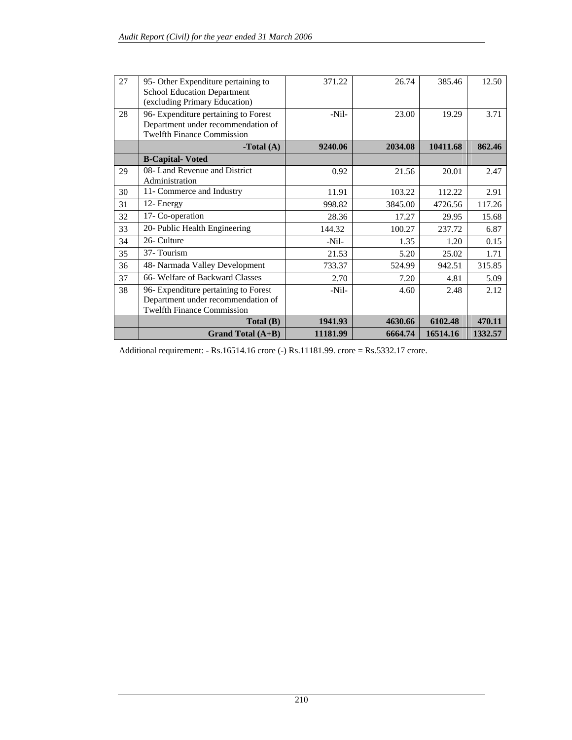| 27 | 95- Other Expenditure pertaining to  | 371.22   | 26.74   | 385.46   | 12.50   |
|----|--------------------------------------|----------|---------|----------|---------|
|    | <b>School Education Department</b>   |          |         |          |         |
|    | (excluding Primary Education)        |          |         |          |         |
| 28 | 96- Expenditure pertaining to Forest | $-Nil-$  | 23.00   | 19.29    | 3.71    |
|    | Department under recommendation of   |          |         |          |         |
|    | <b>Twelfth Finance Commission</b>    |          |         |          |         |
|    | <b>-Total</b> $(A)$                  | 9240.06  | 2034.08 | 10411.68 | 862.46  |
|    | <b>B-Capital-Voted</b>               |          |         |          |         |
| 29 | 08- Land Revenue and District        | 0.92     | 21.56   | 20.01    | 2.47    |
|    | Administration                       |          |         |          |         |
| 30 | 11- Commerce and Industry            | 11.91    | 103.22  | 112.22   | 2.91    |
| 31 | 12- Energy                           | 998.82   | 3845.00 | 4726.56  | 117.26  |
| 32 | 17- Co-operation                     | 28.36    | 17.27   | 29.95    | 15.68   |
| 33 | 20- Public Health Engineering        | 144.32   | 100.27  | 237.72   | 6.87    |
| 34 | 26- Culture                          | $-Nil-$  | 1.35    | 1.20     | 0.15    |
| 35 | 37-Tourism                           | 21.53    | 5.20    | 25.02    | 1.71    |
| 36 | 48- Narmada Valley Development       | 733.37   | 524.99  | 942.51   | 315.85  |
| 37 | 66- Welfare of Backward Classes      | 2.70     | 7.20    | 4.81     | 5.09    |
| 38 | 96- Expenditure pertaining to Forest | $-Nil-$  | 4.60    | 2.48     | 2.12    |
|    | Department under recommendation of   |          |         |          |         |
|    | <b>Twelfth Finance Commission</b>    |          |         |          |         |
|    | Total (B)                            | 1941.93  | 4630.66 | 6102.48  | 470.11  |
|    | Grand Total $(A+B)$                  | 11181.99 | 6664.74 | 16514.16 | 1332.57 |

Additional requirement: - Rs.16514.16 crore (-) Rs.11181.99. crore = Rs.5332.17 crore.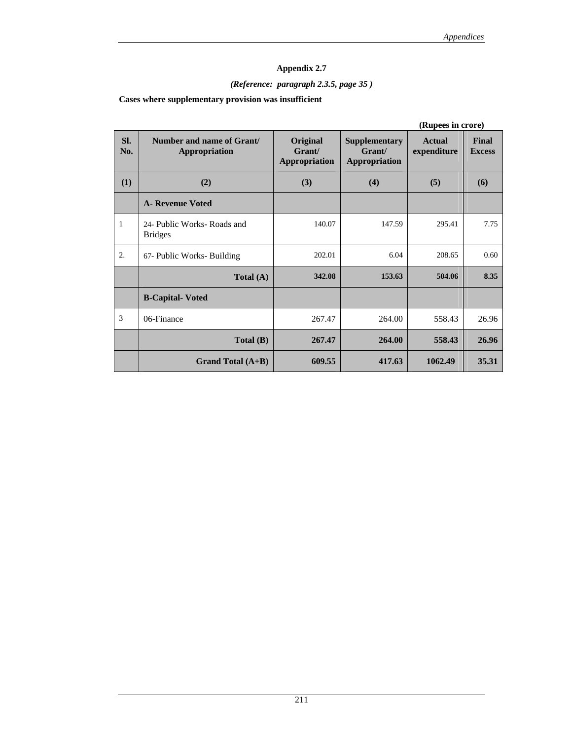# *(Reference: paragraph 2.3.5, page 35 )*

**Cases where supplementary provision was insufficient** 

|              | (Rupees in crore)                             |                                            |                                                        |                       |                        |
|--------------|-----------------------------------------------|--------------------------------------------|--------------------------------------------------------|-----------------------|------------------------|
| Sl.<br>No.   | Number and name of Grant/<br>Appropriation    | Original<br>Grant/<br><b>Appropriation</b> | <b>Supplementary</b><br>Grant/<br><b>Appropriation</b> | Actual<br>expenditure | Final<br><b>Excess</b> |
| (1)          | (2)                                           | (3)                                        | (4)                                                    | (5)                   | (6)                    |
|              | <b>A</b> - Revenue Voted                      |                                            |                                                        |                       |                        |
| $\mathbf{1}$ | 24- Public Works- Roads and<br><b>Bridges</b> | 140.07                                     | 147.59                                                 | 295.41                | 7.75                   |
| 2.           | 67- Public Works- Building                    | 202.01                                     | 6.04                                                   | 208.65                | 0.60                   |
|              | Total $(A)$                                   | 342.08                                     | 153.63                                                 | 504.06                | 8.35                   |
|              | <b>B-Capital-Voted</b>                        |                                            |                                                        |                       |                        |
| 3            | 06-Finance                                    | 267.47                                     | 264.00                                                 | 558.43                | 26.96                  |
|              | Total(B)                                      | 267.47                                     | 264.00                                                 | 558.43                | 26.96                  |
|              | Grand Total $(A+B)$                           | 609.55                                     | 417.63                                                 | 1062.49               | 35.31                  |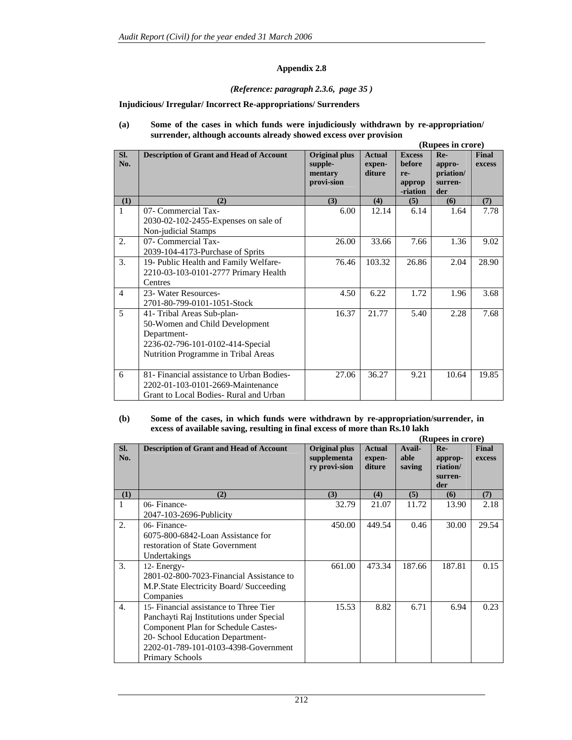#### *(Reference: paragraph 2.3.6, page 35 )*

#### **Injudicious/ Irregular/ Incorrect Re-appropriations/ Surrenders**

#### **(a) Some of the cases in which funds were injudiciously withdrawn by re-appropriation/ surrender, although accounts already showed excess over provision**

|                |                                                                                                                                                        |                                                          |                                   |                                                             | (Rupees in crore)                            |                        |
|----------------|--------------------------------------------------------------------------------------------------------------------------------------------------------|----------------------------------------------------------|-----------------------------------|-------------------------------------------------------------|----------------------------------------------|------------------------|
| SI.<br>No.     | <b>Description of Grant and Head of Account</b>                                                                                                        | <b>Original plus</b><br>supple-<br>mentary<br>provi-sion | <b>Actual</b><br>expen-<br>diture | <b>Excess</b><br><b>before</b><br>re-<br>approp<br>-riation | Re-<br>appro-<br>priation/<br>surren-<br>der | <b>Final</b><br>excess |
| (1)            | (2)                                                                                                                                                    | (3)                                                      | (4)                               | (5)                                                         | (6)                                          | (7)                    |
| $\mathbf{1}$   | 07- Commercial Tax-<br>2030-02-102-2455-Expenses on sale of<br>Non-judicial Stamps                                                                     | 6.00                                                     | 12.14                             | 6.14                                                        | 1.64                                         | 7.78                   |
| 2.             | 07- Commercial Tax-<br>2039-104-4173-Purchase of Sprits                                                                                                | 26.00                                                    | 33.66                             | 7.66                                                        | 1.36                                         | 9.02                   |
| 3.             | 19- Public Health and Family Welfare-<br>2210-03-103-0101-2777 Primary Health<br>Centres                                                               | 76.46                                                    | 103.32                            | 26.86                                                       | 2.04                                         | 28.90                  |
| $\overline{4}$ | 23- Water Resources-<br>2701-80-799-0101-1051-Stock                                                                                                    | 4.50                                                     | 6.22                              | 1.72                                                        | 1.96                                         | 3.68                   |
| 5              | 41- Tribal Areas Sub-plan-<br>50-Women and Child Development<br>Department-<br>2236-02-796-101-0102-414-Special<br>Nutrition Programme in Tribal Areas | 16.37                                                    | 21.77                             | 5.40                                                        | 2.28                                         | 7.68                   |
| 6              | 81- Financial assistance to Urban Bodies-<br>2202-01-103-0101-2669-Maintenance<br>Grant to Local Bodies-Rural and Urban                                | 27.06                                                    | 36.27                             | 9.21                                                        | 10.64                                        | 19.85                  |

#### **(b) Some of the cases, in which funds were withdrawn by re-appropriation/surrender, in excess of available saving, resulting in final excess of more than Rs.10 lakh**

|                  |                                                                                                                                                                                                                          |                                               |                                   |                          | (Rupees in crore)                              |                 |
|------------------|--------------------------------------------------------------------------------------------------------------------------------------------------------------------------------------------------------------------------|-----------------------------------------------|-----------------------------------|--------------------------|------------------------------------------------|-----------------|
| SI.<br>No.       | <b>Description of Grant and Head of Account</b>                                                                                                                                                                          | Original plus<br>supplementa<br>ry provi-sion | <b>Actual</b><br>expen-<br>diture | Avail-<br>able<br>saving | $Re-$<br>approp-<br>riation/<br>surren-<br>der | Final<br>excess |
| (1)              | (2)                                                                                                                                                                                                                      | (3)                                           | (4)                               | (5)                      | (6)                                            | (7)             |
| 1                | 06-Finance-<br>2047-103-2696-Publicity                                                                                                                                                                                   | 32.79                                         | 21.07                             | 11.72                    | 13.90                                          | 2.18            |
| 2.               | 06-Finance-<br>6075-800-6842-Loan Assistance for<br>restoration of State Government<br>Undertakings                                                                                                                      | 450.00                                        | 449.54                            | 0.46                     | 30.00                                          | 29.54           |
| 3.               | 12- Energy-<br>2801-02-800-7023-Financial Assistance to<br>M.P.State Electricity Board/ Succeeding<br>Companies                                                                                                          | 661.00                                        | 473.34                            | 187.66                   | 187.81                                         | 0.15            |
| $\overline{4}$ . | 15- Financial assistance to Three Tier<br>Panchayti Raj Institutions under Special<br>Component Plan for Schedule Castes-<br>20- School Education Department-<br>2202-01-789-101-0103-4398-Government<br>Primary Schools | 15.53                                         | 8.82                              | 6.71                     | 6.94                                           | 0.23            |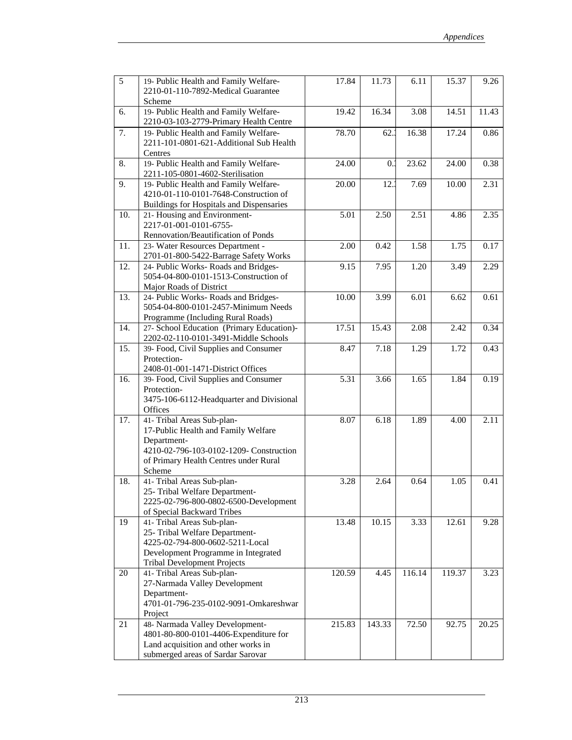| 5   | 19- Public Health and Family Welfare-<br>2210-01-110-7892-Medical Guarantee<br>Scheme                                                                                          | 17.84  | 11.73  | 6.11   | 15.37  | 9.26  |
|-----|--------------------------------------------------------------------------------------------------------------------------------------------------------------------------------|--------|--------|--------|--------|-------|
| 6.  | 19- Public Health and Family Welfare-<br>2210-03-103-2779-Primary Health Centre                                                                                                | 19.42  | 16.34  | 3.08   | 14.51  | 11.43 |
| 7.  | 19- Public Health and Family Welfare-<br>2211-101-0801-621-Additional Sub Health<br>Centres                                                                                    | 78.70  | 62.3   | 16.38  | 17.24  | 0.86  |
| 8.  | 19- Public Health and Family Welfare-<br>2211-105-0801-4602-Sterilisation                                                                                                      | 24.00  | 0.1    | 23.62  | 24.00  | 0.38  |
| 9.  | 19- Public Health and Family Welfare-<br>4210-01-110-0101-7648-Construction of<br>Buildings for Hospitals and Dispensaries                                                     | 20.00  | 12.    | 7.69   | 10.00  | 2.31  |
| 10. | 21- Housing and Environment-<br>2217-01-001-0101-6755-<br>Rennovation/Beautification of Ponds                                                                                  | 5.01   | 2.50   | 2.51   | 4.86   | 2.35  |
| 11. | 23- Water Resources Department -<br>2701-01-800-5422-Barrage Safety Works                                                                                                      | 2.00   | 0.42   | 1.58   | 1.75   | 0.17  |
| 12. | 24- Public Works- Roads and Bridges-<br>5054-04-800-0101-1513-Construction of<br>Major Roads of District                                                                       | 9.15   | 7.95   | 1.20   | 3.49   | 2.29  |
| 13. | 24- Public Works- Roads and Bridges-<br>5054-04-800-0101-2457-Minimum Needs<br>Programme (Including Rural Roads)                                                               | 10.00  | 3.99   | 6.01   | 6.62   | 0.61  |
| 14. | 27- School Education (Primary Education)-<br>2202-02-110-0101-3491-Middle Schools                                                                                              | 17.51  | 15.43  | 2.08   | 2.42   | 0.34  |
| 15. | 39- Food, Civil Supplies and Consumer<br>Protection-<br>2408-01-001-1471-District Offices                                                                                      | 8.47   | 7.18   | 1.29   | 1.72   | 0.43  |
| 16. | 39- Food, Civil Supplies and Consumer<br>Protection-<br>3475-106-6112-Headquarter and Divisional<br>Offices                                                                    | 5.31   | 3.66   | 1.65   | 1.84   | 0.19  |
| 17. | 41- Tribal Areas Sub-plan-<br>17-Public Health and Family Welfare<br>Department-<br>4210-02-796-103-0102-1209- Construction<br>of Primary Health Centres under Rural<br>Scheme | 8.07   | 6.18   | 1.89   | 4.00   | 2.11  |
| 18. | 41- Tribal Areas Sub-plan-<br>25- Tribal Welfare Department-<br>2225-02-796-800-0802-6500-Development<br>of Special Backward Tribes                                            | 3.28   | 2.64   | 0.64   | 1.05   | 0.41  |
| 19  | 41- Tribal Areas Sub-plan-<br>25- Tribal Welfare Department-<br>4225-02-794-800-0602-5211-Local<br>Development Programme in Integrated<br><b>Tribal Development Projects</b>   | 13.48  | 10.15  | 3.33   | 12.61  | 9.28  |
| 20  | 41- Tribal Areas Sub-plan-<br>27-Narmada Valley Development<br>Department-<br>4701-01-796-235-0102-9091-Omkareshwar<br>Project                                                 | 120.59 | 4.45   | 116.14 | 119.37 | 3.23  |
| 21  | 48- Narmada Valley Development-<br>4801-80-800-0101-4406-Expenditure for<br>Land acquisition and other works in<br>submerged areas of Sardar Sarovar                           | 215.83 | 143.33 | 72.50  | 92.75  | 20.25 |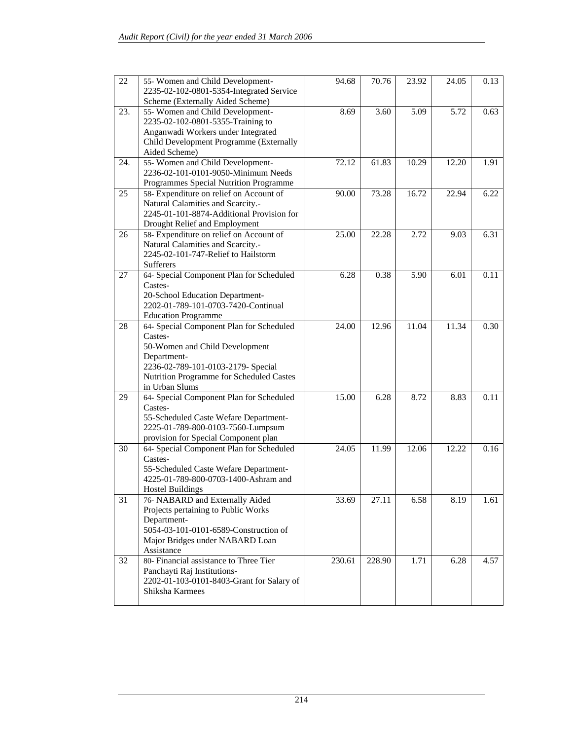| 22  | 55- Women and Child Development-<br>2235-02-102-0801-5354-Integrated Service<br>Scheme (Externally Aided Scheme)                                                                                         | 94.68  | 70.76  | 23.92 | 24.05 | 0.13 |
|-----|----------------------------------------------------------------------------------------------------------------------------------------------------------------------------------------------------------|--------|--------|-------|-------|------|
| 23. | 55- Women and Child Development-<br>2235-02-102-0801-5355-Training to<br>Anganwadi Workers under Integrated<br>Child Development Programme (Externally<br>Aided Scheme)                                  | 8.69   | 3.60   | 5.09  | 5.72  | 0.63 |
| 24. | 55- Women and Child Development-<br>2236-02-101-0101-9050-Minimum Needs<br>Programmes Special Nutrition Programme                                                                                        | 72.12  | 61.83  | 10.29 | 12.20 | 1.91 |
| 25  | 58- Expenditure on relief on Account of<br>Natural Calamities and Scarcity.-<br>2245-01-101-8874-Additional Provision for<br>Drought Relief and Employment                                               | 90.00  | 73.28  | 16.72 | 22.94 | 6.22 |
| 26  | 58- Expenditure on relief on Account of<br>Natural Calamities and Scarcity.-<br>2245-02-101-747-Relief to Hailstorm<br><b>Sufferers</b>                                                                  | 25.00  | 22.28  | 2.72  | 9.03  | 6.31 |
| 27  | 64- Special Component Plan for Scheduled<br>Castes-<br>20-School Education Department-<br>2202-01-789-101-0703-7420-Continual<br><b>Education Programme</b>                                              | 6.28   | 0.38   | 5.90  | 6.01  | 0.11 |
| 28  | 64- Special Component Plan for Scheduled<br>Castes-<br>50-Women and Child Development<br>Department-<br>2236-02-789-101-0103-2179- Special<br>Nutrition Programme for Scheduled Castes<br>in Urban Slums | 24.00  | 12.96  | 11.04 | 11.34 | 0.30 |
| 29  | 64- Special Component Plan for Scheduled<br>Castes-<br>55-Scheduled Caste Wefare Department-<br>2225-01-789-800-0103-7560-Lumpsum<br>provision for Special Component plan                                | 15.00  | 6.28   | 8.72  | 8.83  | 0.11 |
| 30  | 64- Special Component Plan for Scheduled<br>Castes-<br>55-Scheduled Caste Wefare Department-<br>4225-01-789-800-0703-1400-Ashram and<br>Hostel Buildings                                                 | 24.05  | 11.99  | 12.06 | 12.22 | 0.16 |
| 31  | 76- NABARD and Externally Aided<br>Projects pertaining to Public Works<br>Department-<br>5054-03-101-0101-6589-Construction of<br>Major Bridges under NABARD Loan<br>Assistance                          | 33.69  | 27.11  | 6.58  | 8.19  | 1.61 |
| 32  | 80- Financial assistance to Three Tier<br>Panchayti Raj Institutions-<br>2202-01-103-0101-8403-Grant for Salary of<br>Shiksha Karmees                                                                    | 230.61 | 228.90 | 1.71  | 6.28  | 4.57 |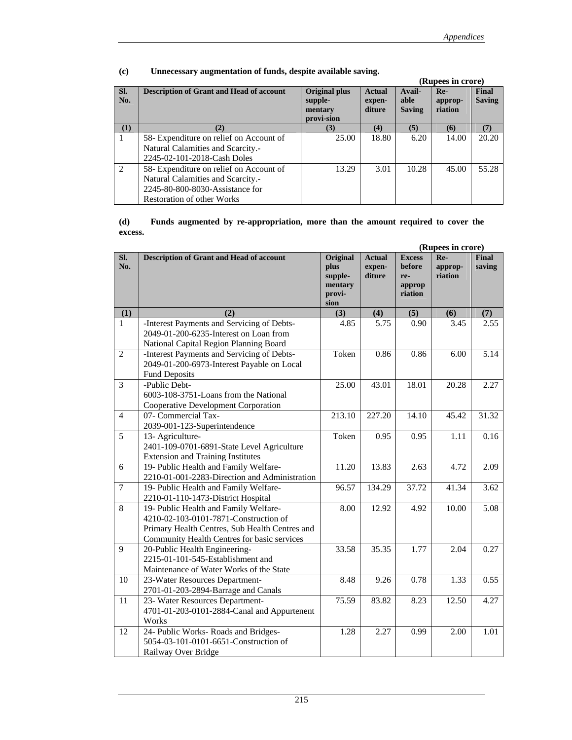|                |                                                 |                                                          |                                   |                                 | (Rupees in crore)         |                        |
|----------------|-------------------------------------------------|----------------------------------------------------------|-----------------------------------|---------------------------------|---------------------------|------------------------|
| SI.<br>No.     | <b>Description of Grant and Head of account</b> | <b>Original plus</b><br>supple-<br>mentary<br>provi-sion | <b>Actual</b><br>expen-<br>diture | Avail-<br>able<br><b>Saving</b> | Re-<br>approp-<br>riation | Final<br><b>Saving</b> |
| (1)            | (2)                                             | (3)                                                      | (4)                               | (5)                             | (6)                       | (7)                    |
|                | 58- Expenditure on relief on Account of         | 25.00                                                    | 18.80                             | 6.20                            | 14.00                     | 20.20                  |
|                | Natural Calamities and Scarcity.-               |                                                          |                                   |                                 |                           |                        |
|                | 2245-02-101-2018-Cash Doles                     |                                                          |                                   |                                 |                           |                        |
| $\mathfrak{D}$ | 58- Expenditure on relief on Account of         | 13.29                                                    | 3.01                              | 10.28                           | 45.00                     | 55.28                  |
|                | Natural Calamities and Scarcity.-               |                                                          |                                   |                                 |                           |                        |
|                | 2245-80-800-8030-Assistance for                 |                                                          |                                   |                                 |                           |                        |
|                | <b>Restoration of other Works</b>               |                                                          |                                   |                                 |                           |                        |

#### **(c) Unnecessary augmentation of funds, despite available saving.**

#### **(d) Funds augmented by re-appropriation, more than the amount required to cover the excess.**

|                |                                                                                                                                                                                 |                                                                 |                                   |                                                     | (Rupees in crore)         |                        |
|----------------|---------------------------------------------------------------------------------------------------------------------------------------------------------------------------------|-----------------------------------------------------------------|-----------------------------------|-----------------------------------------------------|---------------------------|------------------------|
| SI.<br>No.     | <b>Description of Grant and Head of account</b>                                                                                                                                 | <b>Original</b><br>plus<br>supple-<br>mentary<br>provi-<br>sion | <b>Actual</b><br>expen-<br>diture | <b>Excess</b><br>before<br>re-<br>approp<br>riation | Re-<br>approp-<br>riation | <b>Final</b><br>saving |
| (1)            | (2)                                                                                                                                                                             | (3)                                                             | (4)                               | (5)                                                 | (6)                       | (7)                    |
| $\mathbf{1}$   | -Interest Payments and Servicing of Debts-<br>2049-01-200-6235-Interest on Loan from<br>National Capital Region Planning Board                                                  | 4.85                                                            | 5.75                              | 0.90                                                | 3.45                      | 2.55                   |
| $\overline{2}$ | -Interest Payments and Servicing of Debts-<br>2049-01-200-6973-Interest Payable on Local<br><b>Fund Deposits</b>                                                                | Token                                                           | 0.86                              | 0.86                                                | 6.00                      | 5.14                   |
| $\overline{3}$ | -Public Debt-<br>6003-108-3751-Loans from the National<br>Cooperative Development Corporation                                                                                   | 25.00                                                           | 43.01                             | 18.01                                               | 20.28                     | 2.27                   |
| $\overline{4}$ | 07- Commercial Tax-<br>2039-001-123-Superintendence                                                                                                                             | 213.10                                                          | 227.20                            | 14.10                                               | 45.42                     | 31.32                  |
| $\overline{5}$ | 13- Agriculture-<br>2401-109-0701-6891-State Level Agriculture<br><b>Extension and Training Institutes</b>                                                                      | Token                                                           | 0.95                              | 0.95                                                | 1.11                      | 0.16                   |
| 6              | 19- Public Health and Family Welfare-<br>2210-01-001-2283-Direction and Administration                                                                                          | 11.20                                                           | 13.83                             | 2.63                                                | 4.72                      | 2.09                   |
| $\overline{7}$ | 19- Public Health and Family Welfare-<br>2210-01-110-1473-District Hospital                                                                                                     | 96.57                                                           | 134.29                            | 37.72                                               | 41.34                     | 3.62                   |
| 8              | 19- Public Health and Family Welfare-<br>4210-02-103-0101-7871-Construction of<br>Primary Health Centres, Sub Health Centres and<br>Community Health Centres for basic services | 8.00                                                            | 12.92                             | 4.92                                                | 10.00                     | 5.08                   |
| $\overline{9}$ | 20-Public Health Engineering-<br>2215-01-101-545-Establishment and<br>Maintenance of Water Works of the State                                                                   | 33.58                                                           | 35.35                             | 1.77                                                | 2.04                      | 0.27                   |
| 10             | 23-Water Resources Department-<br>2701-01-203-2894-Barrage and Canals                                                                                                           | 8.48                                                            | 9.26                              | 0.78                                                | 1.33                      | 0.55                   |
| 11             | 23- Water Resources Department-<br>4701-01-203-0101-2884-Canal and Appurtenent<br>Works                                                                                         | 75.59                                                           | 83.82                             | 8.23                                                | 12.50                     | 4.27                   |
| 12             | 24- Public Works- Roads and Bridges-<br>5054-03-101-0101-6651-Construction of<br>Railway Over Bridge                                                                            | 1.28                                                            | 2.27                              | 0.99                                                | 2.00                      | 1.01                   |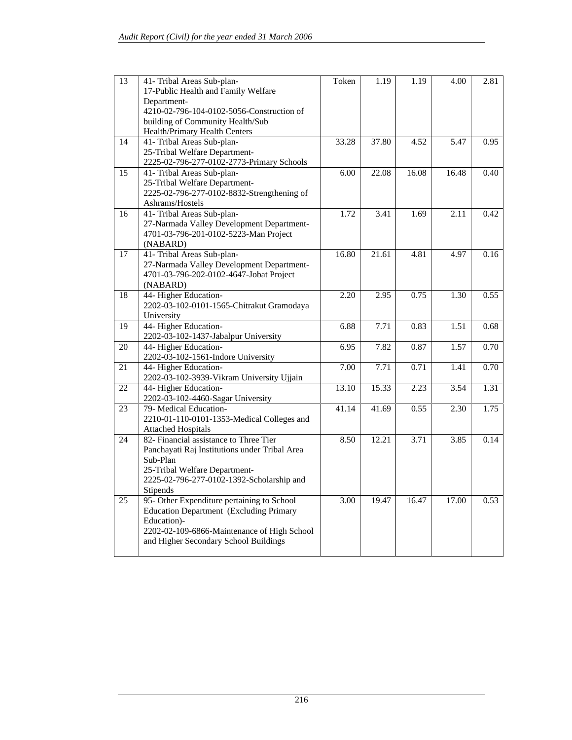| 13              | 41- Tribal Areas Sub-plan-                     | Token             | 1.19  | 1.19  | 4.00              | 2.81 |
|-----------------|------------------------------------------------|-------------------|-------|-------|-------------------|------|
|                 | 17-Public Health and Family Welfare            |                   |       |       |                   |      |
|                 | Department-                                    |                   |       |       |                   |      |
|                 | 4210-02-796-104-0102-5056-Construction of      |                   |       |       |                   |      |
|                 | building of Community Health/Sub               |                   |       |       |                   |      |
|                 | Health/Primary Health Centers                  |                   |       |       |                   |      |
| 14              | 41- Tribal Areas Sub-plan-                     | 33.28             | 37.80 | 4.52  | 5.47              | 0.95 |
|                 | 25-Tribal Welfare Department-                  |                   |       |       |                   |      |
|                 | 2225-02-796-277-0102-2773-Primary Schools      |                   |       |       |                   |      |
| 15              | 41- Tribal Areas Sub-plan-                     | 6.00              | 22.08 | 16.08 | 16.48             | 0.40 |
|                 | 25-Tribal Welfare Department-                  |                   |       |       |                   |      |
|                 | 2225-02-796-277-0102-8832-Strengthening of     |                   |       |       |                   |      |
|                 | Ashrams/Hostels                                |                   |       |       |                   |      |
| 16              | 41- Tribal Areas Sub-plan-                     | 1.72              | 3.41  | 1.69  | 2.11              | 0.42 |
|                 | 27-Narmada Valley Development Department-      |                   |       |       |                   |      |
|                 | 4701-03-796-201-0102-5223-Man Project          |                   |       |       |                   |      |
|                 | (NABARD)                                       |                   |       |       |                   |      |
| 17              | 41- Tribal Areas Sub-plan-                     | 16.80             | 21.61 | 4.81  | 4.97              | 0.16 |
|                 | 27-Narmada Valley Development Department-      |                   |       |       |                   |      |
|                 | 4701-03-796-202-0102-4647-Jobat Project        |                   |       |       |                   |      |
|                 | (NABARD)                                       |                   |       |       |                   |      |
| 18              | 44- Higher Education-                          | 2.20              | 2.95  | 0.75  | 1.30              | 0.55 |
|                 | 2202-03-102-0101-1565-Chitrakut Gramodaya      |                   |       |       |                   |      |
|                 | University                                     |                   |       |       |                   |      |
| 19              | 44- Higher Education-                          | 6.88              | 7.71  | 0.83  | 1.51              | 0.68 |
|                 | 2202-03-102-1437-Jabalpur University           |                   |       |       |                   |      |
| 20              | 44- Higher Education-                          | 6.95              | 7.82  | 0.87  | 1.57              | 0.70 |
|                 | 2202-03-102-1561-Indore University             |                   |       |       |                   |      |
| 21              | 44- Higher Education-                          | 7.00              | 7.71  | 0.71  | 1.41              | 0.70 |
|                 | 2202-03-102-3939-Vikram University Ujjain      |                   |       |       |                   |      |
| 22              | 44- Higher Education-                          | 13.10             | 15.33 | 2.23  | $\overline{3.54}$ | 1.31 |
|                 | 2202-03-102-4460-Sagar University              |                   |       |       |                   |      |
| 23              | 79- Medical Education-                         | 41.14             | 41.69 | 0.55  | 2.30              | 1.75 |
|                 | 2210-01-110-0101-1353-Medical Colleges and     |                   |       |       |                   |      |
|                 | <b>Attached Hospitals</b>                      |                   |       |       |                   |      |
| 24              | 82- Financial assistance to Three Tier         | 8.50              | 12.21 | 3.71  | 3.85              | 0.14 |
|                 | Panchayati Raj Institutions under Tribal Area  |                   |       |       |                   |      |
|                 | Sub-Plan                                       |                   |       |       |                   |      |
|                 | 25-Tribal Welfare Department-                  |                   |       |       |                   |      |
|                 | 2225-02-796-277-0102-1392-Scholarship and      |                   |       |       |                   |      |
|                 | <b>Stipends</b>                                |                   |       |       |                   |      |
| $\overline{25}$ | 95- Other Expenditure pertaining to School     | $\overline{3.00}$ | 19.47 | 16.47 | 17.00             | 0.53 |
|                 | <b>Education Department (Excluding Primary</b> |                   |       |       |                   |      |
|                 | Education)-                                    |                   |       |       |                   |      |
|                 | 2202-02-109-6866-Maintenance of High School    |                   |       |       |                   |      |
|                 | and Higher Secondary School Buildings          |                   |       |       |                   |      |
|                 |                                                |                   |       |       |                   |      |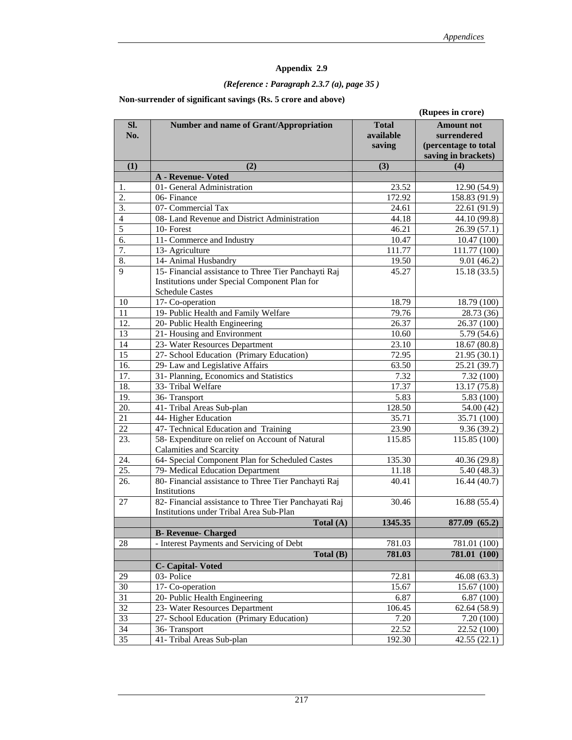# *(Reference : Paragraph 2.3.7 (a), page 35 )*

#### **Non-surrender of significant savings (Rs. 5 crore and above)**

|                  |                                                                                                                                 |                                     | (Rupees in crore)                                                               |
|------------------|---------------------------------------------------------------------------------------------------------------------------------|-------------------------------------|---------------------------------------------------------------------------------|
| SI.<br>No.       | Number and name of Grant/Appropriation                                                                                          | <b>Total</b><br>available<br>saving | <b>Amount not</b><br>surrendered<br>(percentage to total<br>saving in brackets) |
| (1)              | (2)                                                                                                                             | (3)                                 | (4)                                                                             |
|                  | A - Revenue- Voted                                                                                                              |                                     |                                                                                 |
| 1.               | 01- General Administration                                                                                                      | 23.52                               | 12.90 (54.9)                                                                    |
| 2.               | $\overline{0}$ 6- Finance                                                                                                       | 172.92                              | 158.83 (91.9)                                                                   |
| $\overline{3}$ . | 07- Commercial Tax                                                                                                              | 24.61                               | 22.61 (91.9)                                                                    |
| $\overline{4}$   | 08- Land Revenue and District Administration                                                                                    | 44.18                               | 44.10 (99.8)                                                                    |
| 5                | 10-Forest                                                                                                                       | 46.21                               | 26.39(57.1)                                                                     |
| 6.               | 11- Commerce and Industry                                                                                                       | 10.47                               | 10.47 (100)                                                                     |
| 7.               | 13- Agriculture                                                                                                                 | 111.77                              | 111.77 (100)                                                                    |
| 8.               | 14- Animal Husbandry                                                                                                            | 19.50                               | 9.01(46.2)                                                                      |
| 9                | 15- Financial assistance to Three Tier Panchayti Raj<br>Institutions under Special Component Plan for<br><b>Schedule Castes</b> | 45.27                               | 15.18(33.5)                                                                     |
| 10               | 17- Co-operation                                                                                                                | 18.79                               | 18.79 (100)                                                                     |
| 11               | 19- Public Health and Family Welfare                                                                                            | 79.76                               | 28.73 (36)                                                                      |
| 12.              | 20- Public Health Engineering                                                                                                   | 26.37                               | 26.37 (100)                                                                     |
| 13               | 21- Housing and Environment                                                                                                     | 10.60                               | 5.79 (54.6)                                                                     |
| 14               | 23- Water Resources Department                                                                                                  | 23.10                               | 18.67 (80.8)                                                                    |
| 15               | 27- School Education (Primary Education)                                                                                        | 72.95                               | 21.95 (30.1)                                                                    |
| 16.              | 29- Law and Legislative Affairs                                                                                                 | 63.50                               | 25.21 (39.7)                                                                    |
| 17.              | 31- Planning, Economics and Statistics                                                                                          | 7.32                                | 7.32 (100)                                                                      |
| 18.              | 33- Tribal Welfare                                                                                                              | 17.37                               | 13.17 (75.8)                                                                    |
| 19.              | 36-Transport                                                                                                                    | 5.83                                | 5.83(100)                                                                       |
| 20.              | 41- Tribal Areas Sub-plan                                                                                                       | 128.50                              | 54.00 (42)                                                                      |
| 21               | 44- Higher Education                                                                                                            | 35.71                               | 35.71 (100)                                                                     |
| 22               | 47- Technical Education and Training                                                                                            | 23.90                               | 9.36(39.2)                                                                      |
| 23.              | 58- Expenditure on relief on Account of Natural<br>Calamities and Scarcity                                                      | 115.85                              | 115.85 (100)                                                                    |
| 24.              | 64- Special Component Plan for Scheduled Castes                                                                                 | 135.30                              | 40.36 (29.8)                                                                    |
| 25.              | 79- Medical Education Department                                                                                                | 11.18                               | 5.40(48.3)                                                                      |
| 26.              | 80- Financial assistance to Three Tier Panchayti Raj<br>Institutions                                                            | 40.41                               | 16.44(40.7)                                                                     |
| 27               | 82- Financial assistance to Three Tier Panchayati Raj<br>Institutions under Tribal Area Sub-Plan                                | 30.46                               | 16.88(55.4)                                                                     |
|                  | Total $(A)$                                                                                                                     | 1345.35                             | 877.09 (65.2)                                                                   |
|                  | <b>B-</b> Revenue- Charged                                                                                                      |                                     |                                                                                 |
| 28               | - Interest Payments and Servicing of Debt                                                                                       | 781.03                              | 781.01 (100)                                                                    |
|                  | Total (B)                                                                                                                       | 781.03                              | 781.01 (100)                                                                    |
|                  | <b>C</b> - Capital-Voted                                                                                                        |                                     |                                                                                 |
| 29               | 03- Police                                                                                                                      | 72.81                               | 46.08 (63.3)                                                                    |
| 30               | 17- Co-operation                                                                                                                | 15.67                               | 15.67 (100)                                                                     |
| 31               | 20- Public Health Engineering                                                                                                   | 6.87                                | 6.87(100)                                                                       |
| 32               | 23- Water Resources Department                                                                                                  | 106.45                              | 62.64 (58.9)                                                                    |
| 33               | 27- School Education (Primary Education)                                                                                        | 7.20                                | 7.20 (100)                                                                      |
| 34               | 36-Transport                                                                                                                    | 22.52                               | 22.52 (100)                                                                     |
| 35               | 41- Tribal Areas Sub-plan                                                                                                       | 192.30                              | 42.55 (22.1)                                                                    |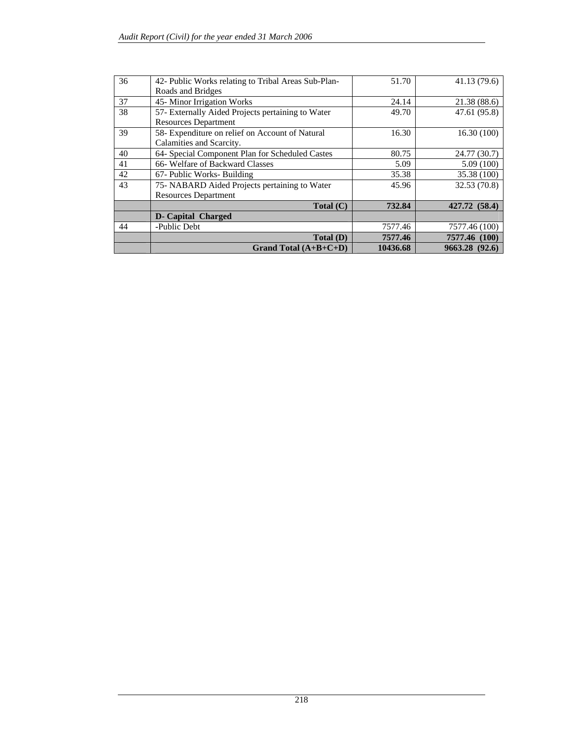| 36 | 42- Public Works relating to Tribal Areas Sub-Plan- | 51.70    | 41.13 (79.6)   |
|----|-----------------------------------------------------|----------|----------------|
|    | Roads and Bridges                                   |          |                |
|    |                                                     |          |                |
| 37 | 45-Minor Irrigation Works                           | 24.14    | 21.38(88.6)    |
| 38 | 57- Externally Aided Projects pertaining to Water   | 49.70    | 47.61 (95.8)   |
|    | <b>Resources Department</b>                         |          |                |
| 39 | 58- Expenditure on relief on Account of Natural     | 16.30    | 16.30(100)     |
|    | Calamities and Scarcity.                            |          |                |
| 40 | 64- Special Component Plan for Scheduled Castes     | 80.75    | 24.77 (30.7)   |
| 41 | 66- Welfare of Backward Classes                     | 5.09     | 5.09(100)      |
| 42 | 67- Public Works- Building                          | 35.38    | 35.38 (100)    |
| 43 | 75- NABARD Aided Projects pertaining to Water       | 45.96    | 32.53 (70.8)   |
|    | <b>Resources Department</b>                         |          |                |
|    | Total (C)                                           | 732.84   | 427.72 (58.4)  |
|    | <b>D</b> - Capital Charged                          |          |                |
| 44 | -Public Debt                                        | 7577.46  | 7577.46 (100)  |
|    | Total (D)                                           | 7577.46  | 7577.46 (100)  |
|    | Grand Total $(A+B+C+D)$                             | 10436.68 | 9663.28 (92.6) |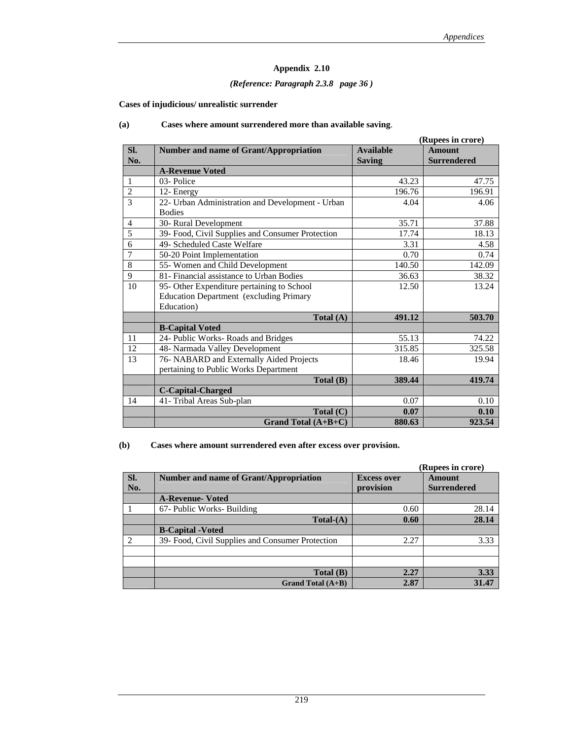#### *(Reference: Paragraph 2.3.8 page 36 )*

**Cases of injudicious/ unrealistic surrender** 

|                |                                                  |                  | (Rupees in crore)  |
|----------------|--------------------------------------------------|------------------|--------------------|
| SI.            | <b>Number and name of Grant/Appropriation</b>    | <b>Available</b> | <b>Amount</b>      |
| No.            |                                                  | <b>Saving</b>    | <b>Surrendered</b> |
|                | <b>A-Revenue Voted</b>                           |                  |                    |
| 1              | 03-Police                                        | 43.23            | 47.75              |
| $\overline{2}$ | 12- Energy                                       | 196.76           | 196.91             |
| 3              | 22- Urban Administration and Development - Urban | 4.04             | 4.06               |
|                | <b>Bodies</b>                                    |                  |                    |
| $\overline{4}$ | 30- Rural Development                            | 35.71            | 37.88              |
| 5              | 39- Food, Civil Supplies and Consumer Protection | 17.74            | 18.13              |
| 6              | 49- Scheduled Caste Welfare                      | 3.31             | 4.58               |
| $\overline{7}$ | 50-20 Point Implementation                       | 0.70             | 0.74               |
| 8              | 55- Women and Child Development                  | 140.50           | 142.09             |
| 9              | 81- Financial assistance to Urban Bodies         | 36.63            | 38.32              |
| 10             | 95- Other Expenditure pertaining to School       | 12.50            | 13.24              |
|                | <b>Education Department</b> (excluding Primary   |                  |                    |
|                | Education)                                       |                  |                    |
|                | Total $(A)$                                      | 491.12           | 503.70             |
|                | <b>B-Capital Voted</b>                           |                  |                    |
| 11             | 24- Public Works- Roads and Bridges              | 55.13            | 74.22              |
| 12             | 48- Narmada Valley Development                   | 315.85           | 325.58             |
| 13             | 76- NABARD and Externally Aided Projects         | 18.46            | 19.94              |
|                | pertaining to Public Works Department            |                  |                    |
|                | Total (B)                                        | 389.44           | 419.74             |
|                | <b>C-Capital-Charged</b>                         |                  |                    |
| 14             | 41- Tribal Areas Sub-plan                        | 0.07             | 0.10               |
|                | Total (C)                                        | 0.07             | 0.10               |
|                | Grand Total $(A+B+C)$                            | 880.63           | 923.54             |

#### **(a) Cases where amount surrendered more than available saving**.

**(b) Cases where amount surrendered even after excess over provision.** 

|     |                                                  |                    | (Rupees in crore)  |
|-----|--------------------------------------------------|--------------------|--------------------|
| SI. | Number and name of Grant/Appropriation           | <b>Excess over</b> | Amount             |
| No. |                                                  | provision          | <b>Surrendered</b> |
|     | <b>A-Revenue- Voted</b>                          |                    |                    |
|     | 67- Public Works- Building                       | 0.60               | 28.14              |
|     | $Total-(A)$                                      | 0.60               | 28.14              |
|     | <b>B-Capital - Voted</b>                         |                    |                    |
|     | 39- Food, Civil Supplies and Consumer Protection | 2.27               | 3.33               |
|     |                                                  |                    |                    |
|     |                                                  |                    |                    |
|     | Total(B)                                         | 2.27               | 3.33               |
|     | Grand Total $(A+B)$                              | 2.87               | 31.47              |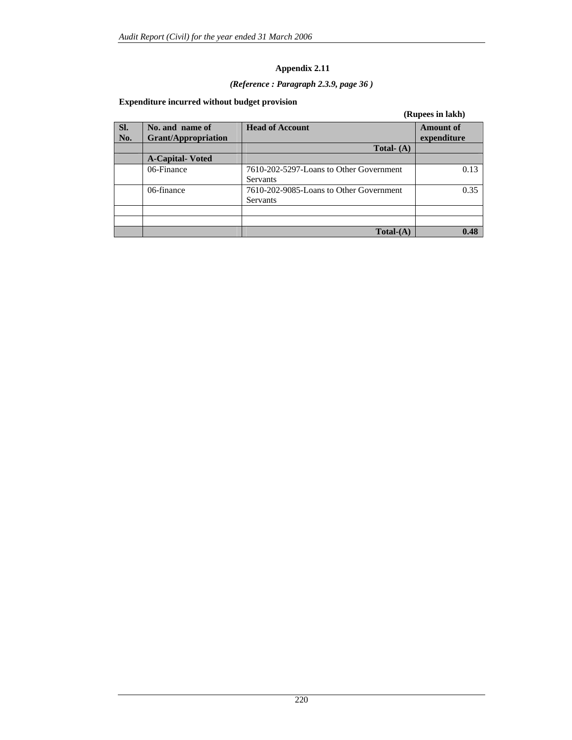# *(Reference : Paragraph 2.3.9, page 36 )*

#### **Expenditure incurred without budget provision**

|            |                                               |                                                            | (Rupees in lakh)                |
|------------|-----------------------------------------------|------------------------------------------------------------|---------------------------------|
| SI.<br>No. | No. and name of<br><b>Grant/Appropriation</b> | <b>Head of Account</b>                                     | <b>Amount of</b><br>expenditure |
|            |                                               | Total- $(A)$                                               |                                 |
|            | <b>A-Capital-Voted</b>                        |                                                            |                                 |
|            | 06-Finance                                    | 7610-202-5297-Loans to Other Government<br><b>Servants</b> | 0.13                            |
|            | 06-finance                                    | 7610-202-9085-Loans to Other Government<br>Servants        | 0.35                            |
|            |                                               |                                                            |                                 |
|            |                                               | $Total-(A)$                                                | 0.48                            |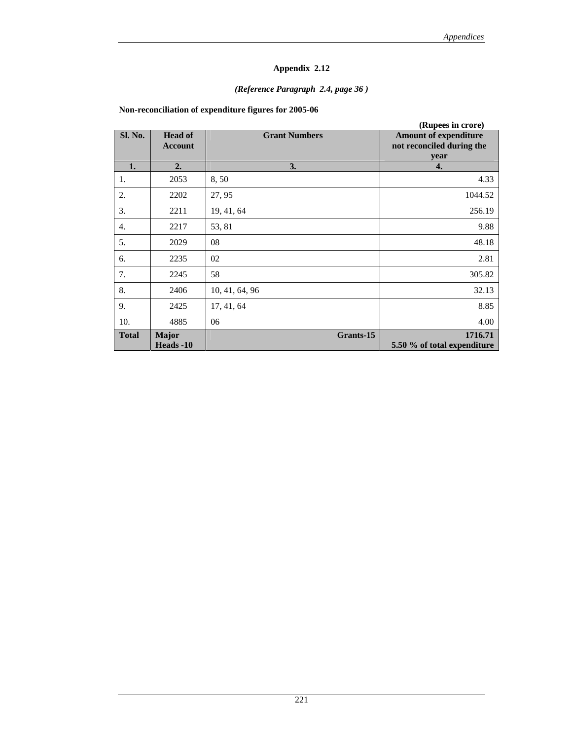#### *(Reference Paragraph 2.4, page 36 )*

**Non-reconciliation of expenditure figures for 2005-06** 

|              |                                  |                      | (Rupees in crore)                                                 |
|--------------|----------------------------------|----------------------|-------------------------------------------------------------------|
| Sl. No.      | <b>Head of</b><br><b>Account</b> | <b>Grant Numbers</b> | <b>Amount of expenditure</b><br>not reconciled during the<br>year |
| 1.           | 2.                               | 3.                   | 4.                                                                |
| 1.           | 2053                             | 8,50                 | 4.33                                                              |
| 2.           | 2202                             | 27, 95               | 1044.52                                                           |
| 3.           | 2211                             | 19, 41, 64           | 256.19                                                            |
| 4.           | 2217                             | 53, 81               | 9.88                                                              |
| 5.           | 2029                             | 08                   | 48.18                                                             |
| 6.           | 2235                             | 02                   | 2.81                                                              |
| 7.           | 2245                             | 58                   | 305.82                                                            |
| 8.           | 2406                             | 10, 41, 64, 96       | 32.13                                                             |
| 9.           | 2425                             | 17, 41, 64           | 8.85                                                              |
| 10.          | 4885                             | 06                   | 4.00                                                              |
| <b>Total</b> | <b>Major</b><br>Heads -10        | Grants-15            | 1716.71<br>5.50 % of total expenditure                            |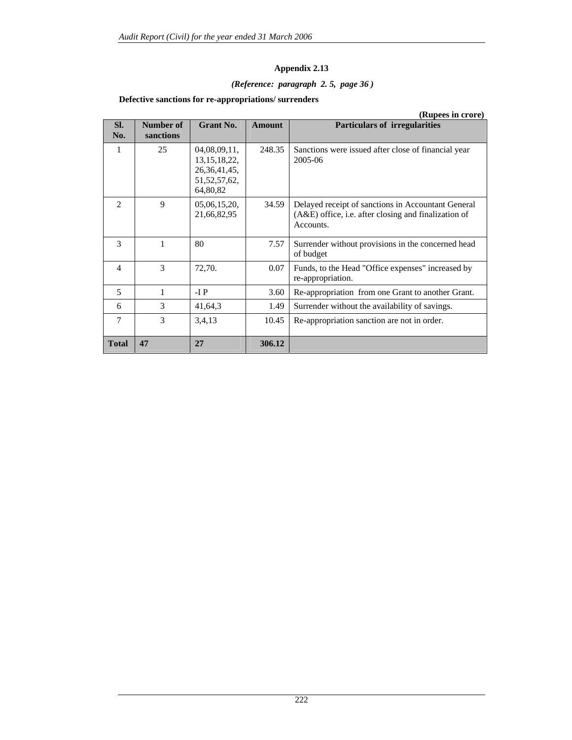#### *(Reference: paragraph 2. 5, page 36 )*

#### **Defective sanctions for re-appropriations/ surrenders**

|                |                        |                                                                                   |               | (Rupees in crore)                                                                                                         |
|----------------|------------------------|-----------------------------------------------------------------------------------|---------------|---------------------------------------------------------------------------------------------------------------------------|
| SI.<br>No.     | Number of<br>sanctions | Grant No.                                                                         | <b>Amount</b> | <b>Particulars of irregularities</b>                                                                                      |
| 1              | 25                     | 04,08,09,11,<br>13, 15, 18, 22,<br>26, 36, 41, 45,<br>51, 52, 57, 62,<br>64,80,82 | 248.35        | Sanctions were issued after close of financial year<br>2005-06                                                            |
| $\mathfrak{D}$ | 9                      | 05,06,15,20,<br>21,66,82,95                                                       | 34.59         | Delayed receipt of sanctions in Accountant General<br>$(A&E)$ office, i.e. after closing and finalization of<br>Accounts. |
| $\mathcal{E}$  | 1                      | 80                                                                                | 7.57          | Surrender without provisions in the concerned head<br>of budget                                                           |
| $\overline{4}$ | $\mathcal{F}$          | 72,70.                                                                            | 0.07          | Funds, to the Head "Office expenses" increased by<br>re-appropriation.                                                    |
| 5              | 1                      | $-I$ $P$                                                                          | 3.60          | Re-appropriation from one Grant to another Grant.                                                                         |
| 6              | 3                      | 41,64,3                                                                           | 1.49          | Surrender without the availability of savings.                                                                            |
| 7              | 3                      | 3,4,13                                                                            | 10.45         | Re-appropriation sanction are not in order.                                                                               |
| <b>Total</b>   | 47                     | 27                                                                                | 306.12        |                                                                                                                           |

222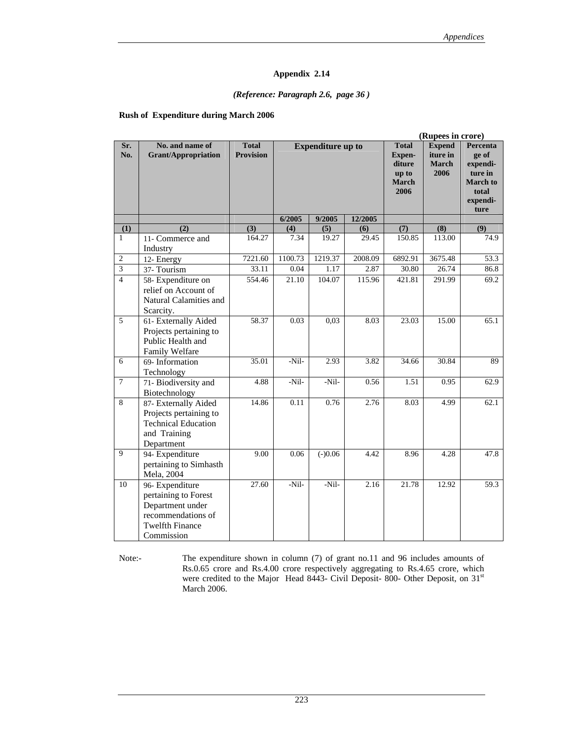#### *(Reference: Paragraph 2.6, page 36 )*

#### **Rush of Expenditure during March 2006**

|                         |                                                                                                                           | (Rupees in crore)                |                          |           |         |                                                                          |                                                   |                                                                                          |
|-------------------------|---------------------------------------------------------------------------------------------------------------------------|----------------------------------|--------------------------|-----------|---------|--------------------------------------------------------------------------|---------------------------------------------------|------------------------------------------------------------------------------------------|
| Sr.<br>No.              | No. and name of<br><b>Grant/Appropriation</b>                                                                             | <b>Total</b><br><b>Provision</b> | <b>Expenditure up to</b> |           |         | <b>Total</b><br><b>Expen-</b><br>diture<br>up to<br><b>March</b><br>2006 | <b>Expend</b><br>iture in<br><b>March</b><br>2006 | Percenta<br>ge of<br>expendi-<br>ture in<br><b>March</b> to<br>total<br>expendi-<br>ture |
|                         |                                                                                                                           |                                  | 6/2005                   | 9/2005    | 12/2005 |                                                                          |                                                   |                                                                                          |
| (1)                     | (2)                                                                                                                       | (3)                              | (4)                      | (5)       | (6)     | (7)                                                                      | (8)                                               | (9)                                                                                      |
| 1                       | 11- Commerce and<br>Industry                                                                                              | 164.27                           | 7.34                     | 19.27     | 29.45   | 150.85                                                                   | 113.00                                            | 74.9                                                                                     |
| $\sqrt{2}$              | 12- Energy                                                                                                                | 7221.60                          | 1100.73                  | 1219.37   | 2008.09 | 6892.91                                                                  | 3675.48                                           | 53.3                                                                                     |
| $\overline{\mathbf{3}}$ | 37- Tourism                                                                                                               | 33.11                            | 0.04                     | 1.17      | 2.87    | 30.80                                                                    | 26.74                                             | 86.8                                                                                     |
| $\overline{4}$          | 58- Expenditure on<br>relief on Account of<br>Natural Calamities and<br>Scarcity.                                         | 554.46                           | 21.10                    | 104.07    | 115.96  | 421.81                                                                   | 291.99                                            | 69.2                                                                                     |
| 5                       | 61- Externally Aided<br>Projects pertaining to<br>Public Health and<br>Family Welfare                                     | 58.37                            | 0.03                     | 0,03      | 8.03    | 23.03                                                                    | 15.00                                             | 65.1                                                                                     |
| 6                       | 69- Information<br>Technology                                                                                             | 35.01                            | $-Nil-$                  | 2.93      | 3.82    | 34.66                                                                    | 30.84                                             | 89                                                                                       |
| $\overline{7}$          | 71- Biodiversity and<br>Biotechnology                                                                                     | 4.88                             | -Nil-                    | -Nil-     | 0.56    | 1.51                                                                     | 0.95                                              | 62.9                                                                                     |
| 8                       | 87- Externally Aided<br>Projects pertaining to<br><b>Technical Education</b><br>and Training<br>Department                | 14.86                            | 0.11                     | 0.76      | 2.76    | 8.03                                                                     | 4.99                                              | 62.1                                                                                     |
| 9                       | 94- Expenditure<br>pertaining to Simhasth<br>Mela, 2004                                                                   | 9.00                             | 0.06                     | $(-)0.06$ | 4.42    | $\overline{8.96}$                                                        | 4.28                                              | 47.8                                                                                     |
| 10                      | 96- Expenditure<br>pertaining to Forest<br>Department under<br>recommendations of<br><b>Twelfth Finance</b><br>Commission | 27.60                            | -Nil-                    | -Nil-     | 2.16    | 21.78                                                                    | 12.92                                             | 59.3                                                                                     |

Note:- The expenditure shown in column (7) of grant no.11 and 96 includes amounts of Rs.0.65 crore and Rs.4.00 crore respectively aggregating to Rs.4.65 crore, which were credited to the Major Head 8443- Civil Deposit- 800- Other Deposit, on 31<sup>st</sup> March 2006.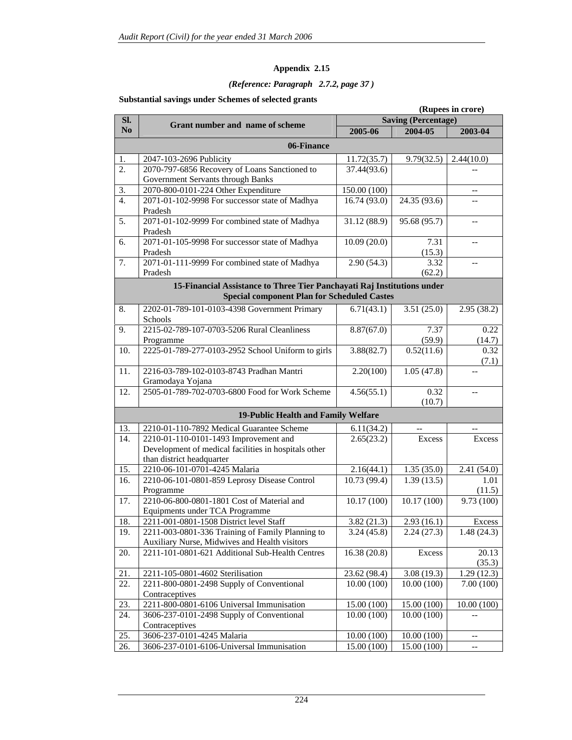#### *(Reference: Paragraph 2.7.2, page 37 )*

#### **Substantial savings under Schemes of selected grants**

|                |                                                                                             |                            |                          | (Rupees in crore)                                   |
|----------------|---------------------------------------------------------------------------------------------|----------------------------|--------------------------|-----------------------------------------------------|
| SI.            |                                                                                             | <b>Saving (Percentage)</b> |                          |                                                     |
| N <sub>0</sub> | Grant number and name of scheme                                                             | 2005-06                    | 2004-05                  | 2003-04                                             |
|                | 06-Finance                                                                                  |                            |                          |                                                     |
| 1.             | 2047-103-2696 Publicity                                                                     | 11.72(35.7)                | 9.79(32.5)               | 2.44(10.0)                                          |
| 2.             | 2070-797-6856 Recovery of Loans Sanctioned to                                               | 37.44(93.6)                |                          |                                                     |
|                | Government Servants through Banks                                                           |                            |                          |                                                     |
| 3.             | 2070-800-0101-224 Other Expenditure                                                         | 150.00 (100)               |                          | $-$                                                 |
| 4.             | 2071-01-102-9998 For successor state of Madhya                                              | 16.74(93.0)                | 24.35(93.6)              |                                                     |
|                | Pradesh                                                                                     |                            |                          |                                                     |
| 5.             | 2071-01-102-9999 For combined state of Madhya                                               | 31.12 (88.9)               | 95.68 (95.7)             | $- -$                                               |
|                | Pradesh                                                                                     |                            |                          |                                                     |
| 6.             | 2071-01-105-9998 For successor state of Madhya                                              | 10.09(20.0)                | 7.31                     | $\mathord{\hspace{1pt}\text{--}\hspace{1pt}}$       |
|                | Pradesh                                                                                     |                            | (15.3)                   |                                                     |
| 7.             | 2071-01-111-9999 For combined state of Madhya                                               | 2.90(54.3)                 | 3.32                     | $-$                                                 |
|                | Pradesh                                                                                     |                            | (62.2)                   |                                                     |
|                | 15-Financial Assistance to Three Tier Panchayati Raj Institutions under                     |                            |                          |                                                     |
|                | <b>Special component Plan for Scheduled Castes</b>                                          |                            |                          |                                                     |
| 8.             | 2202-01-789-101-0103-4398 Government Primary                                                | 6.71(43.1)                 | 3.51(25.0)               | 2.95(38.2)                                          |
|                | Schools                                                                                     |                            |                          |                                                     |
| 9.             | 2215-02-789-107-0703-5206 Rural Cleanliness                                                 | 8.87(67.0)                 | 7.37                     | 0.22                                                |
|                | Programme                                                                                   |                            | (59.9)                   | (14.7)                                              |
| 10.            | 2225-01-789-277-0103-2952 School Uniform to girls                                           | 3.88(82.7)                 | 0.52(11.6)               | 0.32                                                |
|                |                                                                                             |                            |                          | (7.1)                                               |
| 11.            | 2216-03-789-102-0103-8743 Pradhan Mantri                                                    | 2.20(100)                  | 1.05(47.8)               |                                                     |
|                | Gramodaya Yojana                                                                            |                            |                          |                                                     |
| 12.            | 2505-01-789-702-0703-6800 Food for Work Scheme                                              | 4.56(55.1)                 | 0.32                     | $-$                                                 |
|                |                                                                                             |                            | (10.7)                   |                                                     |
|                | 19-Public Health and Family Welfare                                                         |                            |                          |                                                     |
| 13.            | 2210-01-110-7892 Medical Guarantee Scheme                                                   | 6.11(34.2)                 | $\overline{a}$           |                                                     |
| 14.            | 2210-01-110-0101-1493 Improvement and                                                       | 2.65(23.2)                 | Excess                   | Excess                                              |
|                | Development of medical facilities in hospitals other                                        |                            |                          |                                                     |
|                | than district headquarter                                                                   |                            |                          |                                                     |
| 15.            | 2210-06-101-0701-4245 Malaria                                                               | 2.16(44.1)                 | 1.35(35.0)               | 2.41 (54.0)                                         |
| 16.            | 2210-06-101-0801-859 Leprosy Disease Control                                                | 10.73 (99.4)               | 1.39(13.5)               | 1.01                                                |
|                | Programme                                                                                   |                            |                          | (11.5)                                              |
| 17.            | 2210-06-800-0801-1801 Cost of Material and                                                  | 10.17(100)                 | 10.17(100)               | 9.73(100)                                           |
| 18.            | Equipments under TCA Programme                                                              |                            |                          |                                                     |
| 19.            | 2211-001-0801-1508 District level Staff<br>2211-003-0801-336 Training of Family Planning to | 3.82(21.3)<br>3.24(45.8)   | 2.93(16.1)<br>2.24(27.3) | Excess<br>1.48(24.3)                                |
|                | Auxiliary Nurse, Midwives and Health visitors                                               |                            |                          |                                                     |
| 20.            | 2211-101-0801-621 Additional Sub-Health Centres                                             | 16.38(20.8)                | Excess                   | 20.13                                               |
|                |                                                                                             |                            |                          | (35.3)                                              |
| 21.            | 2211-105-0801-4602 Sterilisation                                                            | 23.62 (98.4)               | 3.08(19.3)               | 1.29(12.3)                                          |
| 22.            | 2211-800-0801-2498 Supply of Conventional                                                   | 10.00(100)                 | 10.00(100)               | 7.00(100)                                           |
|                | Contraceptives                                                                              |                            |                          |                                                     |
| 23.            | 2211-800-0801-6106 Universal Immunisation                                                   | 15.00 (100)                | 15.00 (100)              | 10.00(100)                                          |
| 24.            | 3606-237-0101-2498 Supply of Conventional                                                   | 10.00(100)                 | 10.00(100)               |                                                     |
|                | Contraceptives                                                                              |                            |                          |                                                     |
| 25.            | 3606-237-0101-4245 Malaria                                                                  | 10.00 (100)                | 10.00 (100)              | $- -$                                               |
| 26.            | 3606-237-0101-6106-Universal Immunisation                                                   | 15.00 (100)                | 15.00 (100)              | $\hspace{0.05cm} -\hspace{0.05cm} -\hspace{0.05cm}$ |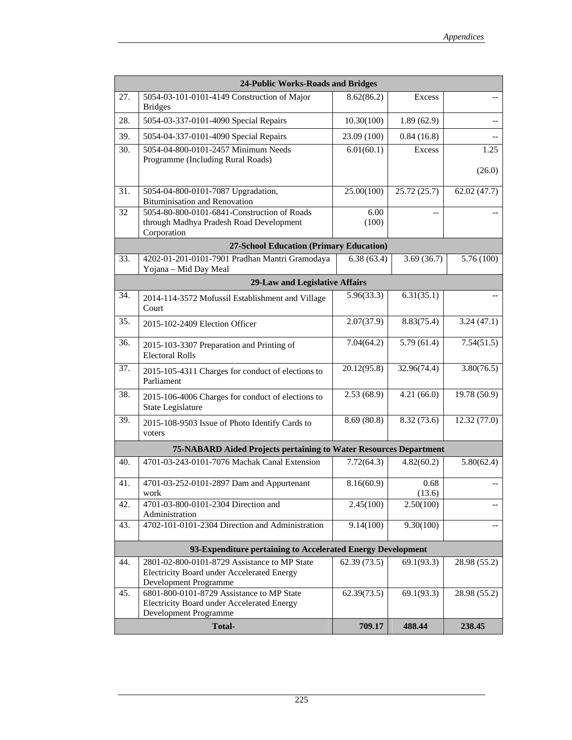|     | 24-Public Works-Roads and Bridges                                                                                          |               |                |                         |
|-----|----------------------------------------------------------------------------------------------------------------------------|---------------|----------------|-------------------------|
| 27. | 5054-03-101-0101-4149 Construction of Major<br><b>Bridges</b>                                                              | 8.62(86.2)    | <b>Excess</b>  |                         |
| 28. | 5054-03-337-0101-4090 Special Repairs                                                                                      | 10.30(100)    | 1.89(62.9)     |                         |
| 39. | 5054-04-337-0101-4090 Special Repairs                                                                                      | 23.09 (100)   | 0.84(16.8)     |                         |
| 30. | 5054-04-800-0101-2457 Minimum Needs<br>Programme (Including Rural Roads)                                                   | 6.01(60.1)    | Excess         | 1.25<br>(26.0)          |
| 31. | 5054-04-800-0101-7087 Upgradation,<br><b>Bituminisation and Renovation</b>                                                 | 25.00(100)    | 25.72(25.7)    | 62.02(47.7)             |
| 32  | 5054-80-800-0101-6841-Construction of Roads<br>through Madhya Pradesh Road Development<br>Corporation                      | 6.00<br>(100) |                |                         |
|     | <b>27-School Education (Primary Education)</b>                                                                             |               |                |                         |
| 33. | 4202-01-201-0101-7901 Pradhan Mantri Gramodaya<br>Yojana - Mid Day Meal                                                    | 6.38(63.4)    | 3.69(36.7)     | $\overline{5.76}$ (100) |
|     | 29-Law and Legislative Affairs                                                                                             |               |                |                         |
| 34. | 2014-114-3572 Mofussil Establishment and Village<br>Court                                                                  | 5.96(33.3)    | 6.31(35.1)     |                         |
| 35. | 2015-102-2409 Election Officer                                                                                             | 2.07(37.9)    | 8.83(75.4)     | 3.24(47.1)              |
| 36. | 2015-103-3307 Preparation and Printing of<br><b>Electoral Rolls</b>                                                        | 7.04(64.2)    | 5.79(61.4)     | 7.54(51.5)              |
| 37. | 2015-105-4311 Charges for conduct of elections to<br>Parliament                                                            | 20.12(95.8)   | 32.96(74.4)    | 3.80(76.5)              |
| 38. | 2015-106-4006 Charges for conduct of elections to<br>State Legislature                                                     | 2.53(68.9)    | 4.21(66.0)     | 19.78 (50.9)            |
| 39. | 2015-108-9503 Issue of Photo Identify Cards to<br>voters                                                                   | 8.69(80.8)    | 8.32 (73.6)    | 12.32(77.0)             |
|     | 75-NABARD Aided Projects pertaining to Water Resources Department                                                          |               |                |                         |
| 40. | 4701-03-243-0101-7076 Machak Canal Extension                                                                               | 7.72(64.3)    | 4.82(60.2)     | 5.80(62.4)              |
| 41. | 4701-03-252-0101-2897 Dam and Appurtenant<br>work                                                                          | 8.16(60.9)    | 0.68<br>(13.6) |                         |
| 42. | 4701-03-800-0101-2304 Direction and<br>Administration                                                                      | 2.45(100)     | 2.50(100)      |                         |
| 43. | 4702-101-0101-2304 Direction and Administration                                                                            | 9.14(100)     | 9.30(100)      |                         |
|     | 93-Expenditure pertaining to Accelerated Energy Development                                                                |               |                |                         |
| 44. | 2801-02-800-0101-8729 Assistance to MP State<br><b>Electricity Board under Accelerated Energy</b><br>Development Programme | 62.39(73.5)   | 69.1(93.3)     | 28.98 (55.2)            |
| 45. | 6801-800-0101-8729 Assistance to MP State<br><b>Electricity Board under Accelerated Energy</b><br>Development Programme    | 62.39(73.5)   | 69.1(93.3)     | 28.98 (55.2)            |
|     | <b>Total-</b>                                                                                                              | 709.17        | 488.44         | 238.45                  |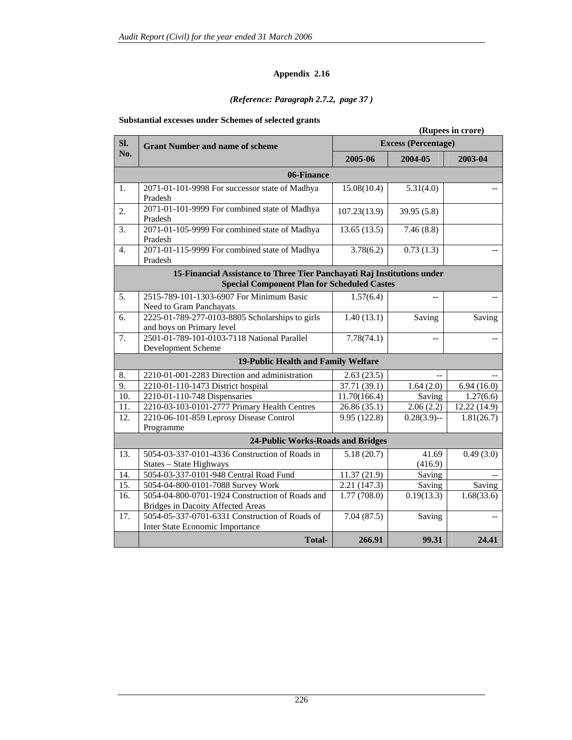#### *(Reference: Paragraph 2.7.2, page 37 )*

#### **Substantial excesses under Schemes of selected grants**

|                  |                                                                         |              |                            | (Rupees in crore)       |
|------------------|-------------------------------------------------------------------------|--------------|----------------------------|-------------------------|
| SI.              | <b>Grant Number and name of scheme</b>                                  |              | <b>Excess (Percentage)</b> |                         |
| No.              |                                                                         | 2005-06      | 2004-05                    | 2003-04                 |
|                  | 06-Finance                                                              |              |                            |                         |
| 1.               | 2071-01-101-9998 For successor state of Madhya                          | 15.08(10.4)  | 5.31(4.0)                  |                         |
| 2.               | Pradesh<br>2071-01-101-9999 For combined state of Madhya                | 107.23(13.9) | 39.95 (5.8)                |                         |
|                  | Pradesh                                                                 |              |                            |                         |
| 3.               | 2071-01-105-9999 For combined state of Madhya<br>Pradesh                | 13.65(13.5)  | 7.46(8.8)                  |                         |
| $\overline{4}$ . | 2071-01-115-9999 For combined state of Madhya                           | 3.78(6.2)    | 0.73(1.3)                  |                         |
|                  | Pradesh                                                                 |              |                            |                         |
|                  | 15-Financial Assistance to Three Tier Panchayati Raj Institutions under |              |                            |                         |
|                  | <b>Special Component Plan for Scheduled Castes</b>                      |              |                            |                         |
| 5.               | 2515-789-101-1303-6907 For Minimum Basic                                | 1.57(6.4)    | $\sim$                     |                         |
|                  | Need to Gram Panchayats                                                 |              |                            |                         |
| 6.               | 2225-01-789-277-0103-8805 Scholarships to girls                         | 1.40(13.1)   | Saving                     | Saving                  |
|                  | and boys on Primary level                                               |              |                            |                         |
| 7.               | 2501-01-789-101-0103-7118 National Parallel                             | 7.78(74.1)   | $-$                        |                         |
|                  | Development Scheme                                                      |              |                            |                         |
|                  | 19-Public Health and Family Welfare                                     |              |                            |                         |
| 8.               | 2210-01-001-2283 Direction and administration                           | 2.63(23.5)   | $\overline{a}$             |                         |
| 9.               | 2210-01-110-1473 District hospital                                      | 37.71 (39.1) | 1.64(2.0)                  | 6.94(16.0)              |
| 10.              | 2210-01-110-748 Dispensaries                                            | 11.70(166.4) | Saving                     | 1.27(6.6)               |
| 11.              | 2210-03-103-0101-2777 Primary Health Centres                            | 26.86(35.1)  | 2.06(2.2)                  | 12.22 (14.9)            |
| 12.              | 2210-06-101-859 Leprosy Disease Control                                 | 9.95 (122.8) | $0.28(3.9)$ --             | 1.81(26.7)              |
|                  | Programme                                                               |              |                            |                         |
|                  | 24-Public Works-Roads and Bridges                                       |              |                            |                         |
| 13.              | 5054-03-337-0101-4336 Construction of Roads in                          | 5.18(20.7)   | 41.69                      | 0.49(3.0)               |
|                  | States - State Highways                                                 |              | (416.9)                    |                         |
| 14.              | 5054-03-337-0101-948 Central Road Fund                                  | 11.37 (21.9) | Saving                     |                         |
| 15.              | 5054-04-800-0101-7088 Survey Work                                       | 2.21(147.3)  | Saving                     | Saving                  |
| 16.              | 5054-04-800-0701-1924 Construction of Roads and                         | 1.77(708.0)  | 0.19(13.3)                 | $\overline{1.68(33.6)}$ |
|                  | <b>Bridges in Dacoity Affected Areas</b>                                |              |                            |                         |
| 17.              | 5054-05-337-0701-6331 Construction of Roads of                          | 7.04(87.5)   | Saving                     |                         |
|                  | Inter State Economic Importance                                         |              |                            |                         |
|                  | <b>Total-</b>                                                           | 266.91       | 99.31                      | 24.41                   |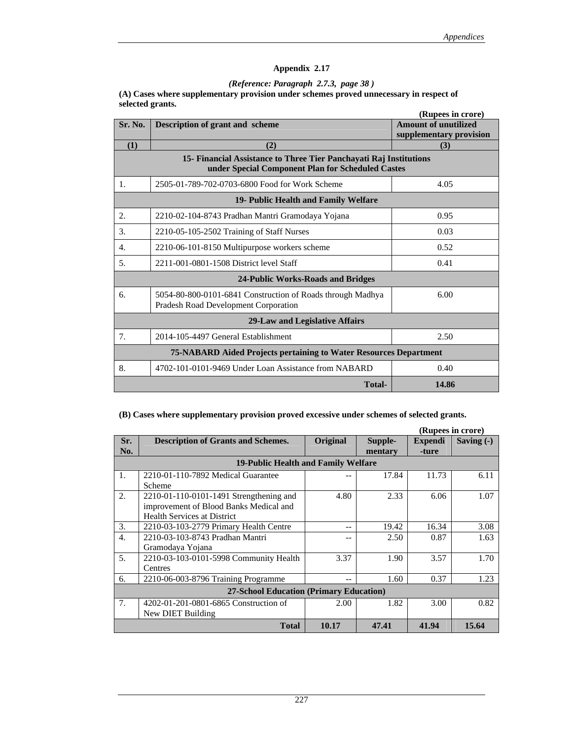#### *(Reference: Paragraph 2.7.3, page 38 )*

**(A) Cases where supplementary provision under schemes proved unnecessary in respect of selected grants.** 

|         |                                                                                                                         | (Rupees in crore)           |  |  |
|---------|-------------------------------------------------------------------------------------------------------------------------|-----------------------------|--|--|
| Sr. No. | <b>Description of grant and scheme</b>                                                                                  | <b>Amount of unutilized</b> |  |  |
|         |                                                                                                                         | supplementary provision     |  |  |
| (1)     | (2)                                                                                                                     | (3)                         |  |  |
|         | 15- Financial Assistance to Three Tier Panchayati Raj Institutions<br>under Special Component Plan for Scheduled Castes |                             |  |  |
| 1.      | 2505-01-789-702-0703-6800 Food for Work Scheme                                                                          | 4.05                        |  |  |
|         | 19- Public Health and Family Welfare                                                                                    |                             |  |  |
| 2.      | 2210-02-104-8743 Pradhan Mantri Gramodaya Yojana                                                                        | 0.95                        |  |  |
| 3.      | 2210-05-105-2502 Training of Staff Nurses                                                                               | 0.03                        |  |  |
| 4.      | 2210-06-101-8150 Multipurpose workers scheme                                                                            | 0.52                        |  |  |
| 5.      | 2211-001-0801-1508 District level Staff                                                                                 | 0.41                        |  |  |
|         | 24-Public Works-Roads and Bridges                                                                                       |                             |  |  |
| 6.      | 5054-80-800-0101-6841 Construction of Roads through Madhya<br>Pradesh Road Development Corporation                      | 6.00                        |  |  |
|         | 29-Law and Legislative Affairs                                                                                          |                             |  |  |
| 7.      | 2014-105-4497 General Establishment                                                                                     | 2.50                        |  |  |
|         | 75-NABARD Aided Projects pertaining to Water Resources Department                                                       |                             |  |  |
| 8.      | 4702-101-0101-9469 Under Loan Assistance from NABARD                                                                    | 0.40                        |  |  |
|         | <b>Total-</b>                                                                                                           | 14.86                       |  |  |

#### **(B) Cases where supplementary provision proved excessive under schemes of selected grants.**

|                  |                                           |          |         |                | (Rupees in crore) |
|------------------|-------------------------------------------|----------|---------|----------------|-------------------|
| Sr.              | <b>Description of Grants and Schemes.</b> | Original | Supple- | <b>Expendi</b> | Saving $(-)$      |
| No.              |                                           |          | mentary | -ture          |                   |
|                  | 19-Public Health and Family Welfare       |          |         |                |                   |
| 1.               | 2210-01-110-7892 Medical Guarantee        |          | 17.84   | 11.73          | 6.11              |
|                  | Scheme                                    |          |         |                |                   |
| $\overline{2}$ . | 2210-01-110-0101-1491 Strengthening and   | 4.80     | 2.33    | 6.06           | 1.07              |
|                  | improvement of Blood Banks Medical and    |          |         |                |                   |
|                  | <b>Health Services at District</b>        |          |         |                |                   |
| 3.               | 2210-03-103-2779 Primary Health Centre    | --       | 19.42   | 16.34          | 3.08              |
| $\overline{4}$ . | 2210-03-103-8743 Pradhan Mantri           |          | 2.50    | 0.87           | 1.63              |
|                  | Gramodaya Yojana                          |          |         |                |                   |
| 5.               | 2210-03-103-0101-5998 Community Health    | 3.37     | 1.90    | 3.57           | 1.70              |
|                  | Centres                                   |          |         |                |                   |
| 6.               | 2210-06-003-8796 Training Programme       | --       | 1.60    | 0.37           | 1.23              |
|                  | 27-School Education (Primary Education)   |          |         |                |                   |
| 7.               | 4202-01-201-0801-6865 Construction of     | 2.00     | 1.82    | 3.00           | 0.82              |
|                  | New DIET Building                         |          |         |                |                   |
|                  | <b>Total</b>                              | 10.17    | 47.41   | 41.94          | 15.64             |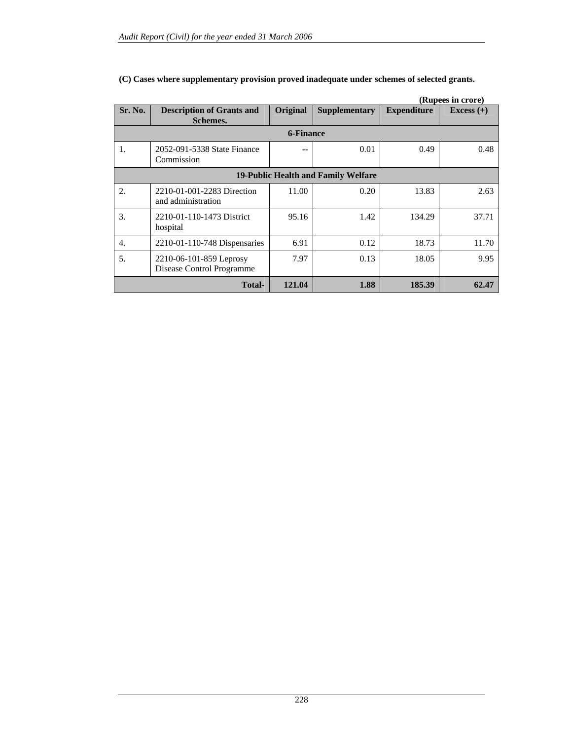|         |                                                      |           |                      |                    | (Rupees in crore) |
|---------|------------------------------------------------------|-----------|----------------------|--------------------|-------------------|
| Sr. No. | <b>Description of Grants and</b><br>Schemes.         | Original  | <b>Supplementary</b> | <b>Expenditure</b> | Excess $(+)$      |
|         |                                                      | 6-Finance |                      |                    |                   |
| 1.      | 2052-091-5338 State Finance<br>Commission            |           | 0.01                 | 0.49               | 0.48              |
|         | 19-Public Health and Family Welfare                  |           |                      |                    |                   |
| 2.      | 2210-01-001-2283 Direction<br>and administration     | 11.00     | 0.20                 | 13.83              | 2.63              |
| 3.      | 2210-01-110-1473 District<br>hospital                | 95.16     | 1.42                 | 134.29             | 37.71             |
| 4.      | 2210-01-110-748 Dispensaries                         | 6.91      | 0.12                 | 18.73              | 11.70             |
| 5.      | 2210-06-101-859 Leprosy<br>Disease Control Programme | 7.97      | 0.13                 | 18.05              | 9.95              |
|         | Total-                                               | 121.04    | 1.88                 | 185.39             | 62.47             |

#### **(C) Cases where supplementary provision proved inadequate under schemes of selected grants.**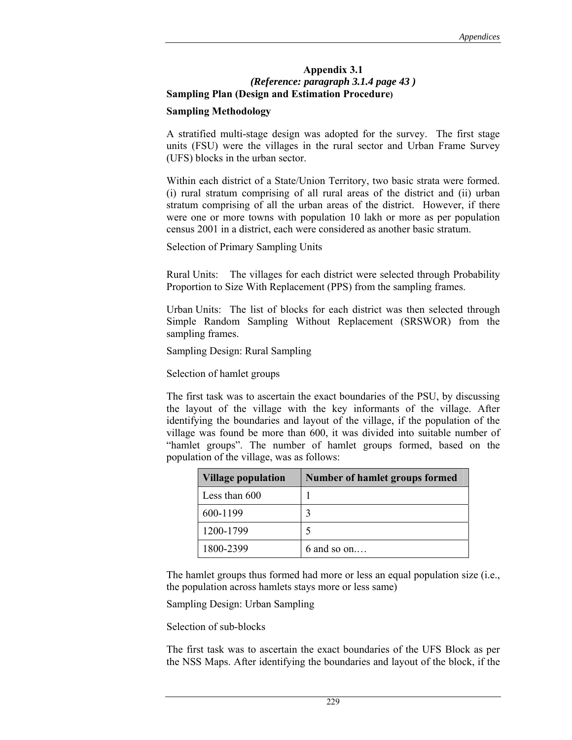#### **Appendix 3.1**  *(Reference: paragraph 3.1.4 page 43 )*  **Sampling Plan (Design and Estimation Procedure)**

#### **Sampling Methodology**

A stratified multi-stage design was adopted for the survey. The first stage units (FSU) were the villages in the rural sector and Urban Frame Survey (UFS) blocks in the urban sector.

Within each district of a State/Union Territory, two basic strata were formed. (i) rural stratum comprising of all rural areas of the district and (ii) urban stratum comprising of all the urban areas of the district. However, if there were one or more towns with population 10 lakh or more as per population census 2001 in a district, each were considered as another basic stratum.

Selection of Primary Sampling Units

Rural Units: The villages for each district were selected through Probability Proportion to Size With Replacement (PPS) from the sampling frames.

Urban Units: The list of blocks for each district was then selected through Simple Random Sampling Without Replacement (SRSWOR) from the sampling frames.

Sampling Design: Rural Sampling

Selection of hamlet groups

The first task was to ascertain the exact boundaries of the PSU, by discussing the layout of the village with the key informants of the village. After identifying the boundaries and layout of the village, if the population of the village was found be more than 600, it was divided into suitable number of "hamlet groups". The number of hamlet groups formed, based on the population of the village, was as follows:

| <b>Village population</b> | Number of hamlet groups formed |
|---------------------------|--------------------------------|
| Less than 600             |                                |
| 600-1199                  |                                |
| 1200-1799                 |                                |
| 1800-2399                 | 6 and so on                    |

The hamlet groups thus formed had more or less an equal population size (i.e., the population across hamlets stays more or less same)

Sampling Design: Urban Sampling

Selection of sub-blocks

The first task was to ascertain the exact boundaries of the UFS Block as per the NSS Maps. After identifying the boundaries and layout of the block, if the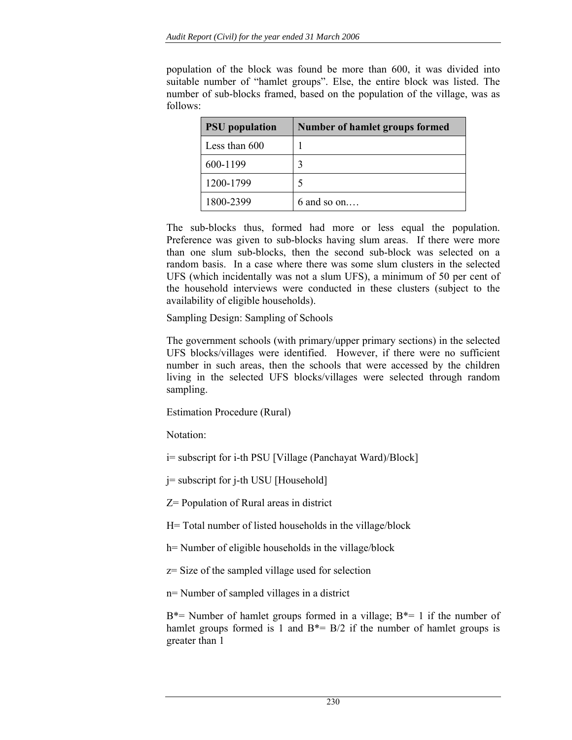population of the block was found be more than 600, it was divided into suitable number of "hamlet groups". Else, the entire block was listed. The number of sub-blocks framed, based on the population of the village, was as follows:

| <b>PSU</b> population | Number of hamlet groups formed |
|-----------------------|--------------------------------|
| Less than 600         |                                |
| 600-1199              | 3                              |
| 1200-1799             |                                |
| 1800-2399             | $6$ and so on                  |

The sub-blocks thus, formed had more or less equal the population. Preference was given to sub-blocks having slum areas. If there were more than one slum sub-blocks, then the second sub-block was selected on a random basis. In a case where there was some slum clusters in the selected UFS (which incidentally was not a slum UFS), a minimum of 50 per cent of the household interviews were conducted in these clusters (subject to the availability of eligible households).

Sampling Design: Sampling of Schools

The government schools (with primary/upper primary sections) in the selected UFS blocks/villages were identified. However, if there were no sufficient number in such areas, then the schools that were accessed by the children living in the selected UFS blocks/villages were selected through random sampling.

Estimation Procedure (Rural)

Notation:

i= subscript for i-th PSU [Village (Panchayat Ward)/Block]

j= subscript for j-th USU [Household]

Z= Population of Rural areas in district

H= Total number of listed households in the village/block

h= Number of eligible households in the village/block

z= Size of the sampled village used for selection

n= Number of sampled villages in a district

 $B^*$ = Number of hamlet groups formed in a village;  $B^*$ = 1 if the number of hamlet groups formed is 1 and  $B^* = B/2$  if the number of hamlet groups is greater than 1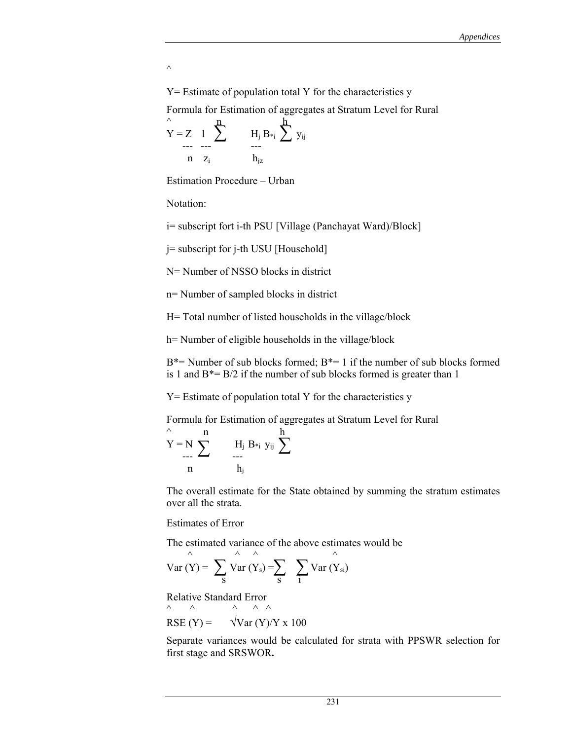$\wedge$ 

 $Y =$  Estimate of population total Y for the characteristics y Formula for Estimation of aggregates at Stratum Level for Rural

$$
Y = Z \quad 1 \quad \sum_{r=1}^{n} \qquad H_j B_{*i} \sum_{j=1}^{h} y_{ij}
$$
  
n  $z_i$   $h_{jz}$ 

Estimation Procedure – Urban

Notation:

i= subscript fort i-th PSU [Village (Panchayat Ward)/Block]

j= subscript for j-th USU [Household]

N = Number of NSSO blocks in district

n= Number of sampled blocks in district

H= Total number of listed households in the village/block

h= Number of eligible households in the village/block

 $B^*$ = Number of sub blocks formed;  $B^*$ = 1 if the number of sub blocks formed is 1 and  $B^* = B/2$  if the number of sub blocks formed is greater than 1

Y= Estimate of population total Y for the characteristics y

Formula for Estimation of aggregates at Stratum Level for Rural

$$
\stackrel{\wedge}{Y} = N \sum_{\substack{\longrightarrow \\ n}}^{n} \qquad \qquad H_j \ B_{*_i} \ y_{ij} \ \sum_{\substack{\longrightarrow \\ h_j}}^{h}
$$

The overall estimate for the State obtained by summing the stratum estimates over all the strata.

#### Estimates of Error

The estimated variance of the above estimates would be

$$
Var(Y) = \sum_{S} \widehat{Var(Y_s)} = \sum_{S} \sum_{1} Var(Y_{si})
$$

Relative Standard Error  $\begin{matrix} \wedge \hspace{1.5cm} \wedge \hspace{1.5cm} \wedge \hspace{1.5cm} \wedge \hspace{1.5cm} \wedge \hspace{1.5cm} \wedge \hspace{1.5cm} \wedge \hspace{1.5cm} \wedge \hspace{1.5cm} \wedge \hspace{1.5cm} \wedge \hspace{1.5cm} \wedge \hspace{1.5cm} \wedge \hspace{1.5cm} \wedge \hspace{1.5cm} \wedge \hspace{1.5cm} \wedge \hspace{1.5cm} \wedge \hspace{1.5cm} \wedge \hspace{1.5cm} \wedge \hspace{1.5cm$ 

$$
RSE (Y) = \sqrt{Var (Y)/Y \times 100}
$$

Separate variances would be calculated for strata with PPSWR selection for first stage and SRSWOR**.**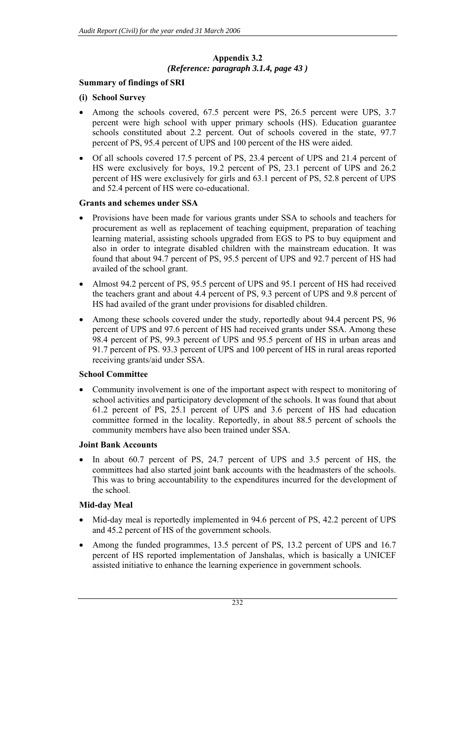# **Appendix 3.2**  *(Reference: paragraph 3.1.4, page 43 )*

# **Summary of findings of SRI**

# **(i) School Survey**

- Among the schools covered, 67.5 percent were PS, 26.5 percent were UPS, 3.7 percent were high school with upper primary schools (HS). Education guarantee schools constituted about 2.2 percent. Out of schools covered in the state, 97.7 percent of PS, 95.4 percent of UPS and 100 percent of the HS were aided.
- Of all schools covered 17.5 percent of PS, 23.4 percent of UPS and 21.4 percent of HS were exclusively for boys, 19.2 percent of PS, 23.1 percent of UPS and 26.2 percent of HS were exclusively for girls and 63.1 percent of PS, 52.8 percent of UPS and 52.4 percent of HS were co-educational.

# **Grants and schemes under SSA**

- Provisions have been made for various grants under SSA to schools and teachers for procurement as well as replacement of teaching equipment, preparation of teaching learning material, assisting schools upgraded from EGS to PS to buy equipment and also in order to integrate disabled children with the mainstream education. It was found that about 94.7 percent of PS, 95.5 percent of UPS and 92.7 percent of HS had availed of the school grant.
- Almost 94.2 percent of PS, 95.5 percent of UPS and 95.1 percent of HS had received the teachers grant and about 4.4 percent of PS, 9.3 percent of UPS and 9.8 percent of HS had availed of the grant under provisions for disabled children.
- Among these schools covered under the study, reportedly about 94.4 percent PS, 96 percent of UPS and 97.6 percent of HS had received grants under SSA. Among these 98.4 percent of PS, 99.3 percent of UPS and 95.5 percent of HS in urban areas and 91.7 percent of PS. 93.3 percent of UPS and 100 percent of HS in rural areas reported receiving grants/aid under SSA.

## **School Committee**

• Community involvement is one of the important aspect with respect to monitoring of school activities and participatory development of the schools. It was found that about 61.2 percent of PS, 25.1 percent of UPS and 3.6 percent of HS had education committee formed in the locality. Reportedly, in about 88.5 percent of schools the community members have also been trained under SSA.

## **Joint Bank Accounts**

In about 60.7 percent of PS, 24.7 percent of UPS and 3.5 percent of HS, the committees had also started joint bank accounts with the headmasters of the schools. This was to bring accountability to the expenditures incurred for the development of the school.

## **Mid-day Meal**

- Mid-day meal is reportedly implemented in 94.6 percent of PS, 42.2 percent of UPS and 45.2 percent of HS of the government schools.
- Among the funded programmes, 13.5 percent of PS, 13.2 percent of UPS and 16.7 percent of HS reported implementation of Janshalas, which is basically a UNICEF assisted initiative to enhance the learning experience in government schools.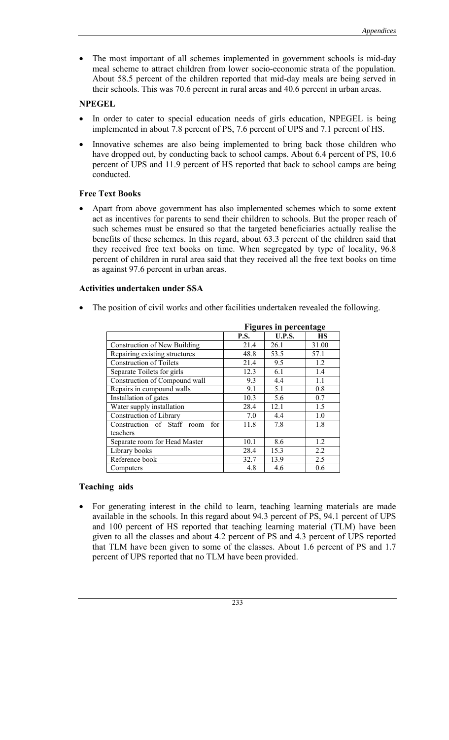• The most important of all schemes implemented in government schools is mid-day meal scheme to attract children from lower socio-economic strata of the population. About 58.5 percent of the children reported that mid-day meals are being served in their schools. This was 70.6 percent in rural areas and 40.6 percent in urban areas.

# **NPEGEL**

- In order to cater to special education needs of girls education, NPEGEL is being implemented in about 7.8 percent of PS, 7.6 percent of UPS and 7.1 percent of HS.
- Innovative schemes are also being implemented to bring back those children who have dropped out, by conducting back to school camps. About 6.4 percent of PS, 10.6 percent of UPS and 11.9 percent of HS reported that back to school camps are being conducted.

# **Free Text Books**

• Apart from above government has also implemented schemes which to some extent act as incentives for parents to send their children to schools. But the proper reach of such schemes must be ensured so that the targeted beneficiaries actually realise the benefits of these schemes. In this regard, about 63.3 percent of the children said that they received free text books on time. When segregated by type of locality, 96.8 percent of children in rural area said that they received all the free text books on time as against 97.6 percent in urban areas.

# **Activities undertaken under SSA**

• The position of civil works and other facilities undertaken revealed the following.

|                                   |             | <b>Figures in percentage</b> |           |
|-----------------------------------|-------------|------------------------------|-----------|
|                                   | <b>P.S.</b> | <b>U.P.S.</b>                | <b>HS</b> |
| Construction of New Building      | 21.4        | 26.1                         | 31.00     |
| Repairing existing structures     | 48.8        | 53.5                         | 57.1      |
| <b>Construction of Toilets</b>    | 21.4        | 9.5                          | 1.2       |
| Separate Toilets for girls        | 12.3        | 6.1                          | 1.4       |
| Construction of Compound wall     | 9.3         | 4.4                          | 1.1       |
| Repairs in compound walls         | 9.1         | 5.1                          | 0.8       |
| Installation of gates             | 10.3        | 5.6                          | 0.7       |
| Water supply installation         | 28.4        | 12.1                         | 1.5       |
| Construction of Library           | 7.0         | 4.4                          | 1.0       |
| Construction of Staff room<br>for | 11.8        | 7.8                          | 1.8       |
| teachers                          |             |                              |           |
| Separate room for Head Master     | 10.1        | 8.6                          | 1.2       |
| Library books                     | 28.4        | 15.3                         | 2.2       |
| Reference book                    | 32.7        | 13.9                         | 2.5       |
| Computers                         | 4.8         | 4.6                          | 0.6       |

## **Teaching aids**

• For generating interest in the child to learn, teaching learning materials are made available in the schools. In this regard about 94.3 percent of PS, 94.1 percent of UPS and 100 percent of HS reported that teaching learning material (TLM) have been given to all the classes and about 4.2 percent of PS and 4.3 percent of UPS reported that TLM have been given to some of the classes. About 1.6 percent of PS and 1.7 percent of UPS reported that no TLM have been provided.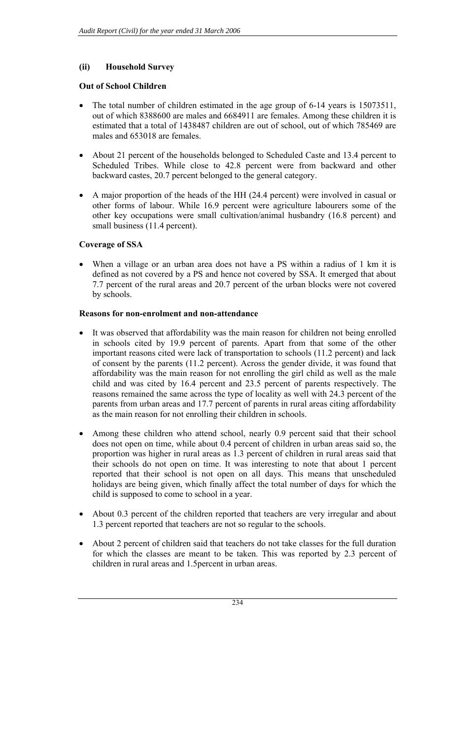## **(ii) Household Survey**

## **Out of School Children**

- The total number of children estimated in the age group of 6-14 years is 15073511, out of which 8388600 are males and 6684911 are females. Among these children it is estimated that a total of 1438487 children are out of school, out of which 785469 are males and 653018 are females.
- About 21 percent of the households belonged to Scheduled Caste and 13.4 percent to Scheduled Tribes. While close to 42.8 percent were from backward and other backward castes, 20.7 percent belonged to the general category.
- A major proportion of the heads of the HH (24.4 percent) were involved in casual or other forms of labour. While 16.9 percent were agriculture labourers some of the other key occupations were small cultivation/animal husbandry (16.8 percent) and small business (11.4 percent).

## **Coverage of SSA**

• When a village or an urban area does not have a PS within a radius of 1 km it is defined as not covered by a PS and hence not covered by SSA. It emerged that about 7.7 percent of the rural areas and 20.7 percent of the urban blocks were not covered by schools.

## **Reasons for non-enrolment and non-attendance**

- It was observed that affordability was the main reason for children not being enrolled in schools cited by 19.9 percent of parents. Apart from that some of the other important reasons cited were lack of transportation to schools (11.2 percent) and lack of consent by the parents (11.2 percent). Across the gender divide, it was found that affordability was the main reason for not enrolling the girl child as well as the male child and was cited by 16.4 percent and 23.5 percent of parents respectively. The reasons remained the same across the type of locality as well with 24.3 percent of the parents from urban areas and 17.7 percent of parents in rural areas citing affordability as the main reason for not enrolling their children in schools.
- Among these children who attend school, nearly 0.9 percent said that their school does not open on time, while about 0.4 percent of children in urban areas said so, the proportion was higher in rural areas as 1.3 percent of children in rural areas said that their schools do not open on time. It was interesting to note that about 1 percent reported that their school is not open on all days. This means that unscheduled holidays are being given, which finally affect the total number of days for which the child is supposed to come to school in a year.
- About 0.3 percent of the children reported that teachers are very irregular and about 1.3 percent reported that teachers are not so regular to the schools.
- About 2 percent of children said that teachers do not take classes for the full duration for which the classes are meant to be taken. This was reported by 2.3 percent of children in rural areas and 1.5percent in urban areas.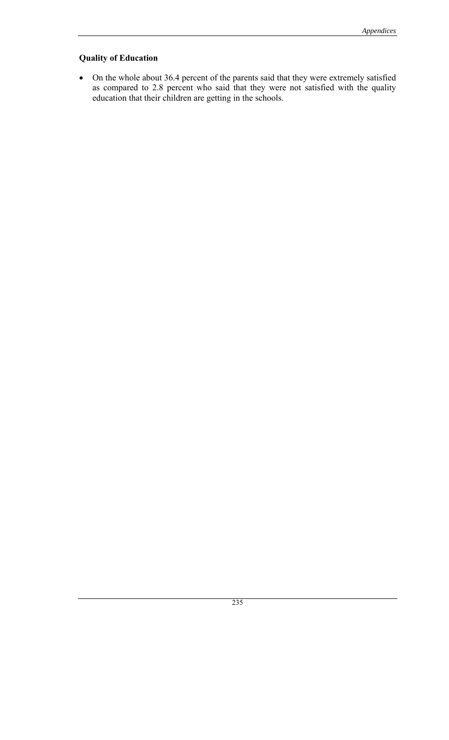# **Quality of Education**

• On the whole about 36.4 percent of the parents said that they were extremely satisfied as compared to 2.8 percent who said that they were not satisfied with the quality education that their children are getting in the schools.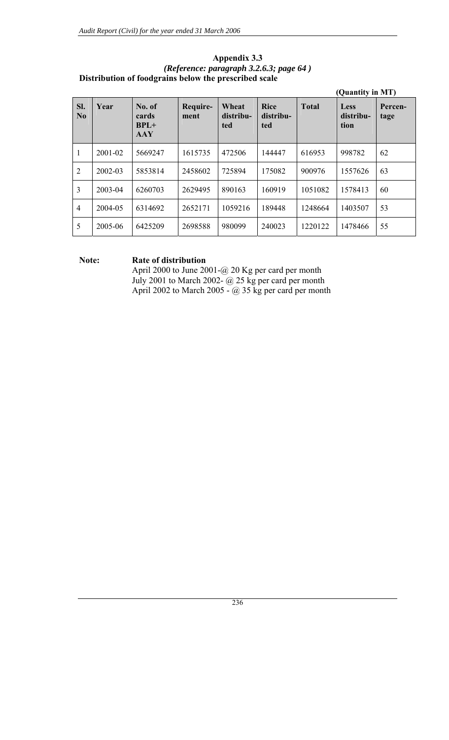| SI.<br>N <sub>0</sub> | Year    | No. of<br>cards<br>$BPL+$<br><b>AAY</b> | Require-<br>ment | Wheat<br>distribu-<br>ted | <b>Rice</b><br>distribu-<br>ted | <b>Total</b> | Less<br>distribu-<br>tion | Percen-<br>tage |
|-----------------------|---------|-----------------------------------------|------------------|---------------------------|---------------------------------|--------------|---------------------------|-----------------|
| $\mathbf{1}$          | 2001-02 | 5669247                                 | 1615735          | 472506                    | 144447                          | 616953       | 998782                    | 62              |
| $\overline{2}$        | 2002-03 | 5853814                                 | 2458602          | 725894                    | 175082                          | 900976       | 1557626                   | 63              |
| $\overline{3}$        | 2003-04 | 6260703                                 | 2629495          | 890163                    | 160919                          | 1051082      | 1578413                   | 60              |
| $\overline{4}$        | 2004-05 | 6314692                                 | 2652171          | 1059216                   | 189448                          | 1248664      | 1403507                   | 53              |
| 5                     | 2005-06 | 6425209                                 | 2698588          | 980099                    | 240023                          | 1220122      | 1478466                   | 55              |

### **Appendix 3.3**  *(Reference: paragraph 3.2.6.3; page 64 )*  **Distribution of foodgrains below the prescribed scale**

## **Note: Rate of distribution**

 April 2000 to June 2001-@ 20 Kg per card per month July 2001 to March 2002- @ 25 kg per card per month April 2002 to March 2005 -  $\omega$  35 kg per card per month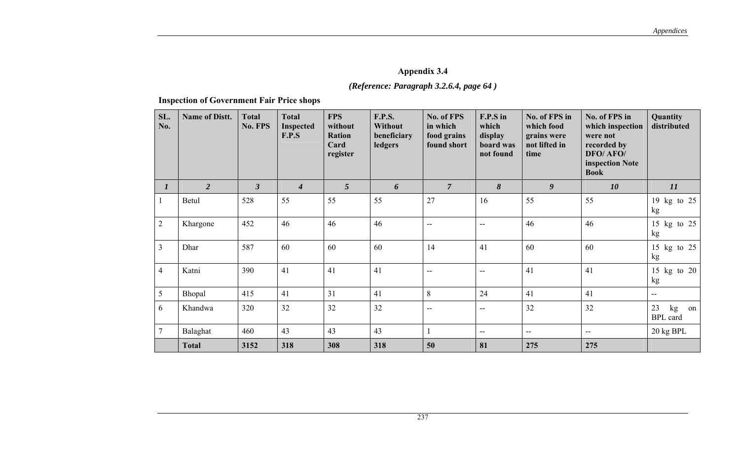# *(Reference: Paragraph 3.2.6.4, page 64 )*

**Inspection of Government Fair Price shops**

| SL.<br>No.      | <b>Name of Distt.</b> | <b>Total</b><br>No. FPS | <b>Total</b><br><b>Inspected</b><br>F.P.S | <b>FPS</b><br>without<br><b>Ration</b><br>Card<br>register | <b>F.P.S.</b><br>Without<br>beneficiary<br>ledgers | No. of FPS<br>in which<br>food grains<br>found short | F.P.S in<br>which<br>display<br>board was<br>not found | No. of FPS in<br>which food<br>grains were<br>not lifted in<br>time | No. of FPS in<br>which inspection<br>were not<br>recorded by<br>DFO/ AFO/<br>inspection Note<br><b>Book</b> | <b>Quantity</b><br>distributed    |
|-----------------|-----------------------|-------------------------|-------------------------------------------|------------------------------------------------------------|----------------------------------------------------|------------------------------------------------------|--------------------------------------------------------|---------------------------------------------------------------------|-------------------------------------------------------------------------------------------------------------|-----------------------------------|
| $\bm{l}$        | $\overline{2}$        | $\mathfrak{z}$          | $\overline{4}$                            | $5\overline{)}$                                            | 6                                                  | $\overline{7}$                                       | 8                                                      | $\boldsymbol{g}$                                                    | 10                                                                                                          | 11                                |
|                 | Betul                 | 528                     | 55                                        | 55                                                         | 55                                                 | 27                                                   | 16                                                     | 55                                                                  | 55                                                                                                          | 19 kg to 25<br>kg                 |
| 2               | Khargone              | 452                     | 46                                        | 46                                                         | 46                                                 | $\overline{\phantom{a}}$                             | $\overline{\phantom{a}}$                               | 46                                                                  | 46                                                                                                          | 15 kg to 25<br>kg                 |
| $\mathfrak{Z}$  | Dhar                  | 587                     | 60                                        | 60                                                         | 60                                                 | 14                                                   | 41                                                     | 60                                                                  | 60                                                                                                          | 15 kg to 25<br>kg                 |
| $\overline{4}$  | Katni                 | 390                     | 41                                        | 41                                                         | 41                                                 | $\overline{a}$                                       | $\mathbf{u}$                                           | 41                                                                  | 41                                                                                                          | 15 kg to 20<br>kg                 |
| 5               | Bhopal                | 415                     | 41                                        | 31                                                         | 41                                                 | 8                                                    | 24                                                     | 41                                                                  | 41                                                                                                          | $\overline{a}$                    |
| 6               | Khandwa               | 320                     | 32                                        | 32                                                         | 32                                                 | --                                                   | $\overline{\phantom{m}}$                               | 32                                                                  | 32                                                                                                          | 23<br>kg<br>on<br><b>BPL</b> card |
| $7\phantom{.0}$ | Balaghat              | 460                     | 43                                        | 43                                                         | 43                                                 |                                                      | $-$                                                    | $\overline{\phantom{a}}$                                            | $\mathbf{u}$                                                                                                | 20 kg BPL                         |
|                 | <b>Total</b>          | 3152                    | 318                                       | 308                                                        | 318                                                | 50                                                   | 81                                                     | 275                                                                 | 275                                                                                                         |                                   |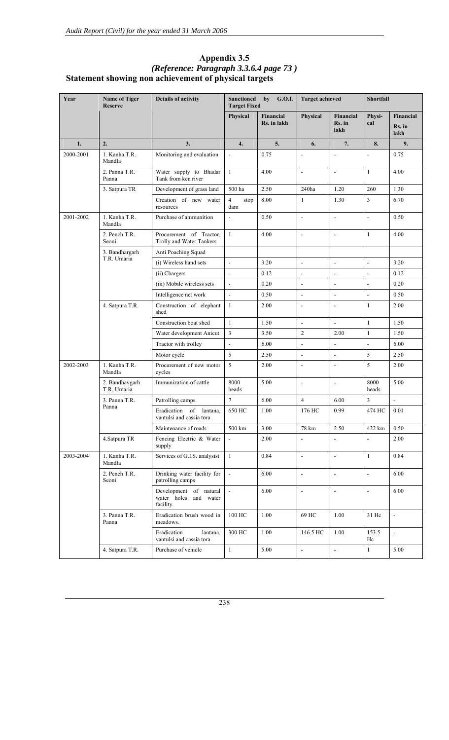# **Appendix 3.5**  *(Reference: Paragraph 3.3.6.4 page 73 )* **Statement showing non achievement of physical targets**

| Year      | <b>Name of Tiger</b><br><b>Reserve</b> | <b>Details of activity</b>                                   | <b>Sanctioned</b><br><b>Target Fixed</b> | G.O.I.<br>by             | <b>Target achieved</b>   |                             | <b>Shortfall</b>         |                             |
|-----------|----------------------------------------|--------------------------------------------------------------|------------------------------------------|--------------------------|--------------------------|-----------------------------|--------------------------|-----------------------------|
|           |                                        |                                                              | Physical                                 | Financial<br>Rs. in lakh | Physical                 | Financial<br>Rs. in<br>lakh | Physi-<br>cal            | Financial<br>Rs. in<br>lakh |
| 1.        | 2.                                     | 3.                                                           | 4.                                       | 5.                       | 6.                       | 7.                          | 8.                       | 9.                          |
| 2000-2001 | 1. Kanha T.R.<br>Mandla                | Monitoring and evaluation                                    | $\overline{a}$                           | 0.75                     | $\blacksquare$           | $\overline{a}$              | $\overline{a}$           | 0.75                        |
|           | 2. Panna T.R.<br>Panna                 | Water supply to Bhadar<br>Tank from ken river                | $\mathbf{1}$                             | 4.00                     | $\blacksquare$           | $\blacksquare$              | $\mathbf{1}$             | 4.00                        |
|           | 3. Satpura TR                          | Development of grass land                                    | 500 ha                                   | 2.50                     | 240ha                    | 1.20                        | 260                      | 1.30                        |
|           |                                        | Creation of new water<br>resources                           | $\overline{4}$<br>stop<br>dam            | 8.00                     |                          | 1.30                        | $\mathfrak{Z}$           | 6.70                        |
| 2001-2002 | 1. Kanha T.R.<br>Mandla                | Purchase of ammunition                                       | ÷,                                       | 0.50                     | $\overline{\phantom{a}}$ | ÷,                          | $\overline{\phantom{a}}$ | 0.50                        |
|           | 2. Pench T.R.<br>Seoni                 | Procurement of Tractor,<br>Trolly and Water Tankers          | $\mathbf{1}$                             | 4.00                     | $\blacksquare$           | $\overline{a}$              | 1                        | 4.00                        |
|           | 3. Bandhargarh                         | Anti Poaching Squad                                          |                                          |                          |                          |                             |                          |                             |
|           | T.R. Umaria                            | (i) Wireless hand sets                                       | $\overline{a}$                           | 3.20                     | $\overline{\phantom{a}}$ | $\overline{\phantom{a}}$    | $\overline{\phantom{a}}$ | 3.20                        |
|           |                                        | (ii) Chargers                                                | $\overline{a}$                           | 0.12                     | $\overline{a}$           | $\Box$                      | $\overline{\phantom{a}}$ | 0.12                        |
|           |                                        | (iii) Mobile wireless sets                                   | $\blacksquare$                           | 0.20                     | $\blacksquare$           | $\Box$                      | $\Box$                   | 0.20                        |
|           |                                        | Intelligence net work                                        | $\overline{a}$                           | 0.50                     | $\overline{a}$           | $\overline{a}$              | $\overline{a}$           | 0.50                        |
|           | 4. Satpura T.R.                        | Construction of elephant<br>shed                             | $\mathbf{1}$                             | 2.00                     | $\overline{\phantom{a}}$ | ÷,                          | 1                        | 2.00                        |
|           |                                        | Construction boat shed                                       | $\mathbf{1}$                             | 1.50                     | $\overline{\phantom{a}}$ | $\overline{\phantom{a}}$    | $\mathbf{1}$             | 1.50                        |
|           |                                        | Water development Anicut                                     | 3                                        | 3.50                     | $\overline{2}$           | 2.00                        | $\mathbf{1}$             | 1.50                        |
|           |                                        | Tractor with trolley                                         | $\overline{a}$                           | 6.00                     | $\frac{1}{2}$            | $\Box$                      | $\overline{\phantom{a}}$ | 6.00                        |
|           |                                        | Motor cycle                                                  | 5                                        | 2.50                     | $\blacksquare$           | $\overline{\phantom{a}}$    | 5                        | 2.50                        |
| 2002-2003 | 1. Kanha T.R.<br>Mandla                | Procurement of new motor<br>cycles                           | 5                                        | 2.00                     | $\overline{\phantom{a}}$ | L,                          | 5                        | 2.00                        |
|           | 2. Bandhavgarh<br>T.R. Umaria          | Immunization of cattle                                       | 8000<br>heads                            | 5.00                     | $\overline{\phantom{a}}$ | $\overline{a}$              | 8000<br>heads            | 5.00                        |
|           | 3. Panna T.R.                          | Patrolling camps                                             | $\overline{7}$                           | 6.00                     | $\overline{4}$           | 6.00                        | 3                        | $\mathbf{r}$                |
|           | Panna                                  | Eradication of lantana,<br>vantulsi and cassia tora          | 650 HC                                   | 1.00                     | 176 HC                   | 0.99                        | 474 HC                   | 0.01                        |
|           |                                        | Maintenance of roads                                         | 500 km                                   | 3.00                     | 78 km                    | 2.50                        | 422 km                   | 0.50                        |
|           | 4. Satpura TR                          | Fencing Electric & Water<br>supply                           | $\Box$                                   | 2.00                     | $\Box$                   | ÷,                          | $\Box$                   | 2.00                        |
| 2003-2004 | 1. Kanha T.R.<br>Mandla                | Services of G.I.S. analysist                                 | $\mathbf{1}$                             | 0.84                     | $\blacksquare$           | $\overline{\phantom{a}}$    | $\mathbf{1}$             | 0.84                        |
|           | 2. Pench T.R.<br>Seoni                 | Drinking water facility for<br>patrolling camps              | $\blacksquare$                           | 6.00                     | $\blacksquare$           | $\overline{\phantom{a}}$    | $\Box$                   | 6.00                        |
|           |                                        | Development of natural<br>water holes and water<br>facility. | $\Box$                                   | 6.00                     | $\blacksquare$           | $\blacksquare$              | $\overline{\phantom{a}}$ | 6.00                        |
|           | 3. Panna T.R.<br>Panna                 | Eradication brush wood in<br>meadows.                        | 100 HC                                   | 1.00                     | 69 HC                    | 1.00                        | 31 Hc                    | $\overline{\phantom{a}}$    |
|           |                                        | Eradication<br>lantana,<br>vantulsi and cassia tora          | 300 HC                                   | 1.00                     | 146.5 HC                 | 1.00                        | 153.5<br>Hc              | $\omega$                    |
|           | 4. Satpura T.R.                        | Purchase of vehicle                                          | $\mathbf{1}$                             | 5.00                     | $\Box$                   | $\mathbb{Z}^2$              | $\mathbf{1}$             | 5.00                        |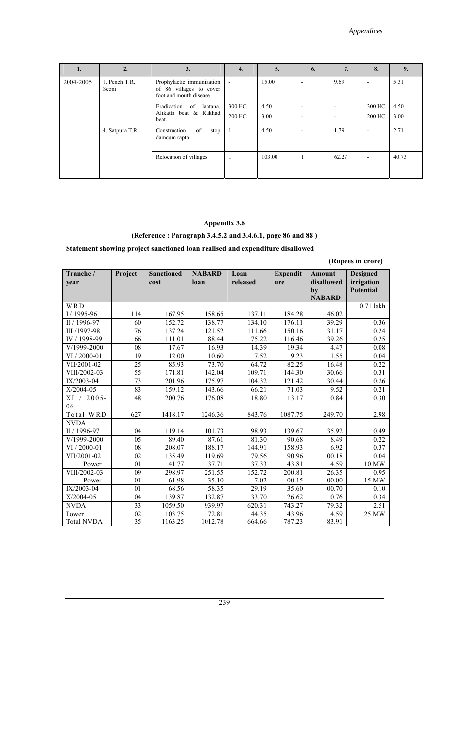| 1.        | 2.                              | 3.                                                                             | 4.                       | 5.     | 6.                       | 7.                       | 8.                       | 9.    |
|-----------|---------------------------------|--------------------------------------------------------------------------------|--------------------------|--------|--------------------------|--------------------------|--------------------------|-------|
| 2004-2005 | 1. Pench T.R.<br>Seoni          | Prophylactic immunization<br>of 86 villages to cover<br>foot and mouth disease | $\overline{\phantom{a}}$ | 15.00  | $\overline{\phantom{a}}$ | 9.69                     | $\overline{\phantom{a}}$ | 5.31  |
|           |                                 | Eradication<br>of<br>lantana.                                                  | 300 HC                   | 4.50   | ٠                        | $\overline{\phantom{a}}$ | 300 HC                   | 4.50  |
|           | Alikatta beat & Rukhad<br>beat. |                                                                                | 200 HC                   | 3.00   | ٠                        | $\overline{\phantom{a}}$ | 200 HC                   | 3.00  |
|           | 4. Satpura T.R.                 | of<br>Construction<br>stop<br>damcum rapta                                     |                          | 4.50   | ۰                        | 1.79                     | $\overline{\phantom{a}}$ | 2.71  |
|           |                                 | Relocation of villages                                                         |                          | 103.00 |                          | 62.27                    | $\overline{\phantom{a}}$ | 40.73 |

# **(Reference : Paragraph 3.4.5.2 and 3.4.6.1, page 86 and 88 )**

# **Statement showing project sanctioned loan realised and expenditure disallowed**

**(Rupees in crore)** 

| Tranche /<br>year | Project | <b>Sanctioned</b><br>cost | <b>NABARD</b><br>loan | Loan<br>released | <b>Expendit</b><br>ure | Amount<br>disallowed | <b>Designed</b><br>irrigation |
|-------------------|---------|---------------------------|-----------------------|------------------|------------------------|----------------------|-------------------------------|
|                   |         |                           |                       |                  |                        | by                   | <b>Potential</b>              |
|                   |         |                           |                       |                  |                        | <b>NABARD</b>        |                               |
| WRD               |         |                           |                       |                  |                        |                      | $0.71$ lakh                   |
| $I/1995-96$       | 114     | 167.95                    | 158.65                | 137.11           | 184.28                 | 46.02                |                               |
| II / 1996-97      | 60      | 152.72                    | 138.77                | 134.10           | 176.11                 | 39.29                | 0.36                          |
| III /1997-98      | 76      | 137.24                    | 121.52                | 111.66           | 150.16                 | 31.17                | 0.24                          |
| IV / 1998-99      | 66      | 111.01                    | 88.44                 | 75.22            | 116.46                 | 39.26                | 0.25                          |
| V/1999-2000       | 08      | 17.67                     | 16.93                 | 14.39            | 19.34                  | 4.47                 | 0.08                          |
| VI / 2000-01      | 19      | 12.00                     | 10.60                 | 7.52             | 9.23                   | 1.55                 | 0.04                          |
| VII/2001-02       | 25      | 85.93                     | 73.70                 | 64.72            | 82.25                  | 16.48                | 0.22                          |
| VIII/2002-03      | 55      | 171.81                    | 142.04                | 109.71           | 144.30                 | 30.66                | 0.31                          |
| IX/2003-04        | 73      | 201.96                    | 175.97                | 104.32           | 121.42                 | 30.44                | 0.26                          |
| X/2004-05         | 83      | 159.12                    | 143.66                | 66.21            | 71.03                  | 9.52                 | 0.21                          |
| XI /<br>$2005 -$  | 48      | 200.76                    | 176.08                | 18.80            | 13.17                  | 0.84                 | 0.30                          |
| 06                |         |                           |                       |                  |                        |                      |                               |
| Total WRD         | 627     | 1418.17                   | 1246.36               | 843.76           | 1087.75                | 249.70               | 2.98                          |
| <b>NVDA</b>       |         |                           |                       |                  |                        |                      |                               |
| II / 1996-97      | 04      | 119.14                    | 101.73                | 98.93            | 139.67                 | 35.92                | 0.49                          |
| V/1999-2000       | 05      | 89.40                     | 87.61                 | 81.30            | 90.68                  | 8.49                 | 0.22                          |
| $VI / 2000 - 01$  | 08      | 208.07                    | 188.17                | 144.91           | 158.93                 | 6.92                 | 0.37                          |
| VII/2001-02       | 02      | 135.49                    | 119.69                | 79.56            | 90.96                  | 00.18                | 0.04                          |
| Power             | 01      | 41.77                     | 37.71                 | 37.33            | 43.81                  | 4.59                 | 10 MW                         |
| VIII/2002-03      | 09      | 298.97                    | 251.55                | 152.72           | 200.81                 | 26.35                | 0.95                          |
| Power             | 01      | 61.98                     | 35.10                 | 7.02             | 00.15                  | 00.00                | 15 MW                         |
| IX/2003-04        | 01      | 68.56                     | 58.35                 | 29.19            | 35.60                  | 00.70                | 0.10                          |
| X/2004-05         | 04      | 139.87                    | 132.87                | 33.70            | 26.62                  | 0.76                 | 0.34                          |
| <b>NVDA</b>       | 33      | 1059.50                   | 939.97                | 620.31           | 743.27                 | 79.32                | 2.51                          |
| Power             | 02      | 103.75                    | 72.81                 | 44.35            | 43.96                  | 4.59                 | 25 MW                         |
| <b>Total NVDA</b> | 35      | 1163.25                   | 1012.78               | 664.66           | 787.23                 | 83.91                |                               |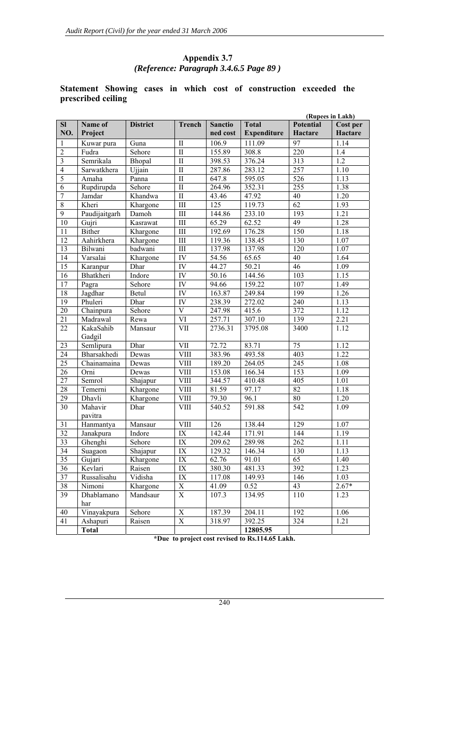# **Appendix 3.7**  *(Reference: Paragraph 3.4.6.5 Page 89 )*

# **Statement Showing cases in which cost of construction exceeded the prescribed ceiling**

|                         | (Rupees in Lakh)    |                 |                             |                |                    |                  |                  |
|-------------------------|---------------------|-----------------|-----------------------------|----------------|--------------------|------------------|------------------|
| SI                      | Name of             | <b>District</b> | <b>Trench</b>               | <b>Sanctio</b> | <b>Total</b>       | <b>Potential</b> | Cost per         |
| NO.                     | Project             |                 |                             | ned cost       | <b>Expenditure</b> | Hactare          | Hactare          |
| $\mathbf{1}$            | Kuwar pura          | Guna            | $\mathbf{I}$                | 106.9          | 111.09             | 97               | 1.14             |
| $\overline{2}$          | Fudra               | Sehore          | $\overline{\mathbf{I}}$     | 155.89         | 308.8              | $\overline{220}$ | 1.4              |
| $\overline{\mathbf{3}}$ | Semrikala           | Bhopal          | $\overline{\mathbf{I}}$     | 398.53         | 376.24             | 313              | $\overline{1.2}$ |
| $\overline{4}$          | Sarwatkhera         | Ujjain          | $\overline{\mathbf{I}}$     | 287.86         | 283.12             | 257              | 1.10             |
| $\overline{5}$          | Amaha               | Panna           | $\overline{\mathbf{I}}$     | 647.8          | 595.05             | 526              | 1.13             |
| 6                       | Rupdirupda          | Sehore          | $\overline{\mathbf{I}}$     | 264.96         | 352.31             | 255              | 1.38             |
| $\overline{7}$          | Jamdar              | Khandwa         | $\overline{\text{II}}$      | 43.46          | 47.92              | 40               | 1.20             |
| $\overline{8}$          | Kheri               | Khargone        | III                         | 125            | 119.73             | $\overline{62}$  | 1.93             |
| $\overline{9}$          | Paudijaitgarh       | Damoh           | III                         | 144.86         | 233.10             | 193              | 1.21             |
| 10                      | Gujri               | Kasrawat        | III                         | 65.29          | 62.52              | 49               | 1.28             |
| 11                      | <b>Bither</b>       | Khargone        | III                         | 192.69         | 176.28             | 150              | 1.18             |
| 12                      | Aahirkhera          | Khargone        | III                         | 119.36         | 138.45             | 130              | 1.07             |
| $\overline{13}$         | Bilwani             | badwani         | $\mathop{\rm III}\nolimits$ | 137.98         | 137.98             | 120              | 1.07             |
| 14                      | Varsalai            | Khargone        | IV                          | 54.56          | 65.65              | 40               | 1.64             |
| $\overline{15}$         | Karanpur            | Dhar            | IV                          | 44.27          | 50.21              | 46               | 1.09             |
| 16                      | Bhatkheri           | Indore          | IV                          | 50.16          | 144.56             | 103              | 1.15             |
| 17                      | Pagra               | Sehore          | IV                          | 94.66          | 159.22             | 107              | 1.49             |
| 18                      | Jagdhar             | Betul           | IV                          | 163.87         | 249.84             | 199              | 1.26             |
| 19                      | Phuleri             | Dhar            | IV                          | 238.39         | 272.02             | 240              | 1.13             |
| 20                      | Chainpura           | Sehore          | $\overline{\mathbf{V}}$     | 247.98         | 415.6              | 372              | 1.12             |
| 21                      | Madrawal            | Rewa            | VI                          | 257.71         | 307.10             | 139              | 2.21             |
| 22                      | KakaSahib<br>Gadgil | Mansaur         | <b>VII</b>                  | 2736.31        | 3795.08            | 3400             | 1.12             |
| 23                      | Semlipura           | Dhar            | <b>VII</b>                  | 72.72          | 83.71              | 75               | 1.12             |
| $\overline{24}$         | Bharsakhedi         | Dewas           | <b>VIII</b>                 | 383.96         | 493.58             | 403              | 1.22             |
| $\overline{25}$         | Chainamaina         | Dewas           | <b>VIII</b>                 | 189.20         | 264.05             | 245              | 1.08             |
| 26                      | Orni                | Dewas           | <b>VIII</b>                 | 153.08         | 166.34             | 153              | 1.09             |
| $\overline{27}$         | Semrol              | Shajapur        | <b>VIII</b>                 | 344.57         | 410.48             | 405              | 1.01             |
| 28                      | Temerni             | Khargone        | <b>VIII</b>                 | 81.59          | 97.17              | $\overline{82}$  | 1.18             |
| 29                      | Dhavli              | Khargone        | <b>VIII</b>                 | 79.30          | 96.1               | 80               | 1.20             |
| 30                      | Mahavir<br>pavitra  | Dhar            | <b>VIII</b>                 | 540.52         | 591.88             | 542              | 1.09             |
| 31                      | Hanmantya           | Mansaur         | <b>VIII</b>                 | 126            | 138.44             | 129              | 1.07             |
| 32                      | Janakpura           | Indore          | IX                          | 142.44         | 171.91             | 144              | 1.19             |
| $\overline{33}$         | Ghenghi             | Sehore          | IX                          | 209.62         | 289.98             | 262              | 1.11             |
| 34                      | Suagaon             | Shajapur        | IX                          | 129.32         | 146.34             | 130              | 1.13             |
| 35                      | Gujari              | Khargone        | IX                          | 62.76          | 91.01              | 65               | 1.40             |
| 36                      | Kevlari             | Raisen          | IX                          | 380.30         | 481.33             | 392              | 1.23             |
| 37                      | Russalisahu         | Vidisha         | IX                          | 117.08         | 149.93             | 146              | 1.03             |
| 38                      | Nimoni              | Khargone        | X                           | 41.09          | 0.52               | 43               | $2.67*$          |
| 39                      | Dhablamano          | Mandsaur        | X                           | 107.3          | 134.95             | 110              | 1.23             |
|                         | har                 |                 |                             |                |                    |                  |                  |
| 40                      | Vinayakpura         | Sehore          | $\mathbf X$                 | 187.39         | 204.11             | 192              | 1.06             |
| 41                      | Ashapuri            | Raisen          | X                           | 318.97         | 392.25             | 324              | 1.21             |
|                         | <b>Total</b>        |                 |                             |                | 12805.95           |                  |                  |

**\*Due to project cost revised to Rs.114.65 Lakh.**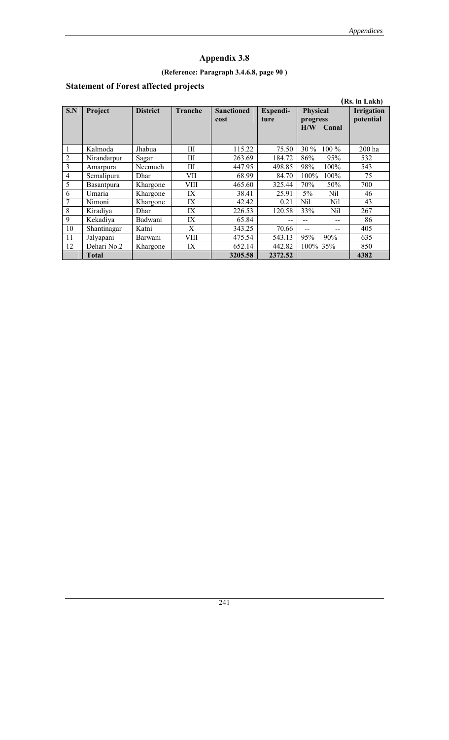# **(Reference: Paragraph 3.4.6.8, page 90 )**

# **Statement of Forest affected projects**

|                |                   |                 |                |                   |          |                    | (Rs. in Lakh)     |
|----------------|-------------------|-----------------|----------------|-------------------|----------|--------------------|-------------------|
| S.N            | Project           | <b>District</b> | <b>Tranche</b> | <b>Sanctioned</b> | Expendi- | Physical           | <b>Irrigation</b> |
|                |                   |                 |                | cost              | ture     | progress           | potential         |
|                |                   |                 |                |                   |          | H/W<br>Canal       |                   |
|                |                   |                 |                |                   |          |                    |                   |
| 1              | Kalmoda           | Jhabua          | Ш              | 115.22            | 75.50    | $30\%$<br>$100\%$  | 200 ha            |
| $\overline{2}$ | Nirandarpur       | Sagar           | Ш              | 263.69            | 184.72   | 86%<br>95%         | 532               |
| $\overline{3}$ | Amarpura          | Neemuch         | Ш              | 447.95            | 498.85   | 98%<br>$100\%$     | 543               |
| $\overline{4}$ | Semalipura        | Dhar            | VII            | 68.99             | 84.70    | $100\%$<br>$100\%$ | 75                |
| 5              | <b>Basantpura</b> | Khargone        | VIII           | 465.60            | 325.44   | 70%<br>50%         | 700               |
| 6              | Umaria            | Khargone        | IX             | 38.41             | 25.91    | $5\%$<br>Nil       | 46                |
| 7              | Nimoni            | Khargone        | IX             | 42.42             | 0.21     | Nil<br>Nil         | 43                |
| 8              | Kiradiya          | Dhar            | IX             | 226.53            | 120.58   | 33%<br>Nil         | 267               |
| 9              | Kekadiva          | Badwani         | IX             | 65.84             | --       |                    | 86                |
| 10             | Shantinagar       | Katni           | X              | 343.25            | 70.66    |                    | 405               |
| 11             | Jalyapani         | Barwani         | VIII           | 475.54            | 543.13   | 95%<br>90%         | 635               |
| 12             | Dehari No.2       | Khargone        | IX             | 652.14            | 442.82   | $100\%$ 35%        | 850               |
|                | <b>Total</b>      |                 |                | 3205.58           | 2372.52  |                    | 4382              |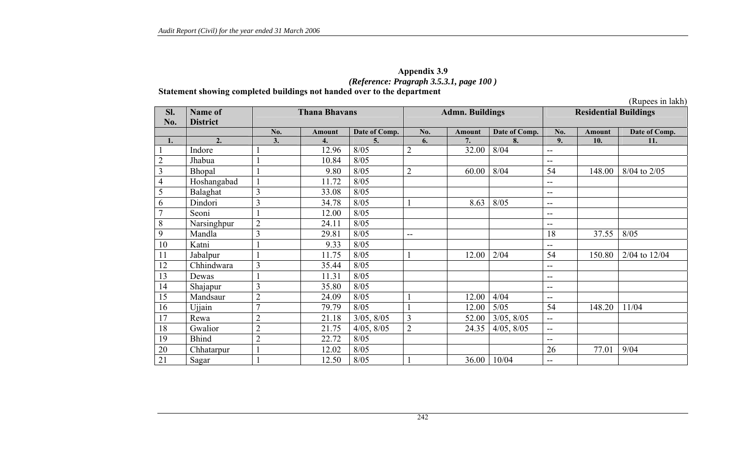### **Appendix 3.9**  *(Reference: Pragraph 3.5.3.1, page 100 )*  **Statement showing completed buildings not handed over to the department**

(Rupees in lakh)

| Sl.             | Name of         | <b>Thana Bhavans</b> |               |               |                          | <b>Admn. Buildings</b> |                 | <b>Residential Buildings</b> |               |               |
|-----------------|-----------------|----------------------|---------------|---------------|--------------------------|------------------------|-----------------|------------------------------|---------------|---------------|
| No.             | <b>District</b> |                      |               |               |                          |                        |                 |                              |               |               |
|                 |                 | No.                  | <b>Amount</b> | Date of Comp. | No.                      | <b>Amount</b>          | Date of Comp.   | No.                          | <b>Amount</b> | Date of Comp. |
| 1.              | 2.              | 3.                   | 4.            | 5.            | 6.                       | 7.                     | 8.              | 9.                           | 10.           | 11.           |
|                 | Indore          |                      | 12.96         | 8/05          | $\overline{2}$           | 32.00                  | 8/04            | --                           |               |               |
| $\overline{2}$  | Jhabua          |                      | 10.84         | 8/05          |                          |                        |                 | $-$                          |               |               |
| 3               | Bhopal          |                      | 9.80          | 8/05          | $\overline{2}$           | 60.00                  | 8/04            | 54                           | 148.00        | 8/04 to 2/05  |
| $\overline{4}$  | Hoshangabad     |                      | 11.72         | 8/05          |                          |                        |                 | $-$                          |               |               |
| 5               | Balaghat        | 3                    | 33.08         | 8/05          |                          |                        |                 | $-$                          |               |               |
| 6               | Dindori         | 3                    | 34.78         | 8/05          |                          | 8.63                   | 8/05            | $- -$                        |               |               |
| $\overline{7}$  | Seoni           |                      | 12.00         | 8/05          |                          |                        |                 | $-$                          |               |               |
| 8               | Narsinghpur     | $\overline{2}$       | 24.11         | 8/05          |                          |                        |                 | --                           |               |               |
| 9               | Mandla          | 3                    | 29.81         | 8/05          | $\overline{\phantom{a}}$ |                        |                 | 18                           | 37.55         | 8/05          |
| 10              | Katni           |                      | 9.33          | 8/05          |                          |                        |                 | $- -$                        |               |               |
| 11              | Jabalpur        |                      | 11.75         | 8/05          |                          | 12.00                  | 2/04            | 54                           | 150.80        | 2/04 to 12/04 |
| 12              | Chhindwara      | 3                    | 35.44         | 8/05          |                          |                        |                 | $-$                          |               |               |
| 13              | Dewas           |                      | 11.31         | 8/05          |                          |                        |                 | $-$                          |               |               |
| 14              | Shajapur        | 3                    | 35.80         | 8/05          |                          |                        |                 | $-$                          |               |               |
| 15              | Mandsaur        | $\overline{2}$       | 24.09         | 8/05          |                          | 12.00                  | 4/04            | $-$                          |               |               |
| 16              | Ujjain          | $\overline{7}$       | 79.79         | 8/05          |                          | 12.00                  | 5/05            | 54                           | 148.20        | 11/04         |
| 17              | Rewa            | $\overline{2}$       | 21.18         | 3/05, 8/05    | $\overline{3}$           | 52.00                  | 3/05, 8/05      | $\overline{a}$               |               |               |
| 18              | Gwalior         | $\overline{2}$       | 21.75         | 4/05, 8/05    | $\overline{2}$           | 24.35                  | $4/05$ , $8/05$ | $\rightarrow$                |               |               |
| 19              | <b>Bhind</b>    | $\overline{2}$       | 22.72         | 8/05          |                          |                        |                 | $-$                          |               |               |
| 20              | Chhatarpur      |                      | 12.02         | 8/05          |                          |                        |                 | 26                           | 77.01         | 9/04          |
| $\overline{21}$ | Sagar           |                      | 12.50         | 8/05          |                          | 36.00                  | 10/04           | $-$                          |               |               |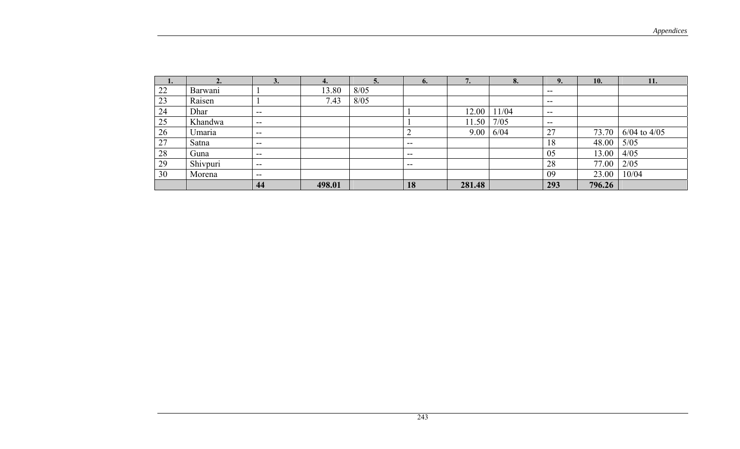| $\mathbf{I}$ . |          | J.                                    |        |      | O.    | $\mathbf{L}$ | o.    | 9.    | <b>10.</b> | 11.              |
|----------------|----------|---------------------------------------|--------|------|-------|--------------|-------|-------|------------|------------------|
| 22             | Barwani  |                                       | 13.80  | 8/05 |       |              |       | $- -$ |            |                  |
| 23             | Raisen   |                                       | 7.43   | 8/05 |       |              |       | $- -$ |            |                  |
| 24             | Dhar     | $- -$                                 |        |      |       | 12.00        | 11/04 | $- -$ |            |                  |
| 25             | Khandwa  | $\hspace{0.05cm}$ – $\hspace{0.05cm}$ |        |      |       | 11.50        | 7/05  | $- -$ |            |                  |
| 26             | Umaria   | $- -$                                 |        |      |       | 9.00         | 6/04  | 27    | 73.70      | $6/04$ to $4/05$ |
| 27             | Satna    | $- -$                                 |        |      | $- -$ |              |       | 18    | 48.00      | 5/05             |
| 28             | Guna     | $- -$                                 |        |      | $- -$ |              |       | 05    | 13.00      | 4/05             |
| 29             | Shivpuri | $\overline{\phantom{a}}$              |        |      | $- -$ |              |       | 28    | 77.00      | 2/05             |
| 30             | Morena   | $\overline{\phantom{a}}$              |        |      |       |              |       | 09    | 23.00      | 10/04            |
|                |          | 44                                    | 498.01 |      | 18    | 281.48       |       | 293   | 796.26     |                  |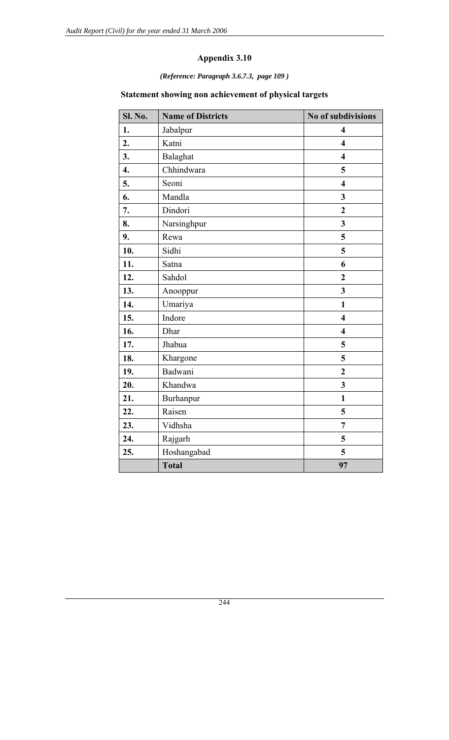*(Reference: Paragraph 3.6.7.3, page 109 )*

# **Statement showing non achievement of physical targets**

| Sl. No.            | <b>Name of Districts</b> | No of subdivisions      |
|--------------------|--------------------------|-------------------------|
| 1.                 | Jabalpur                 | $\overline{\mathbf{4}}$ |
| 2.                 | Katni                    | $\overline{\mathbf{4}}$ |
| 3.                 | Balaghat                 | $\overline{\mathbf{4}}$ |
| $\boldsymbol{4}$ . | Chhindwara               | 5                       |
| 5.                 | Seoni                    | $\overline{\mathbf{4}}$ |
| 6.                 | Mandla                   | $\overline{\mathbf{3}}$ |
| 7.                 | Dindori                  | $\overline{2}$          |
| 8.                 | Narsinghpur              | 3                       |
| 9.                 | Rewa                     | 5                       |
| 10.                | Sidhi                    | 5                       |
| 11.                | Satna                    | 6                       |
| 12.                | Sahdol                   | $\overline{2}$          |
| 13.                | Anooppur                 | $\overline{\mathbf{3}}$ |
| 14.                | Umariya                  | $\mathbf{1}$            |
| 15.                | Indore                   | $\overline{\mathbf{4}}$ |
| 16.                | Dhar                     | $\overline{\mathbf{4}}$ |
| 17.                | Jhabua                   | 5                       |
| 18.                | Khargone                 | 5                       |
| 19.                | Badwani                  | $\overline{2}$          |
| 20.                | Khandwa                  | $\overline{\mathbf{3}}$ |
| 21.                | Burhanpur                | $\mathbf{1}$            |
| 22.                | Raisen                   | 5                       |
| 23.                | Vidhsha                  | $\overline{7}$          |
| 24.                | Rajgarh                  | 5                       |
| 25.                | Hoshangabad              | 5                       |
|                    | <b>Total</b>             | 97                      |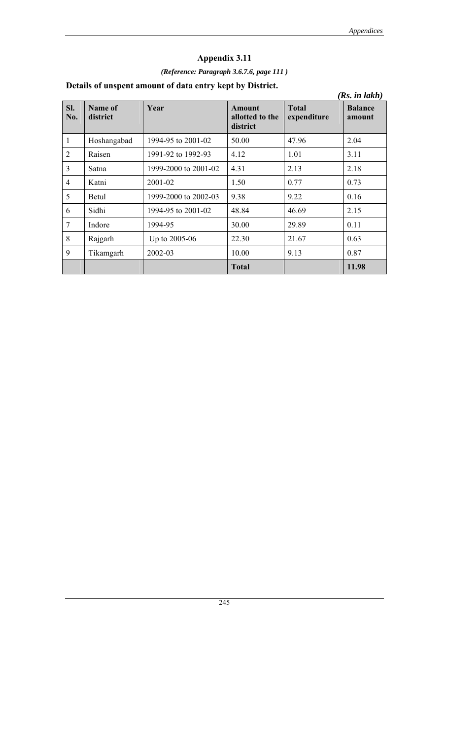# *(Reference: Paragraph 3.6.7.6, page 111 )*

# **Details of unspent amount of data entry kept by District.**

|                |                     |                      |                                       |                             | (Rs. in lakh)            |
|----------------|---------------------|----------------------|---------------------------------------|-----------------------------|--------------------------|
| SI.<br>No.     | Name of<br>district | Year                 | Amount<br>allotted to the<br>district | <b>Total</b><br>expenditure | <b>Balance</b><br>amount |
| 1              | Hoshangabad         | 1994-95 to 2001-02   | 50.00                                 | 47.96                       | 2.04                     |
| $\overline{2}$ | Raisen              | 1991-92 to 1992-93   | 4.12                                  | 1.01                        | 3.11                     |
| 3              | Satna               | 1999-2000 to 2001-02 | 4.31                                  | 2.13                        | 2.18                     |
| 4              | Katni               | 2001-02              | 1.50                                  | 0.77                        | 0.73                     |
| 5              | <b>Betul</b>        | 1999-2000 to 2002-03 | 9.38                                  | 9.22                        | 0.16                     |
| 6              | Sidhi               | 1994-95 to 2001-02   | 48.84                                 | 46.69                       | 2.15                     |
| $\overline{7}$ | Indore              | 1994-95              | 30.00                                 | 29.89                       | 0.11                     |
| 8              | Rajgarh             | Up to 2005-06        | 22.30                                 | 21.67                       | 0.63                     |
| 9              | Tikamgarh           | 2002-03              | 10.00                                 | 9.13                        | 0.87                     |
|                |                     |                      | <b>Total</b>                          |                             | 11.98                    |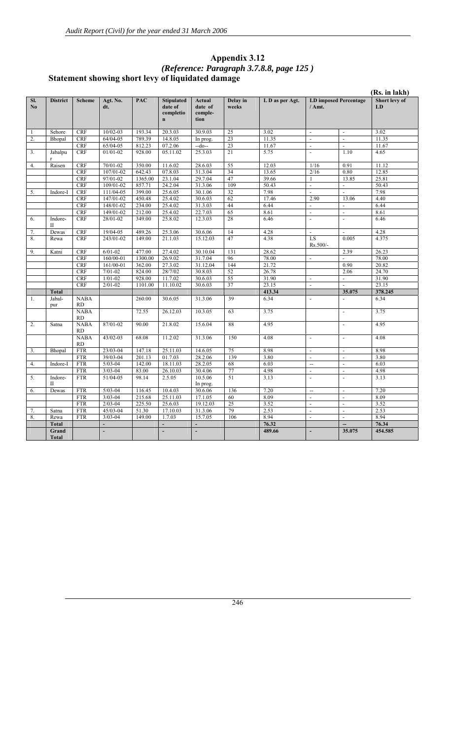|                  |                       |                          |                    |            |                                                           |                                      |                   |                 |                                        |                          | (Rs. in lakh)       |
|------------------|-----------------------|--------------------------|--------------------|------------|-----------------------------------------------------------|--------------------------------------|-------------------|-----------------|----------------------------------------|--------------------------|---------------------|
| SI.<br>No        | <b>District</b>       | <b>Scheme</b>            | Agt. No.<br>dt.    | <b>PAC</b> | <b>Stipulated</b><br>date of<br>completio<br>$\mathbf{n}$ | Actual<br>date of<br>comple-<br>tion | Delay in<br>weeks | L D as per Agt. | <b>LD</b> imposed Percentage<br>/ Amt. |                          | Short levy of<br>LD |
| 1                | Sehore                | <b>CRF</b>               | $10/02 - 03$       | 193.34     | 20.3.03                                                   | 30.9.03                              | 25                | 3.02            | $\overline{a}$                         | $\overline{a}$           | 3.02                |
| 2.               | Bhopal                | <b>CRF</b>               | 64/04-05           | 789.39     | 14.8.05                                                   | In prog.                             | 23                | 11.35           | $\overline{a}$                         | $\overline{a}$           | 11.35               |
|                  |                       | <b>CRF</b>               | 65/04-05           | 812.23     | 07.2.06                                                   | --do--                               | 23                | 11.67           |                                        |                          | 11.67               |
| 3.               | Jabalpu               | <b>CRF</b>               | $01/01 - 02$       | 928.00     | 05.11.02                                                  | 25.3.03                              | $\overline{21}$   | 5.75            | $\overline{a}$                         | 1.10                     | 4.65                |
| $\overline{4}$ . | Raisen                | <b>CRF</b>               | 70/01-02           | 350.00     | 11.6.02                                                   | 28.6.03                              | 55                | 12.03           | 1/16                                   | 0.91                     | 11.12               |
|                  |                       | <b>CRF</b>               | 107/01-02          | 642.43     | 07.8.03                                                   | 31.3.04                              | 34                | 13.65           | 2/16                                   | 0.80                     | 12.85               |
|                  |                       | <b>CRF</b>               | 97/01-02           | 1365.00    | 23.1.04                                                   | 29.7.04                              | 47                | 39.66           | 1                                      | 13.85                    | 25.81               |
|                  |                       | <b>CRF</b>               | 109/01-02          | 857.71     | 24.2.04                                                   | 31.3.06                              | 109               | 50.43           | $\overline{\phantom{a}}$               | $\overline{\phantom{a}}$ | 50.43               |
| 5.               | Indore-I              | <b>CRF</b>               | 111/04-05          | 399.00     | 25.6.05                                                   | 30.1.06                              | 32                | 7.98            | $\overline{a}$                         | $\overline{a}$           | 7.98                |
|                  |                       | <b>CRF</b>               | 147/01-02          | 450.48     | 25.4.02                                                   | 30.6.03                              | 62                | 17.46           | 2.90                                   | 13.06                    | 4.40                |
|                  |                       | <b>CRF</b>               | 148/01-02          | 234.00     | 25.4.02                                                   | 31.3.03                              | 44                | 6.44            | $\overline{a}$                         |                          | 6.44                |
|                  |                       | <b>CRF</b>               | 149/01-02          | 212.00     | 25.4.02                                                   | 22.7.03                              | 65                | 8.61            | $\overline{a}$                         | $\overline{a}$           | 8.61                |
| 6.               | Indore-<br>П          | <b>CRF</b>               | 28/01-02           | 349.00     | 25.8.02                                                   | 12.3.03                              | 28                | 6.46            | $\overline{a}$                         | $\overline{a}$           | 6.46                |
| 7.               | Dewas                 | <b>CRF</b>               | 19/04-05           | 489.26     | 25.3.06                                                   | 30.6.06                              | 14                | 4.28            | $\overline{a}$                         | $\overline{a}$           | 4.28                |
| 8.               | Rewa                  | <b>CRF</b>               | 243/01-02          | 149.00     | 21.1.03                                                   | 15.12.03                             | 47                | 4.38            | LS<br>Rs.500/-                         | 0.005                    | 4.375               |
| 9.               | Katni                 | <b>CRF</b>               | $\sqrt{6}/01 - 02$ | 477.00     | 27.4.02                                                   | 30.10.04                             | 131               | 28.62           |                                        | 2.39                     | 26.23               |
|                  |                       | <b>CRF</b>               | $160/00 - 01$      | 1300.00    | 26.9.02                                                   | 31.7.04                              | 96                | 78.00           | $\overline{a}$                         |                          | 78.00               |
|                  |                       | <b>CRF</b>               | 161/00-01          | 362.00     | 27.3.02                                                   | 31.12.04                             | 144               | 21.72           |                                        | 0.90                     | 20.82               |
|                  |                       | <b>CRF</b>               | $7/01 - 02$        | 824.00     | 28/7/02                                                   | 30.8.03                              | 52                | 26.78           |                                        | 2.06                     | 24.70               |
|                  |                       | <b>CRF</b>               | $1/01 - 02$        | 928.00     | 11.7.02                                                   | 30.6.03                              | 55                | 31.90           | $\overline{a}$                         | $\overline{\phantom{a}}$ | 31.90               |
|                  |                       | <b>CRF</b>               | $2/01 - 02$        | 1101.00    | 11.10.02                                                  | 30.6.03                              | 37                | 23.15           | $\overline{\phantom{a}}$               |                          | 23.15               |
|                  | <b>Total</b>          |                          |                    |            |                                                           |                                      |                   | 413.34          |                                        | 35.075                   | 378.245             |
| 1.               | Jabal-<br>pur         | <b>NABA</b><br><b>RD</b> |                    | 260.00     | 30.6.05                                                   | 31.3.06                              | 39                | 6.34            | $\overline{a}$                         | $\overline{\phantom{a}}$ | 6.34                |
|                  |                       | <b>NABA</b><br><b>RD</b> |                    | 72.55      | 26.12.03                                                  | 10.3.05                              | 63                | 3.75            |                                        | $\overline{\phantom{a}}$ | 3.75                |
| 2.               | Satna                 | <b>NABA</b><br><b>RD</b> | 87/01-02           | 90.00      | 21.8.02                                                   | 15.6.04                              | 88                | 4.95            |                                        | $\overline{a}$           | 4.95                |
|                  |                       | <b>NABA</b><br>RD        | $43/02 - 03$       | 68.08      | 11.2.02                                                   | 31.3.06                              | 150               | 4.08            | $\overline{a}$                         | $\overline{a}$           | 4.08                |
| 3.               | Bhopal                | <b>FTR</b>               | 23/03-04           | 147.18     | 25.11.03                                                  | 14.6.05                              | 75                | 8.98            | $\overline{\phantom{a}}$               | $\overline{\phantom{a}}$ | 8.98                |
|                  |                       | <b>FTR</b>               | 39/03-04           | 201.13     | 01.7.03                                                   | 28.2.06                              | 139               | 3.80            | $\overline{\phantom{a}}$               | $\overline{\phantom{a}}$ | 3.80                |
| 4.               | Indore-I              | <b>FTR</b>               | $5/03 - 04$        | 142.00     | 18.11.03                                                  | 28.2.05                              | 68                | 6.03            | $\overline{\phantom{a}}$               | $\overline{\phantom{a}}$ | 6.03                |
|                  |                       | <b>FTR</b>               | $3/03 - 04$        | 83.00      | 26.10.03                                                  | 30.4.06                              | 77                | 4.98            | $\overline{a}$                         | ÷,                       | 4.98                |
| 5.               | Indore-<br>П          | <b>FTR</b>               | $51/04 - 05$       | 98.14      | 2.5.05                                                    | 10.5.06<br>In prog.                  | 51                | 3.13            | $\frac{1}{2}$                          | $\overline{a}$           | 3.13                |
| 6.               | Dewas                 | <b>FTR</b>               | $5/03 - 04$        | 116.45     | 10.4.03                                                   | 30.6.06                              | 136               | 7.20            | $\overline{\phantom{a}}$               | $\overline{\phantom{a}}$ | 7.20                |
|                  |                       | <b>FTR</b>               | $3/03 - 04$        | 215.68     | 25.11.03                                                  | 17.1.05                              | 60                | 8.09            | $\overline{\phantom{a}}$               | $\overline{\phantom{a}}$ | 8.09                |
|                  |                       | <b>FTR</b>               | $2/03 - 04$        | 225.50     | 25.6.03                                                   | 19.12.03                             | 25                | 3.52            | $\overline{\phantom{a}}$               | $\overline{\phantom{a}}$ | 3.52                |
| 7.               | Satna                 | <b>FTR</b>               | $45/03 - 04$       | 51.30      | 17.10.03                                                  | 31.3.06                              | 79                | 2.53            | $\overline{\phantom{a}}$               | $\overline{a}$           | 2.53                |
| 8.               | Rewa                  | <b>FTR</b>               | $3/03 - 04$        | 149.00     | 1.7.03                                                    | 15.7.05                              | 106               | 8.94            | $\overline{a}$                         | $\overline{a}$           | 8.94                |
|                  | <b>Total</b>          |                          | $\overline{a}$     |            | $\overline{a}$                                            | $\overline{a}$                       |                   | 76.32           |                                        | --                       | 76.34               |
|                  | Grand<br><b>Total</b> |                          | $\overline{a}$     |            | L.                                                        | L,                                   |                   | 489.66          | $\overline{\phantom{a}}$               | 35.075                   | 454.585             |

#### **Appendix 3.12**  *(Reference: Paragraph 3.7.8.8, page 125 )* **Statement showing short levy of liquidated damage**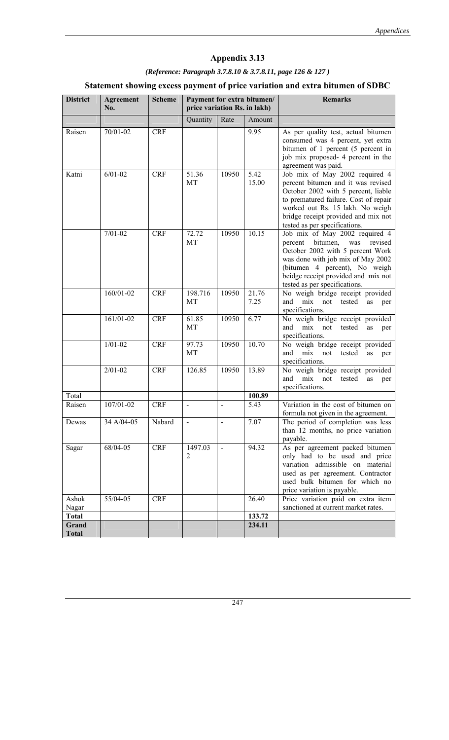## **Appendix 3.13**

# *(Reference: Paragraph 3.7.8.10 & 3.7.8.11, page 126 & 127 )*

## **Statement showing excess payment of price variation and extra bitumen of SDBC**

| <b>District</b>       | <b>Agreement</b><br>No. | <b>Scheme</b> | price variation Rs. in lakh) |       | Payment for extra bitumen/ | <b>Remarks</b>                                                                                                                                                                                                                                                   |
|-----------------------|-------------------------|---------------|------------------------------|-------|----------------------------|------------------------------------------------------------------------------------------------------------------------------------------------------------------------------------------------------------------------------------------------------------------|
|                       |                         |               | Quantity                     | Rate  | Amount                     |                                                                                                                                                                                                                                                                  |
| Raisen                | $70/01 - 02$            | <b>CRF</b>    |                              |       | 9.95                       | As per quality test, actual bitumen<br>consumed was 4 percent, yet extra<br>bitumen of 1 percent (5 percent in<br>job mix proposed- 4 percent in the<br>agreement was paid.                                                                                      |
| Katni                 | $6/01 - 02$             | <b>CRF</b>    | 51.36<br>MT                  | 10950 | 5.42<br>15.00              | Job mix of May 2002 required 4<br>percent bitumen and it was revised<br>October 2002 with 5 percent, liable<br>to prematured failure. Cost of repair<br>worked out Rs. 15 lakh. No weigh<br>bridge receipt provided and mix not<br>tested as per specifications. |
|                       | $7/01 - 02$             | <b>CRF</b>    | 72.72<br>MT                  | 10950 | 10.15                      | Job mix of May 2002 required 4<br>bitumen,<br>revised<br>percent<br>was<br>October 2002 with 5 percent Work<br>was done with job mix of May 2002<br>(bitumen 4 percent), No weigh<br>beidge receipt provided and mix not<br>tested as per specifications.        |
|                       | 160/01-02               | <b>CRF</b>    | 198.716<br>MT                | 10950 | 21.76<br>7.25              | No weigh bridge receipt provided<br>and mix not tested<br>as<br>per<br>specifications.                                                                                                                                                                           |
|                       | 161/01-02               | <b>CRF</b>    | 61.85<br>MT                  | 10950 | 6.77                       | No weigh bridge receipt provided<br>and<br>mix<br>not tested<br>as<br>per<br>specifications.                                                                                                                                                                     |
|                       | $1/01 - 02$             | <b>CRF</b>    | 97.73<br>MT                  | 10950 | 10.70                      | No weigh bridge receipt provided<br>mix not<br>and<br>tested<br>as<br>per<br>specifications.                                                                                                                                                                     |
|                       | $2/01 - 02$             | <b>CRF</b>    | 126.85                       | 10950 | 13.89                      | No weigh bridge receipt provided<br>mix<br>not<br>tested<br>and<br>as<br>per<br>specifications.                                                                                                                                                                  |
| Total                 |                         |               |                              |       | 100.89                     |                                                                                                                                                                                                                                                                  |
| Raisen                | 107/01-02               | <b>CRF</b>    |                              |       | 5.43                       | Variation in the cost of bitumen on<br>formula not given in the agreement.                                                                                                                                                                                       |
| Dewas                 | $\overline{34}$ A/04-05 | Nabard        |                              |       | 7.07                       | The period of completion was less<br>than 12 months, no price variation<br>payable.                                                                                                                                                                              |
| Sagar                 | 68/04-05                | <b>CRF</b>    | 1497.03<br>2                 |       | 94.32                      | As per agreement packed bitumen<br>only had to be used and price<br>variation admissible on material<br>used as per agreement. Contractor<br>used bulk bitumen for which no<br>price variation is payable.                                                       |
| Ashok<br>Nagar        | 55/04-05                | <b>CRF</b>    |                              |       | 26.40                      | Price variation paid on extra item<br>sanctioned at current market rates.                                                                                                                                                                                        |
| <b>Total</b>          |                         |               |                              |       | 133.72                     |                                                                                                                                                                                                                                                                  |
| Grand<br><b>Total</b> |                         |               |                              |       | 234.11                     |                                                                                                                                                                                                                                                                  |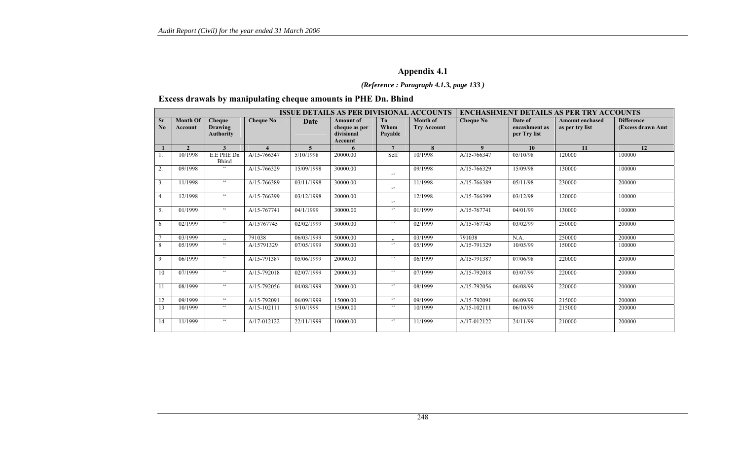## **Appendix 4.1**

#### *(Reference : Paragraph 4.1.3, page 133 )*

## **Excess drawals by manipulating cheque amounts in PHE Dn. Bhind**

|                             | <b>ISSUE DETAILS AS PER DIVISIONAL ACCOUNTS</b> |                                                     |                  |             |                                                            |                                   |                                | <b>ENCHASHMENT DETAILS AS PER TRY ACCOUNTS</b> |                                          |                                           |                                        |
|-----------------------------|-------------------------------------------------|-----------------------------------------------------|------------------|-------------|------------------------------------------------------------|-----------------------------------|--------------------------------|------------------------------------------------|------------------------------------------|-------------------------------------------|----------------------------------------|
| <b>Sr</b><br>$\mathbf{N}_0$ | <b>Month Of</b><br>Account                      | <b>Cheque</b><br><b>Drawing</b><br><b>Authority</b> | <b>Cheque No</b> | <b>Date</b> | <b>Amount of</b><br>cheque as per<br>divisional<br>Account | T <sub>0</sub><br>Whom<br>Pavable | Month of<br><b>Try Account</b> | <b>Cheque No</b>                               | Date of<br>encashment as<br>per Try list | <b>Amount enchased</b><br>as per try list | <b>Difference</b><br>(Excess drawn Amt |
|                             | $\mathfrak{D}$                                  | 3                                                   |                  | 5           |                                                            | $\overline{7}$                    | 8                              | $\boldsymbol{9}$                               | 10                                       | 11                                        | 12                                     |
| 1.                          | 10/1998                                         | E.E PHE Dn<br>Bhind                                 | A/15-766347      | 5/10/1998   | 20000.00                                                   | Self                              | 10/1998                        | A/15-766347                                    | 05/10/98                                 | 120000                                    | 100000                                 |
| 2.                          | 09/1998                                         | $\zeta$ $\zeta$                                     | A/15-766329      | 15/09/1998  | 30000.00                                                   | $\epsilon$ ,                      | 09/1998                        | A/15-766329                                    | 15/09/98                                 | 130000                                    | 100000                                 |
| 3.                          | 11/1998                                         | $\zeta\,\zeta$                                      | A/15-766389      | 03/11/1998  | 30000.00                                                   | $\epsilon$ ,                      | 11/1998                        | A/15-766389                                    | 05/11/98                                 | 230000                                    | 200000                                 |
| 4.                          | 12/1998                                         | $\zeta\,\zeta$                                      | A/15-766399      | 03/12/1998  | 20000.00                                                   | $\epsilon$ ,                      | 12/1998                        | A/15-766399                                    | 03/12/98                                 | 120000                                    | 100000                                 |
| 5.                          | 01/1999                                         | $\zeta\,\zeta$                                      | A/15-767741      | 04/1/1999   | 30000.00                                                   | $\epsilon$ ,                      | 01/1999                        | A/15-767741                                    | 04/01/99                                 | 130000                                    | 100000                                 |
| 6                           | 02/1999                                         | $\zeta\,\zeta$                                      | A/15767745       | 02/02/1999  | 50000.00                                                   | $\epsilon$ ,                      | 02/1999                        | A/15-767745                                    | 03/02/99                                 | 250000                                    | 200000                                 |
|                             | 03/1999                                         |                                                     | 791038           | 06/03/1999  | 50000.00                                                   | $\overline{\phantom{a}}$          | 03/1999                        | 791038                                         | N.A.                                     | 250000                                    | 200000                                 |
| 8                           | 05/1999                                         | $\zeta\,\zeta$                                      | A/15791329       | 07/05/1999  | 50000.00                                                   | $\epsilon$                        | 05/1999                        | A/15-791329                                    | 10/05/99                                 | 150000                                    | 100000                                 |
| 9                           | 06/1999                                         | $\epsilon\epsilon$                                  | A/15-791387      | 05/06/1999  | 20000.00                                                   | $\epsilon$                        | 06/1999                        | A/15-791387                                    | 07/06/98                                 | 220000                                    | 200000                                 |
| 10                          | 07/1999                                         | $\zeta\,\zeta$                                      | A/15-792018      | 02/07/1999  | 20000.00                                                   | $\epsilon$                        | 07/1999                        | A/15-792018                                    | 03/07/99                                 | 220000                                    | 200000                                 |
| 11                          | 08/1999                                         | $\zeta\,\zeta$                                      | A/15-792056      | 04/08/1999  | 20000.00                                                   | $\epsilon$ ,                      | 08/1999                        | A/15-792056                                    | 06/08/99                                 | 220000                                    | 200000                                 |
| 12                          | 09/1999                                         | $\zeta\,\zeta$                                      | A/15-792091      | 06/09/1999  | 15000.00                                                   | $\epsilon$                        | 09/1999                        | A/15-792091                                    | 06/09/99                                 | 215000                                    | 200000                                 |
| 13                          | 10/1999                                         | $\zeta\,\zeta$                                      | $A/15-102111$    | 5/10/1999   | 15000.00                                                   | $\epsilon$ ,                      | 10/1999                        | $A/15-102111$                                  | 06/10/99                                 | 215000                                    | 200000                                 |
| 14                          | 11/1999                                         | $\zeta\,\zeta$                                      | A/17-012122      | 22/11/1999  | 10000.00                                                   | $\epsilon$                        | 11/1999                        | A/17-012122                                    | 24/11/99                                 | 210000                                    | 200000                                 |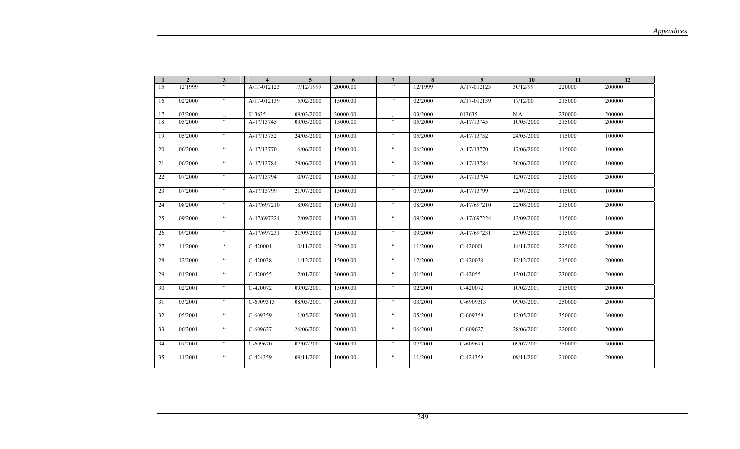| -1 | $\overline{2}$ | $\mathbf{3}$                                       | $\overline{\mathbf{4}}$ | 5 <sup>5</sup> | 6        | $7\phantom{.0}$            | 8       | 9 <sup>°</sup> | 10         | 11     | 12     |
|----|----------------|----------------------------------------------------|-------------------------|----------------|----------|----------------------------|---------|----------------|------------|--------|--------|
| 15 | 12/1999        | $\zeta\,\zeta$                                     | A/17-012123             | 17/12/1999     | 20000.00 | $\ddot{\phantom{0}}$       | 12/1999 | A/17-012123    | 30/12/99   | 220000 | 200000 |
| 16 | 02/2000        | $\boldsymbol{\varsigma} \, \boldsymbol{\varsigma}$ | A/17-012139             | 15/02/2000     | 15000.00 | $\ddot{\phantom{0}}$       | 02/2000 | A/17-012139    | 17/12/00   | 215000 | 200000 |
| 17 | 03/2000        |                                                    | 013635                  | 09/03/2000     | 30000.00 | , 2, 3                     | 03/2000 | 013635         | N.A.       | 230000 | 200000 |
| 18 | 05/2000        | $\epsilon\epsilon$                                 | A-17/13745              | 09/05/2000     | 15000.00 | $\mathfrak{c}\mathfrak{c}$ | 05/2000 | $A-17/13745$   | 10/05/2000 | 215000 | 200000 |
| 19 | 05/2000        | $\epsilon\,\epsilon$                               | A-17/13752              | 24/05/2000     | 15000.00 | $\zeta\,\zeta$             | 05/2000 | A-17/13752     | 24/05/2000 | 115000 | 100000 |
| 20 | 06/2000        | $\epsilon\epsilon$                                 | A-17/13770              | 16/06/2000     | 15000.00 | $\epsilon\epsilon$         | 06/2000 | A-17/13770     | 17/06/2000 | 115000 | 100000 |
| 21 | 06/2000        | $\mathsf{cc}$                                      | A-17/13784              | 29/06/2000     | 15000.00 | $\epsilon\epsilon$         | 06/2000 | A-17/13784     | 30/06/2000 | 115000 | 100000 |
| 22 | 07/2000        | $\boldsymbol{\varsigma}$                           | A-17/13794              | 10/07/2000     | 15000.00 | $\epsilon\epsilon$         | 07/2000 | A-17/13794     | 12/07/2000 | 215000 | 200000 |
| 23 | 07/2000        | $\frak{cc}$                                        | A-17/13799              | 21/07/2000     | 15000.00 | $\epsilon\epsilon$         | 07/2000 | A-17/13799     | 22/07/2000 | 115000 | 100000 |
| 24 | 08/2000        | $\epsilon\epsilon$                                 | A-17/697210             | 18/08/2000     | 15000.00 | $\epsilon\epsilon$         | 08/2000 | A-17/697210    | 22/08/2000 | 215000 | 200000 |
| 25 | 09/2000        | $\epsilon\epsilon$                                 | A-17/697224             | 12/09/2000     | 15000.00 | $\epsilon\epsilon$         | 09/2000 | A-17/697224    | 13/09/2000 | 115000 | 100000 |
| 26 | 09/2000        | $\mathsf{cc}$                                      | A-17/697231             | 21/09/2000     | 15000.00 | $\epsilon\epsilon$         | 09/2000 | A-17/697231    | 23/09/2000 | 215000 | 200000 |
| 27 | 11/2000        | $\epsilon$                                         | $C-420001$              | 10/11/2000     | 25000.00 | $\mathfrak{c}\mathfrak{c}$ | 11/2000 | $C-420001$     | 14/11/2000 | 225000 | 200000 |
| 28 | 12/2000        | $\boldsymbol{\varsigma}$                           | C-420038                | 11/12/2000     | 15000.00 | $\epsilon\epsilon$         | 12/2000 | C-420038       | 12/12/2000 | 215000 | 200000 |
| 29 | 01/2001        | $\mathsf{cc}$                                      | C-420055                | 12/01/2001     | 30000.00 | $\zeta\,\zeta$             | 01/2001 | C-42055        | 13/01/2001 | 230000 | 200000 |
| 30 | 02/2001        | $\mathsf{cc}$                                      | C-420072                | 09/02/2001     | 15000.00 | $\zeta\,\zeta$             | 02/2001 | C-420072       | 10/02/2001 | 215000 | 200000 |
| 31 | 03/2001        | $\epsilon\epsilon$                                 | C-6909313               | 08/03/2001     | 50000.00 | $\epsilon\epsilon$         | 03/2001 | C-6909313      | 09/03/2001 | 250000 | 200000 |
| 32 | 05/2001        | $\boldsymbol{\varsigma} \, \boldsymbol{\varsigma}$ | C-609359                | 11/05/2001     | 50000.00 | $\epsilon\epsilon$         | 05/2001 | C-609359       | 12/05/2001 | 350000 | 300000 |
| 33 | 06/2001        | $\boldsymbol{\varsigma} \, \boldsymbol{\varsigma}$ | C-609627                | 26/06/2001     | 20000.00 | $\epsilon\epsilon$         | 06/2001 | $C-609627$     | 28/06/2001 | 220000 | 200000 |
| 34 | 07/2001        | $\mathsf{cc}$                                      | C-609670                | 07/07/2001     | 50000.00 | $\epsilon\epsilon$         | 07/2001 | C-609670       | 09/07/2001 | 350000 | 300000 |
| 35 | 11/2001        | $\mathsf{cc}$                                      | C-424359                | 09/11/2001     | 10000.00 | $\mathsf{cc}$              | 11/2001 | C-424359       | 09/11/2001 | 210000 | 200000 |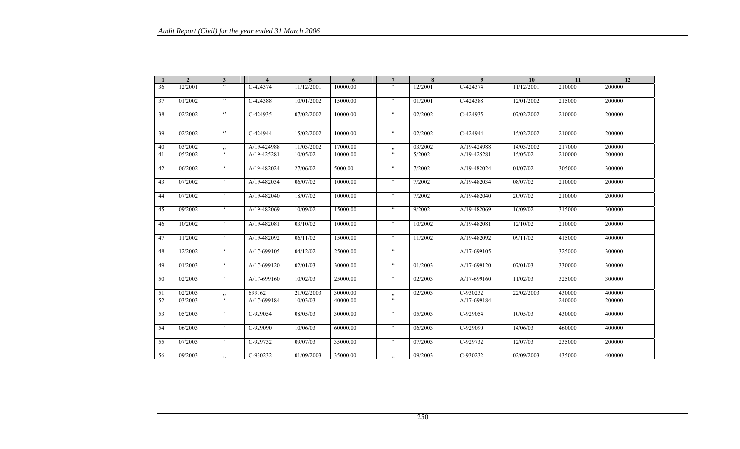|    | $\overline{2}$ | $\mathbf{3}$         | $\overline{4}$ | $\overline{5}$ | 6        | $\overline{7}$            | 8       | 9           | 10         | 11     | 12     |
|----|----------------|----------------------|----------------|----------------|----------|---------------------------|---------|-------------|------------|--------|--------|
| 36 | 12/2001        | $\epsilon\epsilon$   | C-424374       | 11/12/2001     | 10000.00 | $\epsilon\epsilon$        | 12/2001 | C-424374    | 11/12/2001 | 210000 | 200000 |
| 37 | 01/2002        | $\lq$ ,              | C-424388       | 10/01/2002     | 15000.00 | $\zeta\,\zeta$            | 01/2001 | C-424388    | 12/01/2002 | 215000 | 200000 |
| 38 | 02/2002        | $\ddot{\phantom{1}}$ | C-424935       | 07/02/2002     | 10000.00 | $\zeta\,\zeta$            | 02/2002 | C-424935    | 07/02/2002 | 210000 | 200000 |
| 39 | 02/2002        | $\ddots$             | C-424944       | 15/02/2002     | 10000.00 | $\zeta\,\zeta$            | 02/2002 | C-424944    | 15/02/2002 | 210000 | 200000 |
| 40 | 03/2002        |                      | A/19-424988    | 11/03/2002     | 17000.00 | $\ddot{\phantom{0}}$      | 03/2002 | A/19-424988 | 14/03/2002 | 217000 | 200000 |
| 41 | 05/2002        | $\epsilon$           | A/19-425281    | 10/05/02       | 10000.00 | $\epsilon\epsilon$        | 5/2002  | A/19-425281 | 15/05/02   | 210000 | 200000 |
| 42 | 06/2002        | $\epsilon$           | A/19-482024    | 27/06/02       | 5000.00  | $\zeta\,\zeta$            | 7/2002  | A/19-482024 | 01/07/02   | 305000 | 300000 |
| 43 | 07/2002        | $\epsilon$           | A/19-482034    | 06/07/02       | 10000.00 | $\epsilon\epsilon$        | 7/2002  | A/19-482034 | 08/07/02   | 210000 | 200000 |
| 44 | 07/2002        | $\epsilon$           | A/19-482040    | 18/07/02       | 10000.00 | $\zeta\,\zeta$            | 7/2002  | A/19-482040 | 20/07/02   | 210000 | 200000 |
| 45 | 09/2002        | $\epsilon$           | A/19-482069    | 10/09/02       | 15000.00 | $\zeta\,\zeta$            | 9/2002  | A/19-482069 | 16/09/02   | 315000 | 300000 |
| 46 | 10/2002        | $\epsilon$           | A/19-482081    | 03/10/02       | 10000.00 | $\overline{\mathfrak{c}}$ | 10/2002 | A/19-482081 | 12/10/02   | 210000 | 200000 |
| 47 | 11/2002        | $\epsilon$           | A/19-482092    | 06/11/02       | 15000.00 | $\zeta\,\zeta$            | 11/2002 | A/19-482092 | 09/11/02   | 415000 | 400000 |
| 48 | 12/2002        | $\epsilon$           | A/17-699105    | 04/12/02       | 25000.00 | $\overline{\mathfrak{c}}$ |         | A/17-699105 |            | 325000 | 300000 |
| 49 | 01/2003        | $\epsilon$           | A/17-699120    | 02/01/03       | 30000.00 | $\epsilon\epsilon$        | 01/2003 | A/17-699120 | 07/01/03   | 330000 | 300000 |
| 50 | 02/2003        | $\epsilon$           | A/17-699160    | 10/02/03       | 25000.00 | $\zeta\,\zeta$            | 02/2003 | A/17-699160 | 11/02/03   | 325000 | 300000 |
| 51 | 02/2003        |                      | 699162         | 21/02/2003     | 30000.00 | , ,                       | 02/2003 | C-930232    | 22/02/2003 | 430000 | 400000 |
| 52 | 03/2003        | $\epsilon$           | A/17-699184    | 10/03/03       | 40000.00 | $\epsilon\epsilon$        |         | A/17-699184 |            | 240000 | 200000 |
| 53 | 05/2003        | $\epsilon$           | C-929054       | 08/05/03       | 30000.00 | $\zeta\,\zeta$            | 05/2003 | C-929054    | 10/05/03   | 430000 | 400000 |
| 54 | 06/2003        | $\epsilon$           | C-929090       | 10/06/03       | 60000.00 | $\zeta\,\zeta$            | 06/2003 | C-929090    | 14/06/03   | 460000 | 400000 |
| 55 | 07/2003        | $\epsilon$           | C-929732       | 09/07/03       | 35000.00 | $\zeta\,\zeta$            | 07/2003 | C-929732    | 12/07/03   | 235000 | 200000 |
| 56 | 09/2003        | , ,                  | C-930232       | 01/09/2003     | 35000.00 | , 2, 3                    | 09/2003 | C-930232    | 02/09/2003 | 435000 | 400000 |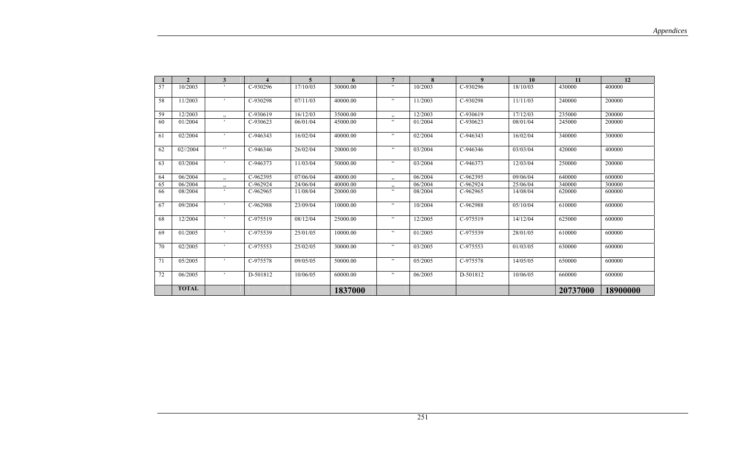|    | $\overline{\mathbf{c}}$ | 3                    |          | $\overline{5}$ | 6        | $\overline{7}$        | 8       | $\boldsymbol{9}$ | 10       | 11       | 12       |
|----|-------------------------|----------------------|----------|----------------|----------|-----------------------|---------|------------------|----------|----------|----------|
| 57 | 10/2003                 | $\epsilon$           | C-930296 | 17/10/03       | 30000.00 | $\zeta \, \zeta$      | 10/2003 | C-930296         | 18/10/03 | 430000   | 400000   |
| 58 | 11/2003                 | $\epsilon$           | C-930298 | 07/11/03       | 40000.00 | $\epsilon\epsilon$    | 11/2003 | C-930298         | 11/11/03 | 240000   | 200000   |
| 59 | 12/2003                 | $, \,$               | C-930619 | 16/12/03       | 35000.00 | $, \,$                | 12/2003 | C-930619         | 17/12/03 | 235000   | 200000   |
| 60 | 01/2004                 |                      | C-930623 | 06/01/04       | 45000.00 | $\epsilon\epsilon$    | 01/2004 | $C-930623$       | 08/01/04 | 245000   | 200000   |
| 61 | 02/2004                 | $\epsilon$           | C-946343 | 16/02/04       | 40000.00 | $\epsilon\,\epsilon$  | 02/2004 | C-946343         | 16/02/04 | 340000   | 300000   |
| 62 | 02//2004                | $\epsilon$ ,         | C-946346 | 26/02/04       | 20000.00 | $\epsilon$ $\epsilon$ | 03/2004 | C-946346         | 03/03/04 | 420000   | 400000   |
| 63 | 03/2004                 | $\epsilon$           | C-946373 | 11/03/04       | 50000.00 | $\epsilon\epsilon$    | 03/2004 | C-946373         | 12/03/04 | 250000   | 200000   |
| 64 | 06/2004                 | $\ddot{\phantom{0}}$ | C-962395 | 07/06/04       | 40000.00 | $\ddot{\phantom{0}}$  | 06/2004 | C-962395         | 09/06/04 | 640000   | 600000   |
| 65 | 06/2004                 | , ,                  | C-962924 | 24/06/04       | 40000.00 | , ,                   | 06/2004 | C-962924         | 25/06/04 | 340000   | 300000   |
| 66 | 08/2004                 |                      | C-962965 | 11/08/04       | 20000.00 | cc                    | 08/2004 | C-962965         | 14/08/04 | 620000   | 600000   |
| 67 | 09/2004                 | $\epsilon$           | C-962988 | 23/09/04       | 10000.00 | $\zeta\,\zeta$        | 10/2004 | C-962988         | 05/10/04 | 610000   | 600000   |
| 68 | 12/2004                 | $\epsilon$           | C-975519 | 08/12/04       | 25000.00 | $\epsilon\, \epsilon$ | 12/2005 | C-975519         | 14/12/04 | 625000   | 600000   |
| 69 | 01/2005                 |                      | C-975539 | 25/01/05       | 10000.00 | $\epsilon\,\epsilon$  | 01/2005 | C-975539         | 28/01/05 | 610000   | 600000   |
| 70 | 02/2005                 | $\epsilon$           | C-975553 | 25/02/05       | 30000.00 | $\epsilon\,\epsilon$  | 03/2005 | C-975553         | 01/03/05 | 630000   | 600000   |
| 71 | 05/2005                 | $\epsilon$           | C-975578 | 09/05/05       | 50000.00 | $\epsilon\, \epsilon$ | 05/2005 | C-975578         | 14/05/05 | 650000   | 600000   |
| 72 | 06/2005                 | $\epsilon$           | D-501812 | 10/06/05       | 60000.00 | $\epsilon\epsilon$    | 06/2005 | D-501812         | 10/06/05 | 660000   | 600000   |
|    | <b>TOTAL</b>            |                      |          |                | 1837000  |                       |         |                  |          | 20737000 | 18900000 |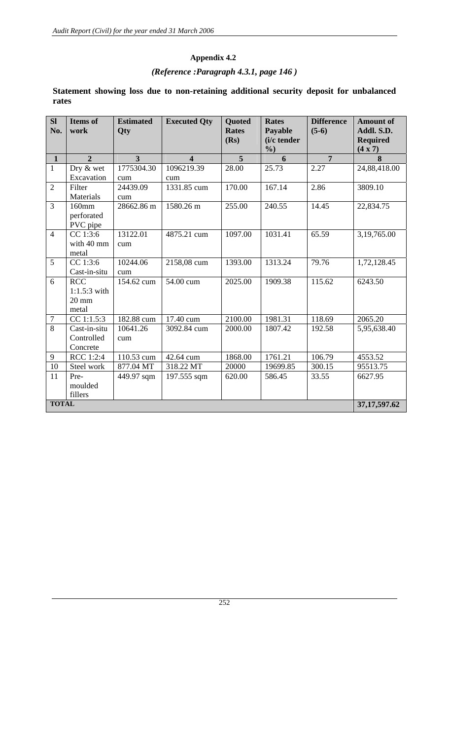#### **Appendix 4.2**

## *(Reference :Paragraph 4.3.1, page 146 )*

| SI<br>No.        | <b>Items</b> of<br>work | <b>Estimated</b><br>Qty | <b>Executed Qty</b>     | <b>Quoted</b><br><b>Rates</b><br>(Rs) | <b>Rates</b><br>Payable<br>(i/c tender | <b>Difference</b><br>$(5-6)$ | <b>Amount of</b><br>Addl. S.D.<br><b>Required</b> |
|------------------|-------------------------|-------------------------|-------------------------|---------------------------------------|----------------------------------------|------------------------------|---------------------------------------------------|
|                  |                         |                         |                         |                                       | $\%$ )                                 |                              | (4 x 7)                                           |
| $\mathbf{1}$     | $\overline{2}$          | $\overline{3}$          | $\overline{\mathbf{4}}$ | 5                                     | 6                                      | $\overline{7}$               | 8                                                 |
| $\mathbf{1}$     | Dry & wet               | 1775304.30              | 1096219.39              | 28.00                                 | 25.73                                  | 2.27                         | 24,88,418.00                                      |
|                  | Excavation              | cum                     | cum                     |                                       |                                        |                              |                                                   |
| $\overline{2}$   | Filter                  | 24439.09                | 1331.85 cum             | 170.00                                | 167.14                                 | 2.86                         | 3809.10                                           |
|                  | Materials               | cum                     |                         |                                       |                                        |                              |                                                   |
| $\overline{3}$   | 160mm                   | 28662.86 m              | 1580.26 m               | 255.00                                | 240.55                                 | 14.45                        | 22,834.75                                         |
|                  | perforated              |                         |                         |                                       |                                        |                              |                                                   |
|                  | PVC pipe                |                         |                         |                                       |                                        |                              |                                                   |
| $\overline{4}$   | CC 1:3:6                | 13122.01                | 4875.21 cum             | 1097.00                               | 1031.41                                | 65.59                        | 3,19,765.00                                       |
|                  | with 40 mm              | cum                     |                         |                                       |                                        |                              |                                                   |
|                  | metal                   |                         |                         |                                       |                                        |                              |                                                   |
| 5                | CC 1:3:6                | 10244.06                | 2158,08 cum             | 1393.00                               | 1313.24                                | 79.76                        | 1,72,128.45                                       |
|                  | Cast-in-situ            | cum                     |                         |                                       |                                        |                              |                                                   |
| 6                | <b>RCC</b>              | 154.62 cum              | 54.00 cum               | 2025.00                               | 1909.38                                | 115.62                       | 6243.50                                           |
|                  | $1:1.5:3$ with          |                         |                         |                                       |                                        |                              |                                                   |
|                  | $20 \text{ mm}$         |                         |                         |                                       |                                        |                              |                                                   |
|                  | metal                   |                         |                         |                                       |                                        |                              |                                                   |
| $\boldsymbol{7}$ | CC 1:1.5:3              | 182.88 cum              | 17.40 cum               | 2100.00                               | 1981.31                                | 118.69                       | 2065.20                                           |
| $\overline{8}$   | Cast-in-situ            | 10641.26                | 3092.84 cum             | 2000.00                               | 1807.42                                | 192.58                       | 5,95,638.40                                       |
|                  | Controlled              | cum                     |                         |                                       |                                        |                              |                                                   |
|                  | Concrete                |                         |                         |                                       |                                        |                              |                                                   |
| 9                | RCC 1:2:4               | 110.53 cum              | 42.64 cum               | 1868.00                               | 1761.21                                | 106.79                       | 4553.52                                           |
| 10               | Steel work              | 877.04 MT               | 318.22 MT               | 20000                                 | 19699.85                               | 300.15                       | 95513.75                                          |
| 11               | Pre-                    | 449.97 sqm              | 197.555 sqm             | 620.00                                | 586.45                                 | 33.55                        | 6627.95                                           |
|                  | moulded                 |                         |                         |                                       |                                        |                              |                                                   |
|                  | fillers                 |                         |                         |                                       |                                        |                              |                                                   |
| <b>TOTAL</b>     |                         |                         |                         |                                       |                                        |                              | 37, 17, 597. 62                                   |

## **Statement showing loss due to non-retaining additional security deposit for unbalanced rates**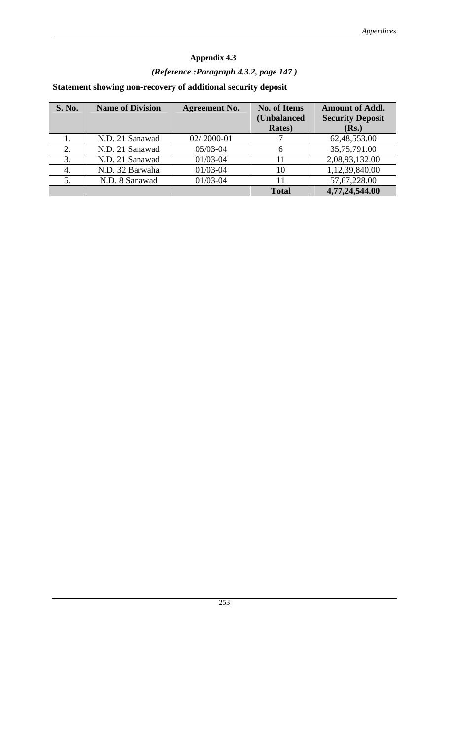# **Appendix 4.3**  *(Reference :Paragraph 4.3.2, page 147 )*  **Statement showing non-recovery of additional security deposit**

| <b>S. No.</b> | <b>Name of Division</b> | <b>Agreement No.</b> | <b>No. of Items</b><br>(Unbalanced<br><b>Rates</b> ) | <b>Amount of Addl.</b><br><b>Security Deposit</b><br>(Rs.) |
|---------------|-------------------------|----------------------|------------------------------------------------------|------------------------------------------------------------|
|               | N.D. 21 Sanawad         | 02/2000-01           |                                                      | 62, 48, 553. 00                                            |
| 2.            | N.D. 21 Sanawad         | $05/03 - 04$         | 6                                                    | 35,75,791.00                                               |
| 3.            | N.D. 21 Sanawad         | $01/03 - 04$         | 11                                                   | 2,08,93,132.00                                             |
| 4.            | N.D. 32 Barwaha         | $01/03 - 04$         | 10                                                   | 1,12,39,840.00                                             |
|               | N.D. 8 Sanawad          | $01/03 - 04$         | 11                                                   | 57, 67, 228.00                                             |
|               |                         |                      | <b>Total</b>                                         | 4,77,24,544.00                                             |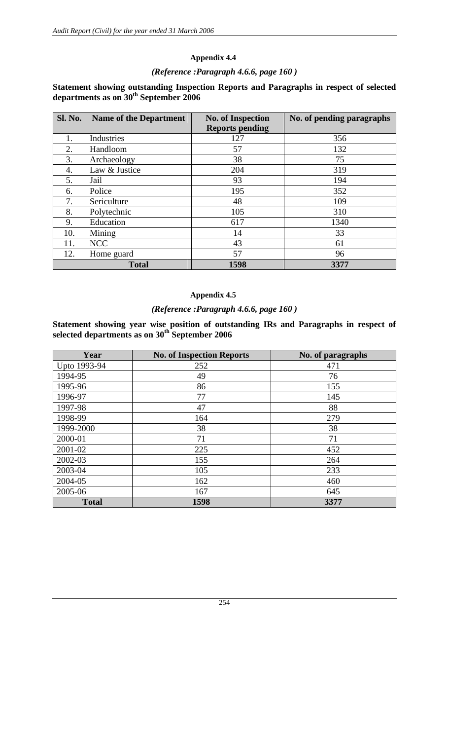#### **Appendix 4.4**

#### *(Reference :Paragraph 4.6.6, page 160 )*

#### **Statement showing outstanding Inspection Reports and Paragraphs in respect of selected departments as on 30th September 2006**

| Sl. No. | <b>Name of the Department</b> | <b>No. of Inspection</b> | No. of pending paragraphs |
|---------|-------------------------------|--------------------------|---------------------------|
|         |                               | <b>Reports pending</b>   |                           |
|         | Industries                    | 127                      | 356                       |
| 2.      | Handloom                      | 57                       | 132                       |
| 3.      | Archaeology                   | 38                       | 75                        |
| 4.      | Law & Justice                 | 204                      | 319                       |
| 5.      | Jail                          | 93                       | 194                       |
| 6.      | Police                        | 195                      | 352                       |
| 7.      | Sericulture                   | 48                       | 109                       |
| 8.      | Polytechnic                   | 105                      | 310                       |
| 9.      | Education                     | 617                      | 1340                      |
| 10.     | Mining                        | 14                       | 33                        |
| 11.     | <b>NCC</b>                    | 43                       | 61                        |
| 12.     | Home guard                    | 57                       | 96                        |
|         | <b>Total</b>                  | 1598                     | 3377                      |

#### **Appendix 4.5**

#### *(Reference :Paragraph 4.6.6, page 160 )*

**Statement showing year wise position of outstanding IRs and Paragraphs in respect of selected departments as on 30th September 2006** 

| Year         | <b>No. of Inspection Reports</b> | No. of paragraphs |
|--------------|----------------------------------|-------------------|
| Upto 1993-94 | 252                              | 471               |
| 1994-95      | 49                               | 76                |
| 1995-96      | 86                               | 155               |
| 1996-97      | 77                               | 145               |
| 1997-98      | 47                               | 88                |
| 1998-99      | 164                              | 279               |
| 1999-2000    | 38                               | 38                |
| 2000-01      | 71                               | 71                |
| 2001-02      | 225                              | 452               |
| 2002-03      | 155                              | 264               |
| 2003-04      | 105                              | 233               |
| 2004-05      | 162                              | 460               |
| 2005-06      | 167                              | 645               |
| <b>Total</b> | 1598                             | 3377              |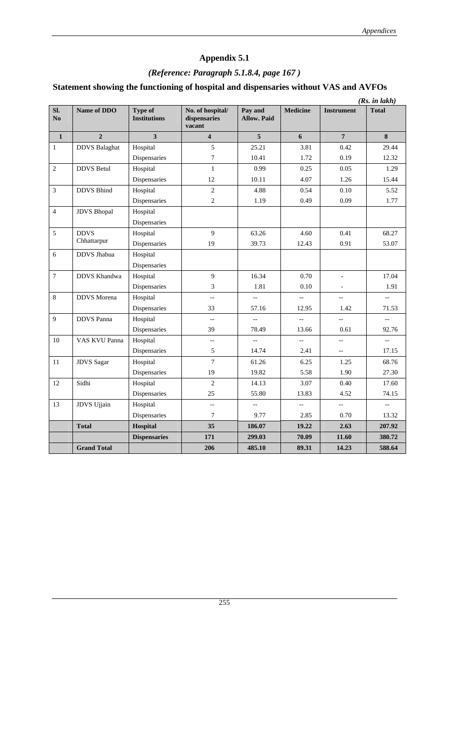## **Appendix 5.1**

# *(Reference: Paragraph 5.1.8.4, page 167 )*

# **Statement showing the functioning of hospital and dispensaries without VAS and AVFOs**

|                |                      |                                       |                                            |                               |                  |                          | (Rs. in lakh)            |
|----------------|----------------------|---------------------------------------|--------------------------------------------|-------------------------------|------------------|--------------------------|--------------------------|
| Sl.<br>No      | Name of DDO          | <b>Type of</b><br><b>Institutions</b> | No. of hospital/<br>dispensaries<br>vacant | Pay and<br><b>Allow. Paid</b> | <b>Medicine</b>  | <b>Instrument</b>        | <b>Total</b>             |
| $\mathbf 1$    | $\overline{2}$       | $\overline{\mathbf{3}}$               | $\overline{\mathbf{4}}$                    | 5                             | $\boldsymbol{6}$ | $\overline{7}$           | 8                        |
| $\,1\,$        | <b>DDVS</b> Balaghat | Hospital                              | 5                                          | 25.21                         | 3.81             | 0.42                     | 29.44                    |
|                |                      | Dispensaries                          | $\boldsymbol{7}$                           | 10.41                         | 1.72             | 0.19                     | 12.32                    |
| $\overline{2}$ | <b>DDVS</b> Betul    | Hospital                              | $\mathbf{1}$                               | 0.99                          | 0.25             | 0.05                     | 1.29                     |
|                |                      | Dispensaries                          | 12                                         | 10.11                         | 4.07             | 1.26                     | 15.44                    |
| 3              | <b>DDVS</b> Bhind    | Hospital                              | $\overline{c}$                             | 4.88                          | 0.54             | 0.10                     | 5.52                     |
|                |                      | Dispensaries                          | $\overline{2}$                             | 1.19                          | 0.49             | 0.09                     | 1.77                     |
| $\overline{4}$ | <b>JDVS</b> Bhopal   | Hospital                              |                                            |                               |                  |                          |                          |
|                |                      | Dispensaries                          |                                            |                               |                  |                          |                          |
| 5              | <b>DDVS</b>          | Hospital                              | 9                                          | 63.26                         | 4.60             | 0.41                     | 68.27                    |
|                | Chhattarpur          | Dispensaries                          | 19                                         | 39.73                         | 12.43            | 0.91                     | 53.07                    |
| 6              | <b>DDVS</b> Jhabua   | Hospital                              |                                            |                               |                  |                          |                          |
|                |                      | Dispensaries                          |                                            |                               |                  |                          |                          |
| $\tau$         | <b>DDVS</b> Khandwa  | Hospital                              | $\overline{9}$                             | 16.34                         | 0.70             | $\overline{a}$           | 17.04                    |
|                |                      | Dispensaries                          | 3                                          | 1.81                          | 0.10             | $\blacksquare$           | 1.91                     |
| 8              | <b>DDVS</b> Morena   | Hospital                              | ÷.                                         | $\overline{a}$                | --               | $\overline{a}$           | $\overline{\phantom{a}}$ |
|                |                      | Dispensaries                          | 33                                         | 57.16                         | 12.95            | 1.42                     | 71.53                    |
| 9              | <b>DDVS</b> Panna    | Hospital                              | $-\, -$                                    | $\overline{\phantom{a}}$      | $\overline{a}$   | $\overline{\phantom{a}}$ | $\overline{\phantom{a}}$ |
|                |                      | Dispensaries                          | 39                                         | 78.49                         | 13.66            | 0.61                     | 92.76                    |
| 10             | VAS KVU Panna        | Hospital                              | $\overline{a}$                             |                               |                  | $-$                      | $\overline{\phantom{a}}$ |
|                |                      | Dispensaries                          | 5                                          | 14.74                         | 2.41             | $\overline{\phantom{a}}$ | 17.15                    |
| 11             | <b>JDVS</b> Sagar    | Hospital                              | $\overline{7}$                             | 61.26                         | 6.25             | 1.25                     | 68.76                    |
|                |                      | Dispensaries                          | 19                                         | 19.82                         | 5.58             | 1.90                     | 27.30                    |
| 12             | Sidhi                | Hospital                              | 2                                          | 14.13                         | 3.07             | 0.40                     | 17.60                    |
|                |                      | Dispensaries                          | 25                                         | 55.80                         | 13.83            | 4.52                     | 74.15                    |
| 13             | JDVS Ujjain          | Hospital                              | --                                         | $\overline{a}$                | $\overline{a}$   | $\overline{\phantom{a}}$ | $\overline{\phantom{a}}$ |
|                |                      | Dispensaries                          | $\boldsymbol{7}$                           | 9.77                          | 2.85             | 0.70                     | 13.32                    |
|                | <b>Total</b>         | Hospital                              | 35                                         | 186.07                        | 19.22            | 2.63                     | 207.92                   |
|                |                      | <b>Dispensaries</b>                   | 171                                        | 299.03                        | 70.09            | 11.60                    | 380.72                   |
|                | <b>Grand Total</b>   |                                       | 206                                        | 485.10                        | 89.31            | 14.23                    | 588.64                   |